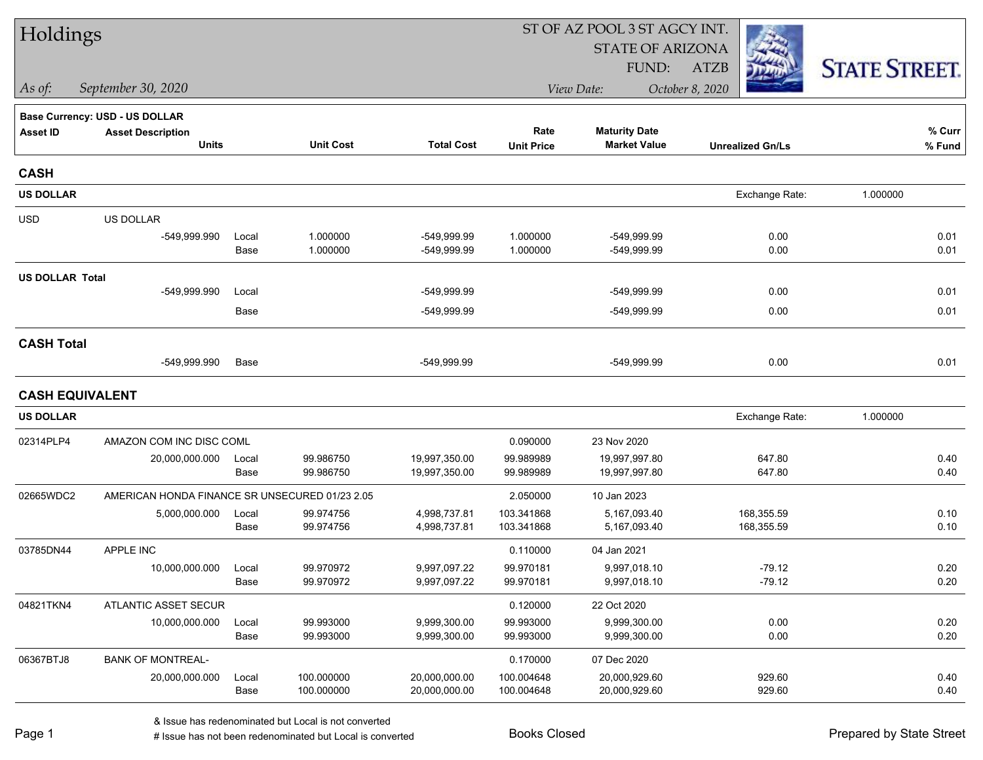| Holdings               |                                                |               |                        |                              |                        | ST OF AZ POOL 3 ST AGCY INT. |                         |                      |
|------------------------|------------------------------------------------|---------------|------------------------|------------------------------|------------------------|------------------------------|-------------------------|----------------------|
|                        |                                                |               |                        |                              |                        | <b>STATE OF ARIZONA</b>      |                         |                      |
|                        |                                                |               |                        |                              |                        | FUND:                        | <b>ATZB</b>             | <b>STATE STREET.</b> |
| As of:                 | September 30, 2020                             |               |                        |                              |                        | View Date:                   | October 8, 2020         |                      |
|                        | <b>Base Currency: USD - US DOLLAR</b>          |               |                        |                              |                        |                              |                         |                      |
| <b>Asset ID</b>        | <b>Asset Description</b>                       |               |                        |                              | Rate                   | <b>Maturity Date</b>         |                         | % Curr               |
|                        | <b>Units</b>                                   |               | <b>Unit Cost</b>       | <b>Total Cost</b>            | <b>Unit Price</b>      | <b>Market Value</b>          | <b>Unrealized Gn/Ls</b> | % Fund               |
| <b>CASH</b>            |                                                |               |                        |                              |                        |                              |                         |                      |
| <b>US DOLLAR</b>       |                                                |               |                        |                              |                        |                              | Exchange Rate:          | 1.000000             |
| <b>USD</b>             | US DOLLAR                                      |               |                        |                              |                        |                              |                         |                      |
|                        | -549,999.990                                   | Local         | 1.000000               | -549,999.99                  | 1.000000               | -549,999.99                  | 0.00                    | 0.01                 |
|                        |                                                | Base          | 1.000000               | -549,999.99                  | 1.000000               | -549,999.99                  | 0.00                    | 0.01                 |
| <b>US DOLLAR Total</b> |                                                |               |                        |                              |                        |                              |                         |                      |
|                        | -549,999.990                                   | Local         |                        | -549,999.99                  |                        | -549,999.99                  | 0.00                    | 0.01                 |
|                        |                                                | Base          |                        | -549,999.99                  |                        | -549,999.99                  | 0.00                    | 0.01                 |
| <b>CASH Total</b>      |                                                |               |                        |                              |                        |                              |                         |                      |
|                        | -549,999.990                                   | Base          |                        | -549,999.99                  |                        | -549,999.99                  | 0.00                    | 0.01                 |
| <b>CASH EQUIVALENT</b> |                                                |               |                        |                              |                        |                              |                         |                      |
| <b>US DOLLAR</b>       |                                                |               |                        |                              |                        |                              | Exchange Rate:          | 1.000000             |
| 02314PLP4              | AMAZON COM INC DISC COML                       |               |                        |                              | 0.090000               | 23 Nov 2020                  |                         |                      |
|                        | 20,000,000.000                                 | Local         | 99.986750              | 19,997,350.00                | 99.989989              | 19,997,997.80                | 647.80                  | 0.40                 |
|                        |                                                | Base          | 99.986750              | 19,997,350.00                | 99.989989              | 19,997,997.80                | 647.80                  | 0.40                 |
| 02665WDC2              | AMERICAN HONDA FINANCE SR UNSECURED 01/23 2.05 |               |                        |                              | 2.050000               | 10 Jan 2023                  |                         |                      |
|                        | 5,000,000.000                                  | Local         | 99.974756              | 4,998,737.81                 | 103.341868             | 5,167,093.40                 | 168,355.59              | 0.10                 |
|                        |                                                | Base          | 99.974756              | 4,998,737.81                 | 103.341868             | 5,167,093.40                 | 168,355.59              | 0.10                 |
| 03785DN44              | APPLE INC                                      |               |                        |                              | 0.110000               | 04 Jan 2021                  |                         |                      |
|                        | 10.000.000.000                                 | Local<br>Base | 99.970972<br>99.970972 | 9,997,097.22<br>9,997,097.22 | 99.970181<br>99.970181 | 9,997,018.10<br>9,997,018.10 | $-79.12$<br>$-79.12$    | 0.20<br>0.20         |
|                        |                                                |               |                        |                              |                        |                              |                         |                      |
| 04821TKN4              | ATLANTIC ASSET SECUR                           |               |                        |                              | 0.120000               | 22 Oct 2020                  |                         |                      |
|                        | 10,000,000.000                                 | Local<br>Base | 99.993000<br>99.993000 | 9,999,300.00<br>9,999,300.00 | 99.993000<br>99.993000 | 9,999,300.00<br>9,999,300.00 | 0.00<br>0.00            | 0.20<br>0.20         |
| 06367BTJ8              | <b>BANK OF MONTREAL-</b>                       |               |                        |                              | 0.170000               | 07 Dec 2020                  |                         |                      |
|                        | 20,000,000.000                                 | Local         | 100.000000             | 20,000,000.00                | 100.004648             | 20,000,929.60                | 929.60                  | 0.40                 |
|                        |                                                | Base          | 100.000000             | 20,000,000.00                | 100.004648             | 20,000,929.60                | 929.60                  | 0.40                 |
|                        |                                                |               |                        |                              |                        |                              |                         |                      |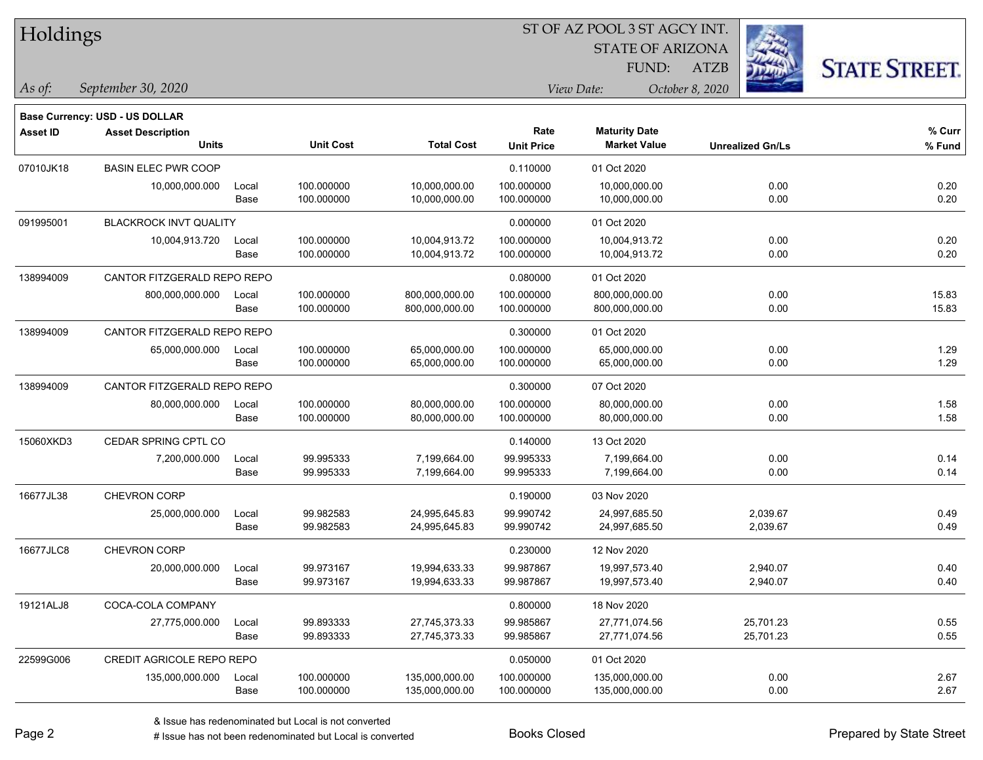| Holdings |
|----------|
|----------|

STATE OF ARIZONA

ATZB



*September 30, 2020 As of: View Date: October 8, 2020*

**Base Currency: USD - US DOLLAR**

| <b>Asset ID</b> | <b>Asset Description</b><br><b>Units</b> |                             | <b>Unit Cost</b> | <b>Total Cost</b> | Rate<br><b>Unit Price</b> | <b>Maturity Date</b><br><b>Market Value</b> | <b>Unrealized Gn/Ls</b> | % Curr<br>% Fund |
|-----------------|------------------------------------------|-----------------------------|------------------|-------------------|---------------------------|---------------------------------------------|-------------------------|------------------|
| 07010JK18       | <b>BASIN ELEC PWR COOP</b>               |                             |                  |                   | 0.110000                  | 01 Oct 2020                                 |                         |                  |
|                 | 10,000,000.000                           | Local                       | 100.000000       | 10,000,000.00     | 100.000000                | 10,000,000.00                               | 0.00                    | 0.20             |
|                 |                                          | Base                        | 100.000000       | 10,000,000.00     | 100.000000                | 10,000,000.00                               | 0.00                    | 0.20             |
| 091995001       | <b>BLACKROCK INVT QUALITY</b>            |                             |                  |                   | 0.000000                  | 01 Oct 2020                                 |                         |                  |
|                 | 10,004,913.720                           | Local                       | 100.000000       | 10,004,913.72     | 100.000000                | 10,004,913.72                               | 0.00                    | 0.20             |
|                 |                                          | Base                        | 100.000000       | 10,004,913.72     | 100.000000                | 10,004,913.72                               | 0.00                    | 0.20             |
| 138994009       | CANTOR FITZGERALD REPO REPO              |                             |                  |                   | 0.080000                  | 01 Oct 2020                                 |                         |                  |
|                 | 800,000,000.000                          | Local                       | 100.000000       | 800,000,000.00    | 100.000000                | 800,000,000.00                              | 0.00                    | 15.83            |
|                 |                                          | Base                        | 100.000000       | 800,000,000.00    | 100.000000                | 800,000,000.00                              | 0.00                    | 15.83            |
| 138994009       | CANTOR FITZGERALD REPO REPO              |                             |                  |                   | 0.300000                  | 01 Oct 2020                                 |                         |                  |
|                 | 65,000,000.000                           | Local                       | 100.000000       | 65,000,000.00     | 100.000000                | 65,000,000.00                               | 0.00                    | 1.29             |
|                 |                                          | Base                        | 100.000000       | 65,000,000.00     | 100.000000                | 65,000,000.00                               | 0.00                    | 1.29             |
| 138994009       |                                          | CANTOR FITZGERALD REPO REPO |                  |                   | 0.300000                  | 07 Oct 2020                                 |                         |                  |
|                 | 80,000,000.000                           | Local                       | 100.000000       | 80,000,000.00     | 100.000000                | 80,000,000.00                               | 0.00                    | 1.58             |
|                 |                                          | Base                        | 100.000000       | 80,000,000.00     | 100.000000                | 80,000,000.00                               | 0.00                    | 1.58             |
| 15060XKD3       | CEDAR SPRING CPTL CO                     |                             |                  |                   | 0.140000                  | 13 Oct 2020                                 |                         |                  |
|                 | 7,200,000.000                            | Local                       | 99.995333        | 7,199,664.00      | 99.995333                 | 7,199,664.00                                | 0.00                    | 0.14             |
|                 |                                          | Base                        | 99.995333        | 7,199,664.00      | 99.995333                 | 7,199,664.00                                | 0.00                    | 0.14             |
| 16677JL38       | CHEVRON CORP                             |                             |                  |                   | 0.190000                  | 03 Nov 2020                                 |                         |                  |
|                 | 25,000,000.000                           | Local                       | 99.982583        | 24,995,645.83     | 99.990742                 | 24,997,685.50                               | 2,039.67                | 0.49             |
|                 |                                          | Base                        | 99.982583        | 24,995,645.83     | 99.990742                 | 24,997,685.50                               | 2,039.67                | 0.49             |
| 16677JLC8       | CHEVRON CORP                             |                             |                  |                   | 0.230000                  | 12 Nov 2020                                 |                         |                  |
|                 | 20,000,000.000                           | Local                       | 99.973167        | 19,994,633.33     | 99.987867                 | 19,997,573.40                               | 2,940.07                | 0.40             |
|                 |                                          | Base                        | 99.973167        | 19,994,633.33     | 99.987867                 | 19,997,573.40                               | 2,940.07                | 0.40             |
| 19121ALJ8       | COCA-COLA COMPANY                        |                             |                  |                   | 0.800000                  | 18 Nov 2020                                 |                         |                  |
|                 | 27,775,000.000                           | Local                       | 99.893333        | 27,745,373.33     | 99.985867                 | 27,771,074.56                               | 25,701.23               | 0.55             |
|                 |                                          | Base                        | 99.893333        | 27,745,373.33     | 99.985867                 | 27,771,074.56                               | 25,701.23               | 0.55             |
| 22599G006       | <b>CREDIT AGRICOLE REPO REPO</b>         |                             |                  |                   | 0.050000                  | 01 Oct 2020                                 |                         |                  |
|                 | 135,000,000.000                          | Local                       | 100.000000       | 135,000,000.00    | 100.000000                | 135,000,000.00                              | 0.00                    | 2.67             |
|                 |                                          | Base                        | 100.000000       | 135,000,000.00    | 100.000000                | 135,000,000.00                              | 0.00                    | 2.67             |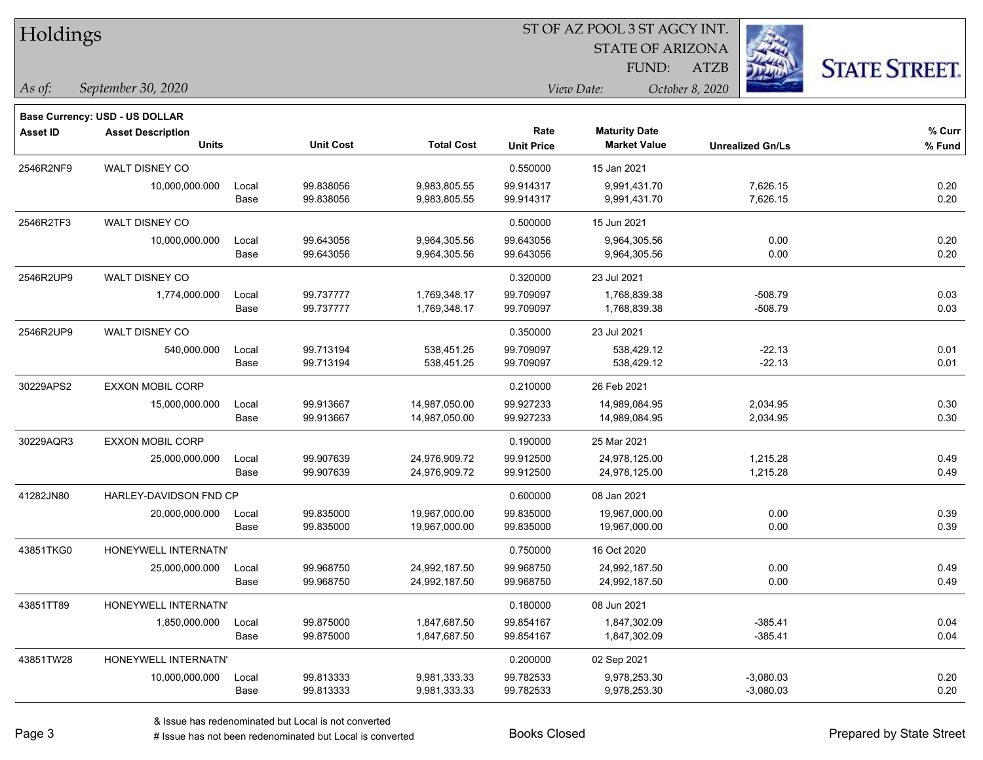| Holdings |
|----------|
|----------|

STATE OF ARIZONA

ATZB



*September 30, 2020 As of: View Date: October 8, 2020*

**Base Currency: USD - US DOLLAR**

| Asset ID  | <b>Asset Description</b><br><b>Units</b> |       | <b>Unit Cost</b> | <b>Total Cost</b> | Rate<br><b>Unit Price</b> | <b>Maturity Date</b><br><b>Market Value</b> | <b>Unrealized Gn/Ls</b> | % Curr<br>% Fund |
|-----------|------------------------------------------|-------|------------------|-------------------|---------------------------|---------------------------------------------|-------------------------|------------------|
| 2546R2NF9 | WALT DISNEY CO                           |       |                  |                   | 0.550000                  | 15 Jan 2021                                 |                         |                  |
|           | 10,000,000.000                           | Local | 99.838056        | 9,983,805.55      | 99.914317                 | 9,991,431.70                                | 7,626.15                | 0.20             |
|           |                                          | Base  | 99.838056        | 9,983,805.55      | 99.914317                 | 9,991,431.70                                | 7,626.15                | 0.20             |
| 2546R2TF3 | <b>WALT DISNEY CO</b>                    |       |                  |                   | 0.500000                  | 15 Jun 2021                                 |                         |                  |
|           | 10,000,000.000                           | Local | 99.643056        | 9,964,305.56      | 99.643056                 | 9,964,305.56                                | 0.00                    | 0.20             |
|           |                                          | Base  | 99.643056        | 9,964,305.56      | 99.643056                 | 9,964,305.56                                | 0.00                    | 0.20             |
| 2546R2UP9 | WALT DISNEY CO                           |       |                  |                   | 0.320000                  | 23 Jul 2021                                 |                         |                  |
|           | 1,774,000.000                            | Local | 99.737777        | 1,769,348.17      | 99.709097                 | 1,768,839.38                                | $-508.79$               | 0.03             |
|           |                                          | Base  | 99.737777        | 1,769,348.17      | 99.709097                 | 1,768,839.38                                | $-508.79$               | 0.03             |
| 2546R2UP9 | WALT DISNEY CO                           |       |                  |                   | 0.350000                  | 23 Jul 2021                                 |                         |                  |
|           | 540,000.000                              | Local | 99.713194        | 538,451.25        | 99.709097                 | 538,429.12                                  | $-22.13$                | 0.01             |
|           |                                          | Base  | 99.713194        | 538,451.25        | 99.709097                 | 538,429.12                                  | $-22.13$                | 0.01             |
| 30229APS2 | <b>EXXON MOBIL CORP</b>                  |       |                  |                   | 0.210000                  | 26 Feb 2021                                 |                         |                  |
|           | 15,000,000.000                           | Local | 99.913667        | 14,987,050.00     | 99.927233                 | 14,989,084.95                               | 2,034.95                | 0.30             |
|           |                                          | Base  | 99.913667        | 14,987,050.00     | 99.927233                 | 14,989,084.95                               | 2,034.95                | 0.30             |
| 30229AQR3 | <b>EXXON MOBIL CORP</b>                  |       |                  |                   | 0.190000                  | 25 Mar 2021                                 |                         |                  |
|           | 25,000,000.000                           | Local | 99.907639        | 24,976,909.72     | 99.912500                 | 24,978,125.00                               | 1,215.28                | 0.49             |
|           |                                          | Base  | 99.907639        | 24,976,909.72     | 99.912500                 | 24,978,125.00                               | 1,215.28                | 0.49             |
| 41282JN80 | HARLEY-DAVIDSON FND CP                   |       |                  |                   | 0.600000                  | 08 Jan 2021                                 |                         |                  |
|           | 20,000,000.000                           | Local | 99.835000        | 19,967,000.00     | 99.835000                 | 19,967,000.00                               | 0.00                    | 0.39             |
|           |                                          | Base  | 99.835000        | 19,967,000.00     | 99.835000                 | 19,967,000.00                               | 0.00                    | 0.39             |
| 43851TKG0 | HONEYWELL INTERNATN'                     |       |                  |                   | 0.750000                  | 16 Oct 2020                                 |                         |                  |
|           | 25,000,000.000                           | Local | 99.968750        | 24,992,187.50     | 99.968750                 | 24,992,187.50                               | 0.00                    | 0.49             |
|           |                                          | Base  | 99.968750        | 24,992,187.50     | 99.968750                 | 24,992,187.50                               | 0.00                    | 0.49             |
| 43851TT89 | HONEYWELL INTERNATN'                     |       |                  |                   | 0.180000                  | 08 Jun 2021                                 |                         |                  |
|           | 1,850,000.000                            | Local | 99.875000        | 1,847,687.50      | 99.854167                 | 1,847,302.09                                | $-385.41$               | 0.04             |
|           |                                          | Base  | 99.875000        | 1,847,687.50      | 99.854167                 | 1,847,302.09                                | $-385.41$               | 0.04             |
| 43851TW28 | HONEYWELL INTERNATN'                     |       |                  |                   | 0.200000                  | 02 Sep 2021                                 |                         |                  |
|           | 10,000,000.000                           | Local | 99.813333        | 9,981,333.33      | 99.782533                 | 9,978,253.30                                | $-3,080.03$             | 0.20             |
|           |                                          | Base  | 99.813333        | 9,981,333.33      | 99.782533                 | 9,978,253.30                                | $-3,080.03$             | 0.20             |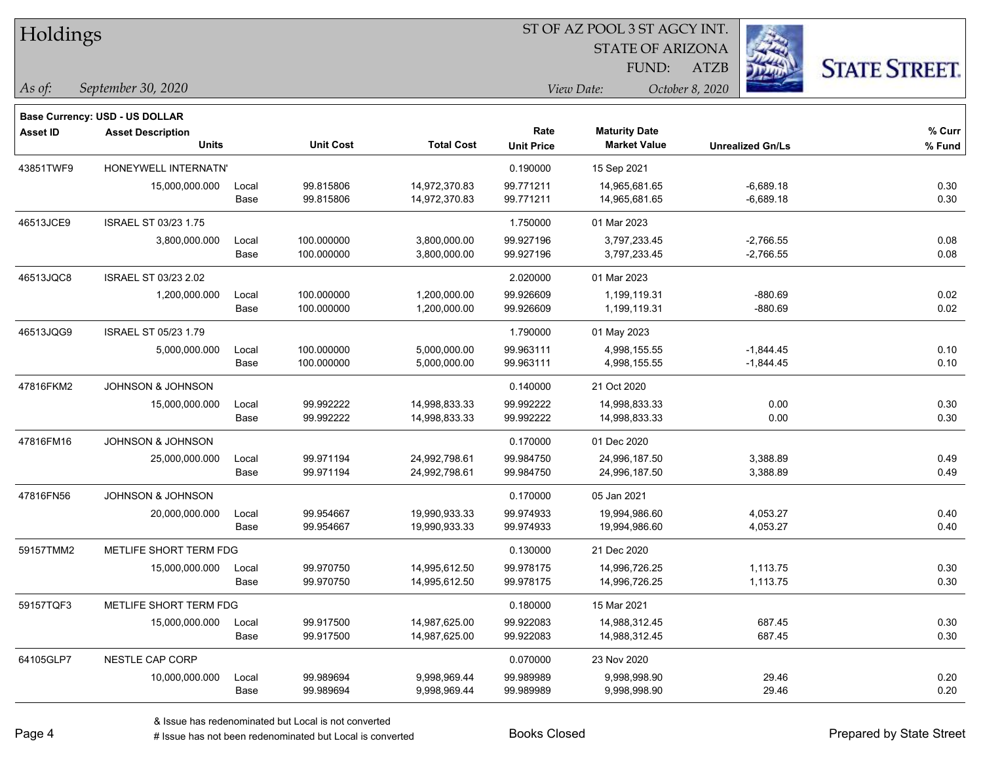| Holdings        |                                |       |                  |                   | ST OF AZ POOL 3 ST AGCY INT. |                         |                         |                      |  |
|-----------------|--------------------------------|-------|------------------|-------------------|------------------------------|-------------------------|-------------------------|----------------------|--|
|                 |                                |       |                  |                   |                              | <b>STATE OF ARIZONA</b> | $\sim$                  |                      |  |
|                 |                                |       |                  |                   |                              | FUND:                   | ATZB                    | <b>STATE STREET.</b> |  |
| As of:          | September 30, 2020             |       |                  |                   |                              | View Date:              | October 8, 2020         |                      |  |
|                 | Base Currency: USD - US DOLLAR |       |                  |                   |                              |                         |                         |                      |  |
| <b>Asset ID</b> | <b>Asset Description</b>       |       |                  |                   | Rate                         | <b>Maturity Date</b>    |                         | % Curr               |  |
|                 | <b>Units</b>                   |       | <b>Unit Cost</b> | <b>Total Cost</b> | <b>Unit Price</b>            | <b>Market Value</b>     | <b>Unrealized Gn/Ls</b> | % Fund               |  |
| 43851TWF9       | HONEYWELL INTERNATN'           |       |                  |                   | 0.190000                     | 15 Sep 2021             |                         |                      |  |
|                 | 15,000,000.000                 | Local | 99.815806        | 14,972,370.83     | 99.771211                    | 14,965,681.65           | $-6,689.18$             | 0.30                 |  |
|                 |                                | Base  | 99.815806        | 14,972,370.83     | 99.771211                    | 14,965,681.65           | $-6,689.18$             | 0.30                 |  |
| 46513JCE9       | ISRAEL ST 03/23 1.75           |       |                  |                   | 1.750000                     | 01 Mar 2023             |                         |                      |  |
|                 | 3,800,000.000                  | Local | 100.000000       | 3,800,000.00      | 99.927196                    | 3,797,233.45            | $-2,766.55$             | 0.08                 |  |
|                 |                                | Base  | 100.000000       | 3,800,000.00      | 99.927196                    | 3,797,233.45            | $-2,766.55$             | 0.08                 |  |
| 46513JQC8       | <b>ISRAEL ST 03/23 2.02</b>    |       |                  |                   | 2.020000                     | 01 Mar 2023             |                         |                      |  |
|                 | 1,200,000.000                  | Local | 100.000000       | 1,200,000.00      | 99.926609                    | 1,199,119.31            | $-880.69$               | 0.02                 |  |
|                 |                                | Base  | 100.000000       | 1,200,000.00      | 99.926609                    | 1,199,119.31            | $-880.69$               | 0.02                 |  |
| 46513JQG9       | <b>ISRAEL ST 05/23 1.79</b>    |       |                  |                   | 1.790000                     | 01 May 2023             |                         |                      |  |
|                 | 5,000,000.000                  | Local | 100.000000       | 5,000,000.00      | 99.963111                    | 4,998,155.55            | $-1,844.45$             | 0.10                 |  |
|                 |                                | Base  | 100.000000       | 5,000,000.00      | 99.963111                    | 4,998,155.55            | $-1,844.45$             | 0.10                 |  |
| 47816FKM2       | JOHNSON & JOHNSON              |       |                  |                   | 0.140000                     | 21 Oct 2020             |                         |                      |  |
|                 | 15,000,000.000                 | Local | 99.992222        | 14,998,833.33     | 99.992222                    | 14,998,833.33           | 0.00                    | 0.30                 |  |
|                 |                                | Base  | 99.992222        | 14,998,833.33     | 99.992222                    | 14,998,833.33           | 0.00                    | 0.30                 |  |
| 47816FM16       | JOHNSON & JOHNSON              |       |                  |                   | 0.170000                     | 01 Dec 2020             |                         |                      |  |
|                 | 25,000,000.000                 | Local | 99.971194        | 24,992,798.61     | 99.984750                    | 24,996,187.50           | 3,388.89                | 0.49                 |  |
|                 |                                | Base  | 99.971194        | 24,992,798.61     | 99.984750                    | 24,996,187.50           | 3,388.89                | 0.49                 |  |
| 47816FN56       | <b>JOHNSON &amp; JOHNSON</b>   |       |                  |                   | 0.170000                     | 05 Jan 2021             |                         |                      |  |
|                 | 20,000,000.000                 | Local | 99.954667        | 19,990,933.33     | 99.974933                    | 19,994,986.60           | 4,053.27                | 0.40                 |  |
|                 |                                | Base  | 99.954667        | 19,990,933.33     | 99.974933                    | 19,994,986.60           | 4,053.27                | 0.40                 |  |
| 59157TMM2       | METLIFE SHORT TERM FDG         |       |                  |                   | 0.130000                     | 21 Dec 2020             |                         |                      |  |
|                 | 15,000,000.000                 | Local | 99.970750        | 14,995,612.50     | 99.978175                    | 14,996,726.25           | 1,113.75                | 0.30                 |  |
|                 |                                | Base  | 99.970750        | 14,995,612.50     | 99.978175                    | 14,996,726.25           | 1,113.75                | 0.30                 |  |
| 59157TQF3       | METLIFE SHORT TERM FDG         |       |                  |                   | 0.180000                     | 15 Mar 2021             |                         |                      |  |
|                 | 15,000,000.000                 | Local | 99.917500        | 14,987,625.00     | 99.922083                    | 14,988,312.45           | 687.45                  | 0.30                 |  |
|                 |                                | Base  | 99.917500        | 14,987,625.00     | 99.922083                    | 14,988,312.45           | 687.45                  | 0.30                 |  |
| 64105GLP7       | NESTLE CAP CORP                |       |                  |                   | 0.070000                     | 23 Nov 2020             |                         |                      |  |
|                 | 10,000,000.000                 | Local | 99.989694        | 9,998,969.44      | 99.989989                    | 9,998,998.90            | 29.46                   | 0.20                 |  |
|                 |                                | Base  | 99.989694        | 9,998,969.44      | 99.989989                    | 9,998,998.90            | 29.46                   | 0.20                 |  |

 $\overline{\phantom{0}}$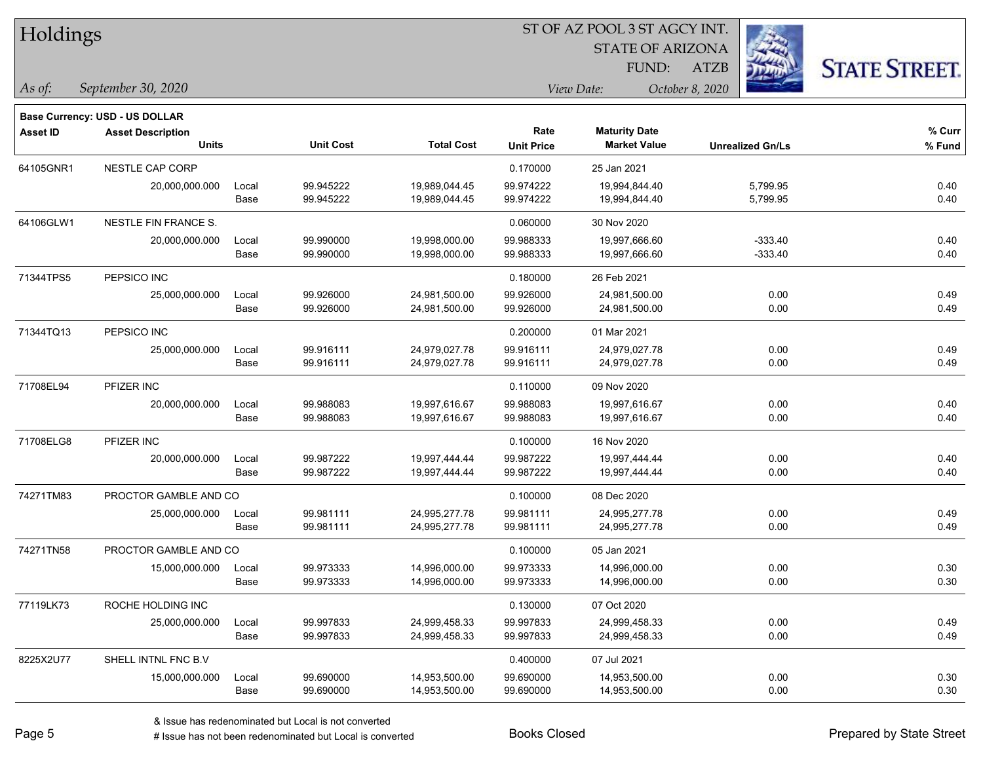| Holdings |
|----------|
|----------|

STATE OF ARIZONA

ATZB



*September 30, 2020 As of: View Date: October 8, 2020*

**Base Currency: USD - US DOLLAR**

| Asset ID  | <b>Asset Description</b><br><b>Units</b> |       | <b>Unit Cost</b> | <b>Total Cost</b> | Rate<br><b>Unit Price</b> | <b>Maturity Date</b><br><b>Market Value</b> | <b>Unrealized Gn/Ls</b> | % Curr<br>% Fund |
|-----------|------------------------------------------|-------|------------------|-------------------|---------------------------|---------------------------------------------|-------------------------|------------------|
| 64105GNR1 | <b>NESTLE CAP CORP</b>                   |       |                  |                   | 0.170000                  | 25 Jan 2021                                 |                         |                  |
|           | 20,000,000.000                           | Local | 99.945222        | 19,989,044.45     | 99.974222                 | 19,994,844.40                               | 5,799.95                | 0.40             |
|           |                                          | Base  | 99.945222        | 19,989,044.45     | 99.974222                 | 19,994,844.40                               | 5,799.95                | 0.40             |
| 64106GLW1 | <b>NESTLE FIN FRANCE S.</b>              |       |                  |                   | 0.060000                  | 30 Nov 2020                                 |                         |                  |
|           | 20,000,000.000                           | Local | 99.990000        | 19,998,000.00     | 99.988333                 | 19,997,666.60                               | $-333.40$               | 0.40             |
|           |                                          | Base  | 99.990000        | 19,998,000.00     | 99.988333                 | 19,997,666.60                               | $-333.40$               | 0.40             |
| 71344TPS5 | PEPSICO INC                              |       |                  |                   | 0.180000                  | 26 Feb 2021                                 |                         |                  |
|           | 25,000,000.000                           | Local | 99.926000        | 24,981,500.00     | 99.926000                 | 24,981,500.00                               | 0.00                    | 0.49             |
|           |                                          | Base  | 99.926000        | 24,981,500.00     | 99.926000                 | 24,981,500.00                               | 0.00                    | 0.49             |
| 71344TQ13 | PEPSICO INC                              |       |                  |                   | 0.200000                  | 01 Mar 2021                                 |                         |                  |
|           | 25,000,000.000                           | Local | 99.916111        | 24,979,027.78     | 99.916111                 | 24,979,027.78                               | 0.00                    | 0.49             |
|           |                                          | Base  | 99.916111        | 24,979,027.78     | 99.916111                 | 24,979,027.78                               | 0.00                    | 0.49             |
| 71708EL94 | PFIZER INC                               |       |                  |                   | 0.110000                  | 09 Nov 2020                                 |                         |                  |
|           | 20,000,000.000                           | Local | 99.988083        | 19,997,616.67     | 99.988083                 | 19,997,616.67                               | 0.00                    | 0.40             |
|           |                                          | Base  | 99.988083        | 19,997,616.67     | 99.988083                 | 19,997,616.67                               | 0.00                    | 0.40             |
| 71708ELG8 | PFIZER INC                               |       |                  |                   | 0.100000                  | 16 Nov 2020                                 |                         |                  |
|           | 20,000,000.000                           | Local | 99.987222        | 19,997,444.44     | 99.987222                 | 19,997,444.44                               | 0.00                    | 0.40             |
|           |                                          | Base  | 99.987222        | 19,997,444.44     | 99.987222                 | 19,997,444.44                               | 0.00                    | 0.40             |
| 74271TM83 | PROCTOR GAMBLE AND CO                    |       |                  |                   | 0.100000                  | 08 Dec 2020                                 |                         |                  |
|           | 25,000,000.000                           | Local | 99.981111        | 24,995,277.78     | 99.981111                 | 24,995,277.78                               | 0.00                    | 0.49             |
|           |                                          | Base  | 99.981111        | 24,995,277.78     | 99.981111                 | 24,995,277.78                               | 0.00                    | 0.49             |
| 74271TN58 | PROCTOR GAMBLE AND CO                    |       |                  |                   | 0.100000                  | 05 Jan 2021                                 |                         |                  |
|           | 15,000,000.000                           | Local | 99.973333        | 14,996,000.00     | 99.973333                 | 14,996,000.00                               | 0.00                    | 0.30             |
|           |                                          | Base  | 99.973333        | 14,996,000.00     | 99.973333                 | 14,996,000.00                               | 0.00                    | 0.30             |
| 77119LK73 | ROCHE HOLDING INC                        |       |                  |                   | 0.130000                  | 07 Oct 2020                                 |                         |                  |
|           | 25,000,000.000                           | Local | 99.997833        | 24,999,458.33     | 99.997833                 | 24,999,458.33                               | 0.00                    | 0.49             |
|           |                                          | Base  | 99.997833        | 24,999,458.33     | 99.997833                 | 24,999,458.33                               | 0.00                    | 0.49             |
| 8225X2U77 | SHELL INTNL FNC B.V                      |       |                  |                   | 0.400000                  | 07 Jul 2021                                 |                         |                  |
|           | 15,000,000.000                           | Local | 99.690000        | 14,953,500.00     | 99.690000                 | 14,953,500.00                               | 0.00                    | 0.30             |
|           |                                          | Base  | 99.690000        | 14,953,500.00     | 99.690000                 | 14,953,500.00                               | 0.00                    | 0.30             |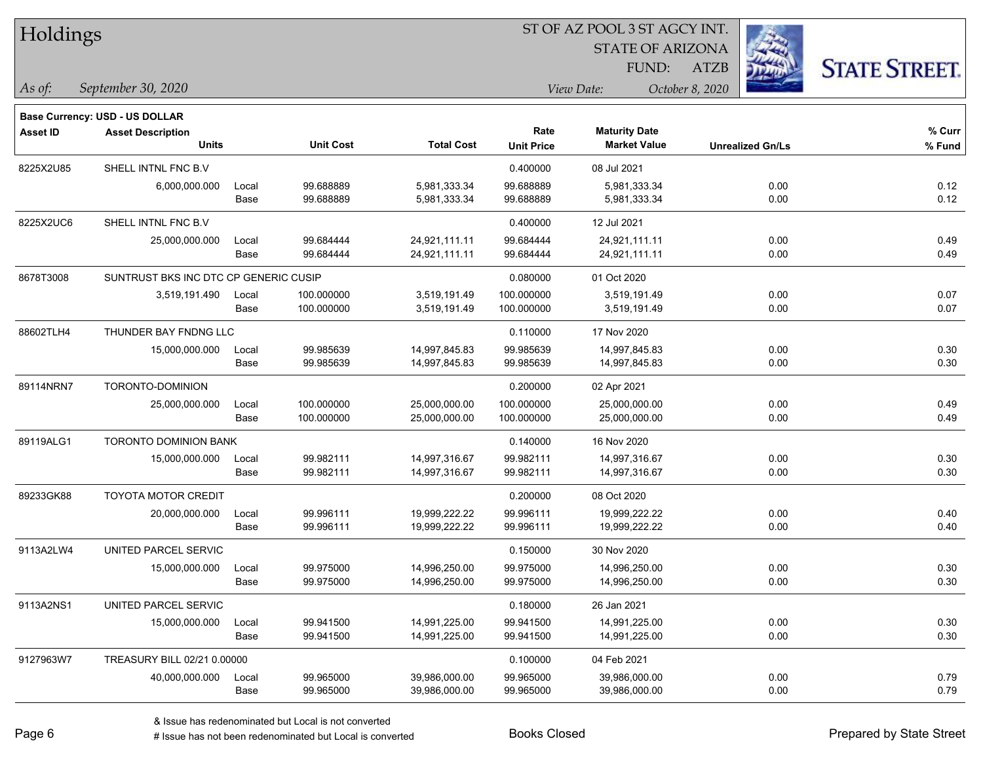| Holdings |  |
|----------|--|
|----------|--|

STATE OF ARIZONA

ATZB



*September 30, 2020 As of: View Date: October 8, 2020*

**Base Currency: USD - US DOLLAR**

| <b>Asset ID</b> | <b>Asset Description</b>              |       |                  |                   | Rate              |                     |                         | % Curr |
|-----------------|---------------------------------------|-------|------------------|-------------------|-------------------|---------------------|-------------------------|--------|
|                 | <b>Units</b>                          |       | <b>Unit Cost</b> | <b>Total Cost</b> | <b>Unit Price</b> | <b>Market Value</b> | <b>Unrealized Gn/Ls</b> | % Fund |
| 8225X2U85       | SHELL INTNL FNC B.V                   |       |                  |                   | 0.400000          | 08 Jul 2021         |                         |        |
|                 | 6,000,000.000                         | Local | 99.688889        | 5,981,333.34      | 99.688889         | 5,981,333.34        | 0.00                    | 0.12   |
|                 |                                       | Base  | 99.688889        | 5,981,333.34      | 99.688889         | 5,981,333.34        | 0.00                    | 0.12   |
| 8225X2UC6       | SHELL INTNL FNC B.V.                  |       |                  |                   | 0.400000          | 12 Jul 2021         |                         |        |
|                 | 25,000,000.000                        | Local | 99.684444        | 24,921,111.11     | 99.684444         | 24,921,111.11       | 0.00                    | 0.49   |
|                 |                                       | Base  | 99.684444        | 24,921,111.11     | 99.684444         | 24,921,111.11       | 0.00                    | 0.49   |
| 8678T3008       | SUNTRUST BKS INC DTC CP GENERIC CUSIP |       |                  |                   | 0.080000          | 01 Oct 2020         |                         |        |
|                 | 3,519,191.490                         | Local | 100.000000       | 3,519,191.49      | 100.000000        | 3,519,191.49        | 0.00                    | 0.07   |
|                 |                                       | Base  | 100.000000       | 3,519,191.49      | 100.000000        | 3,519,191.49        | 0.00                    | 0.07   |
| 88602TLH4       | THUNDER BAY FNDNG LLC                 |       |                  |                   | 0.110000          | 17 Nov 2020         |                         |        |
|                 | 15,000,000.000                        | Local | 99.985639        | 14,997,845.83     | 99.985639         | 14,997,845.83       | 0.00                    | 0.30   |
|                 |                                       | Base  | 99.985639        | 14,997,845.83     | 99.985639         | 14,997,845.83       | 0.00                    | 0.30   |
| 89114NRN7       | TORONTO-DOMINION                      |       |                  |                   | 0.200000          | 02 Apr 2021         |                         |        |
|                 | 25,000,000.000                        | Local | 100.000000       | 25,000,000.00     | 100.000000        | 25,000,000.00       | 0.00                    | 0.49   |
|                 |                                       | Base  | 100.000000       | 25,000,000.00     | 100.000000        | 25,000,000.00       | 0.00                    | 0.49   |
| 89119ALG1       | <b>TORONTO DOMINION BANK</b>          |       |                  |                   | 0.140000          | 16 Nov 2020         |                         |        |
|                 | 15,000,000.000                        | Local | 99.982111        | 14,997,316.67     | 99.982111         | 14,997,316.67       | 0.00                    | 0.30   |
|                 |                                       | Base  | 99.982111        | 14,997,316.67     | 99.982111         | 14,997,316.67       | 0.00                    | 0.30   |
| 89233GK88       | <b>TOYOTA MOTOR CREDIT</b>            |       |                  |                   | 0.200000          | 08 Oct 2020         |                         |        |
|                 | 20,000,000.000                        | Local | 99.996111        | 19,999,222.22     | 99.996111         | 19,999,222.22       | 0.00                    | 0.40   |
|                 |                                       | Base  | 99.996111        | 19,999,222.22     | 99.996111         | 19,999,222.22       | 0.00                    | 0.40   |
| 9113A2LW4       | UNITED PARCEL SERVIC                  |       |                  |                   | 0.150000          | 30 Nov 2020         |                         |        |
|                 | 15,000,000.000                        | Local | 99.975000        | 14,996,250.00     | 99.975000         | 14,996,250.00       | 0.00                    | 0.30   |
|                 |                                       | Base  | 99.975000        | 14,996,250.00     | 99.975000         | 14,996,250.00       | 0.00                    | 0.30   |
| 9113A2NS1       | UNITED PARCEL SERVIC                  |       |                  |                   | 0.180000          | 26 Jan 2021         |                         |        |
|                 | 15,000,000.000                        | Local | 99.941500        | 14,991,225.00     | 99.941500         | 14,991,225.00       | 0.00                    | 0.30   |
|                 |                                       | Base  | 99.941500        | 14,991,225.00     | 99.941500         | 14,991,225.00       | 0.00                    | 0.30   |
| 9127963W7       | TREASURY BILL 02/21 0.00000           |       |                  |                   | 0.100000          | 04 Feb 2021         |                         |        |
|                 | 40,000,000.000                        | Local | 99.965000        | 39,986,000.00     | 99.965000         | 39,986,000.00       | 0.00                    | 0.79   |
|                 |                                       | Base  | 99.965000        | 39,986,000.00     | 99.965000         | 39,986,000.00       | 0.00                    | 0.79   |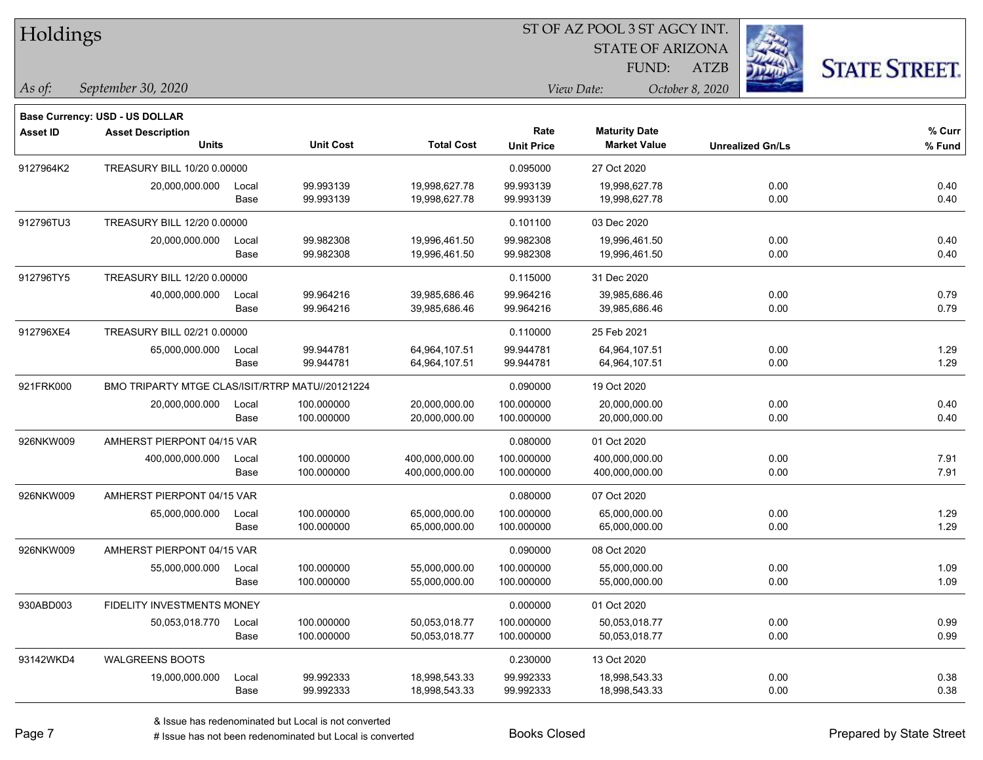| Holdings |
|----------|
|----------|

STATE OF ARIZONA

ATZB



*September 30, 2020 As of: View Date: October 8, 2020*

**Base Currency: USD - US DOLLAR**

| <b>Asset ID</b> | <b>Asset Description</b><br><b>Units</b>        |               | <b>Unit Cost</b>         | <b>Total Cost</b>                | Rate<br><b>Unit Price</b> | <b>Maturity Date</b><br><b>Market Value</b> | <b>Unrealized Gn/Ls</b> | % Curr<br>% Fund |
|-----------------|-------------------------------------------------|---------------|--------------------------|----------------------------------|---------------------------|---------------------------------------------|-------------------------|------------------|
| 9127964K2       | TREASURY BILL 10/20 0.00000                     |               |                          |                                  | 0.095000                  | 27 Oct 2020                                 |                         |                  |
|                 | 20,000,000.000                                  | Local<br>Base | 99.993139<br>99.993139   | 19,998,627.78<br>19,998,627.78   | 99.993139<br>99.993139    | 19,998,627.78<br>19,998,627.78              | 0.00<br>0.00            | 0.40<br>0.40     |
| 912796TU3       | TREASURY BILL 12/20 0.00000                     |               |                          |                                  | 0.101100                  | 03 Dec 2020                                 |                         |                  |
|                 | 20,000,000.000                                  | Local<br>Base | 99.982308<br>99.982308   | 19,996,461.50<br>19,996,461.50   | 99.982308<br>99.982308    | 19,996,461.50<br>19,996,461.50              | 0.00<br>0.00            | 0.40<br>0.40     |
| 912796TY5       | TREASURY BILL 12/20 0.00000                     |               |                          |                                  | 0.115000                  | 31 Dec 2020                                 |                         |                  |
|                 | 40,000,000.000                                  | Local<br>Base | 99.964216<br>99.964216   | 39,985,686.46<br>39,985,686.46   | 99.964216<br>99.964216    | 39,985,686.46<br>39,985,686.46              | 0.00<br>0.00            | 0.79<br>0.79     |
| 912796XE4       | TREASURY BILL 02/21 0.00000                     |               |                          |                                  | 0.110000                  | 25 Feb 2021                                 |                         |                  |
|                 | 65,000,000.000                                  | Local<br>Base | 99.944781<br>99.944781   | 64,964,107.51<br>64,964,107.51   | 99.944781<br>99.944781    | 64,964,107.51<br>64,964,107.51              | 0.00<br>0.00            | 1.29<br>1.29     |
| 921FRK000       | BMO TRIPARTY MTGE CLAS/ISIT/RTRP MATU//20121224 |               |                          |                                  | 0.090000                  | 19 Oct 2020                                 |                         |                  |
|                 | 20,000,000.000                                  | Local<br>Base | 100.000000<br>100.000000 | 20,000,000.00<br>20,000,000.00   | 100.000000<br>100.000000  | 20,000,000.00<br>20,000,000.00              | 0.00<br>0.00            | 0.40<br>0.40     |
| 926NKW009       | AMHERST PIERPONT 04/15 VAR                      |               |                          | 0.080000                         | 01 Oct 2020               |                                             |                         |                  |
|                 | 400,000,000.000                                 | Local<br>Base | 100.000000<br>100.000000 | 400,000,000.00<br>400,000,000.00 | 100.000000<br>100.000000  | 400.000.000.00<br>400,000,000.00            | 0.00<br>0.00            | 7.91<br>7.91     |
| 926NKW009       | AMHERST PIERPONT 04/15 VAR                      |               |                          |                                  | 0.080000                  | 07 Oct 2020                                 |                         |                  |
|                 | 65,000,000.000                                  | Local<br>Base | 100.000000<br>100.000000 | 65,000,000.00<br>65,000,000.00   | 100.000000<br>100.000000  | 65,000,000.00<br>65,000,000.00              | 0.00<br>0.00            | 1.29<br>1.29     |
| 926NKW009       | AMHERST PIERPONT 04/15 VAR                      |               |                          |                                  | 0.090000                  | 08 Oct 2020                                 |                         |                  |
|                 | 55,000,000.000                                  | Local<br>Base | 100.000000<br>100.000000 | 55,000,000.00<br>55,000,000.00   | 100.000000<br>100.000000  | 55,000,000.00<br>55,000,000.00              | 0.00<br>0.00            | 1.09<br>1.09     |
| 930ABD003       | <b>FIDELITY INVESTMENTS MONEY</b>               |               |                          |                                  | 0.000000                  | 01 Oct 2020                                 |                         |                  |
|                 | 50,053,018.770                                  | Local<br>Base | 100.000000<br>100.000000 | 50,053,018.77<br>50,053,018.77   | 100.000000<br>100.000000  | 50,053,018.77<br>50,053,018.77              | 0.00<br>0.00            | 0.99<br>0.99     |
| 93142WKD4       | <b>WALGREENS BOOTS</b>                          |               |                          |                                  | 0.230000                  | 13 Oct 2020                                 |                         |                  |
|                 | 19,000,000.000                                  | Local<br>Base | 99.992333<br>99.992333   | 18,998,543.33<br>18,998,543.33   | 99.992333<br>99.992333    | 18,998,543.33<br>18,998,543.33              | 0.00<br>0.00            | 0.38<br>0.38     |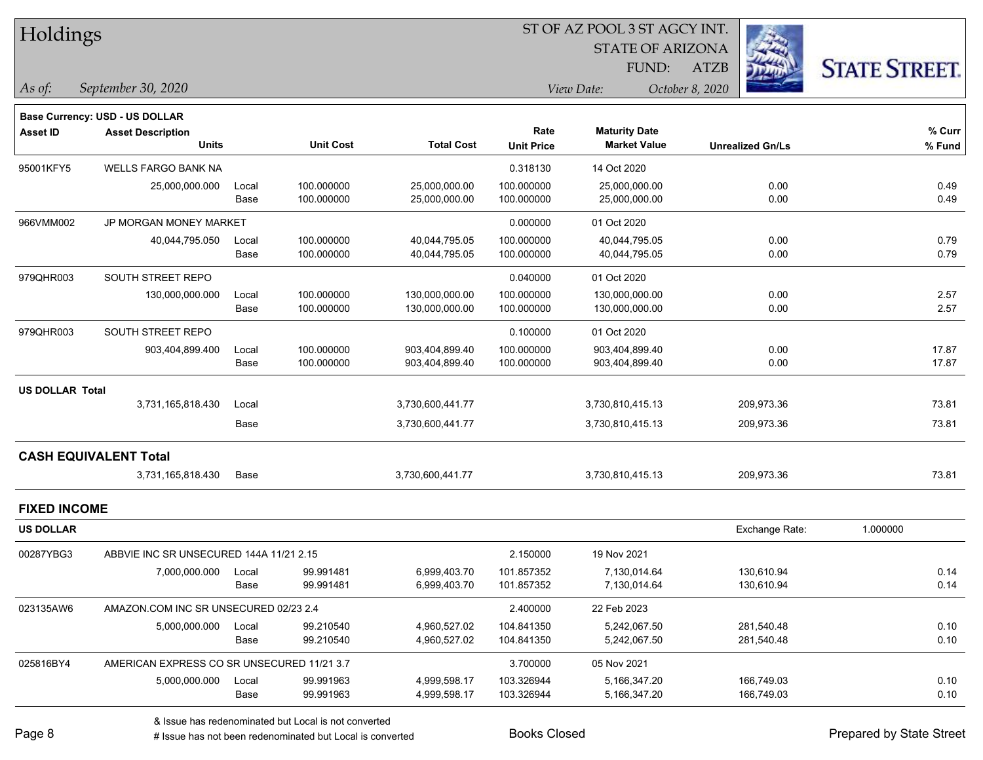| Holdings |
|----------|
|----------|

STATE OF ARIZONA

ATZB



*September 30, 2020 As of: View Date: October 8, 2020*

FUND:

|                        | <b>Base Currency: USD - US DOLLAR</b>      |       |                  |                   |                   |                      |                         |                    |
|------------------------|--------------------------------------------|-------|------------------|-------------------|-------------------|----------------------|-------------------------|--------------------|
| <b>Asset ID</b>        | <b>Asset Description</b>                   |       |                  |                   | Rate              | <b>Maturity Date</b> | <b>Unrealized Gn/Ls</b> | % Curr<br>$%$ Fund |
|                        | <b>Units</b>                               |       | <b>Unit Cost</b> | <b>Total Cost</b> | <b>Unit Price</b> | <b>Market Value</b>  |                         |                    |
| 95001KFY5              | <b>WELLS FARGO BANK NA</b>                 |       |                  |                   | 0.318130          | 14 Oct 2020          |                         |                    |
|                        | 25,000,000.000                             | Local | 100.000000       | 25,000,000.00     | 100.000000        | 25,000,000.00        | 0.00                    | 0.49               |
|                        |                                            | Base  | 100.000000       | 25,000,000.00     | 100.000000        | 25,000,000.00        | 0.00                    | 0.49               |
| 966VMM002              | JP MORGAN MONEY MARKET                     |       |                  |                   | 0.000000          | 01 Oct 2020          |                         |                    |
|                        | 40,044,795.050                             | Local | 100.000000       | 40,044,795.05     | 100.000000        | 40,044,795.05        | 0.00                    | 0.79               |
|                        |                                            | Base  | 100.000000       | 40,044,795.05     | 100.000000        | 40,044,795.05        | 0.00                    | 0.79               |
| 979QHR003              | SOUTH STREET REPO                          |       |                  |                   | 0.040000          | 01 Oct 2020          |                         |                    |
|                        | 130,000,000.000                            | Local | 100.000000       | 130,000,000.00    | 100.000000        | 130,000,000.00       | 0.00                    | 2.57               |
|                        |                                            | Base  | 100.000000       | 130,000,000.00    | 100.000000        | 130,000,000.00       | 0.00                    | 2.57               |
| 979QHR003              | SOUTH STREET REPO                          |       |                  |                   | 0.100000          | 01 Oct 2020          |                         |                    |
|                        | 903,404,899.400                            | Local | 100.000000       | 903,404,899.40    | 100.000000        | 903,404,899.40       | 0.00                    | 17.87              |
|                        |                                            | Base  | 100.000000       | 903,404,899.40    | 100.000000        | 903,404,899.40       | 0.00                    | 17.87              |
| <b>US DOLLAR Total</b> |                                            |       |                  |                   |                   |                      |                         |                    |
|                        | 3,731,165,818.430                          | Local |                  | 3,730,600,441.77  |                   | 3,730,810,415.13     | 209,973.36              | 73.81              |
|                        |                                            | Base  |                  | 3,730,600,441.77  |                   | 3,730,810,415.13     | 209,973.36              | 73.81              |
|                        | <b>CASH EQUIVALENT Total</b>               |       |                  |                   |                   |                      |                         |                    |
|                        | 3,731,165,818.430                          | Base  |                  | 3,730,600,441.77  |                   | 3,730,810,415.13     | 209,973.36              | 73.81              |
| <b>FIXED INCOME</b>    |                                            |       |                  |                   |                   |                      |                         |                    |
| <b>US DOLLAR</b>       |                                            |       |                  |                   |                   |                      | Exchange Rate:          | 1.000000           |
| 00287YBG3              | ABBVIE INC SR UNSECURED 144A 11/21 2.15    |       |                  |                   | 2.150000          | 19 Nov 2021          |                         |                    |
|                        | 7,000,000.000                              | Local | 99.991481        | 6,999,403.70      | 101.857352        | 7,130,014.64         | 130,610.94              | 0.14               |
|                        |                                            | Base  | 99.991481        | 6,999,403.70      | 101.857352        | 7,130,014.64         | 130,610.94              | 0.14               |
| 023135AW6              | AMAZON.COM INC SR UNSECURED 02/23 2.4      |       |                  |                   | 2.400000          | 22 Feb 2023          |                         |                    |
|                        | 5,000,000.000                              | Local | 99.210540        | 4,960,527.02      | 104.841350        | 5,242,067.50         | 281,540.48              | 0.10               |
|                        |                                            | Base  | 99.210540        | 4,960,527.02      | 104.841350        | 5,242,067.50         | 281,540.48              | 0.10               |
| 025816BY4              | AMERICAN EXPRESS CO SR UNSECURED 11/21 3.7 |       |                  |                   | 3.700000          | 05 Nov 2021          |                         |                    |
|                        | 5,000,000.000                              | Local | 99.991963        | 4,999,598.17      | 103.326944        | 5,166,347.20         | 166.749.03              | 0.10               |

# Issue has not been redenominated but Local is converted Books Closed Prepared by State Street

Base 99.991963 4,999,598.17 103.326944 5,166,347.20 166,749.03 0.10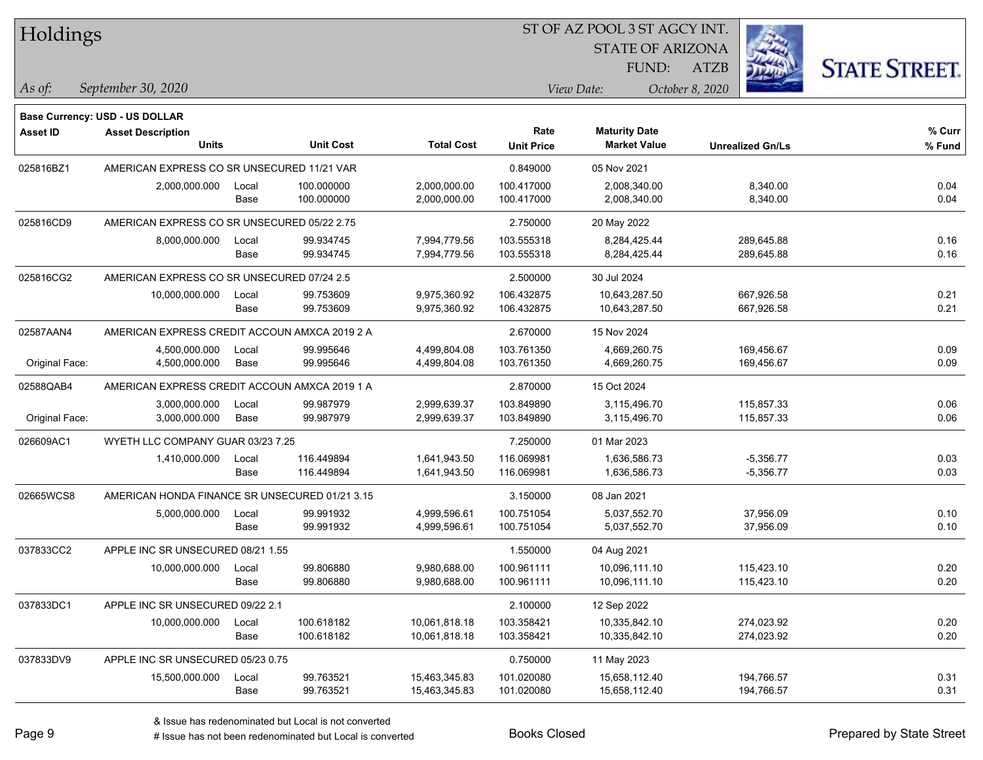| Holdings        |                                                |       |                  |                   | ST OF AZ POOL 3 ST AGCY INT. |                         |                         |                      |
|-----------------|------------------------------------------------|-------|------------------|-------------------|------------------------------|-------------------------|-------------------------|----------------------|
|                 |                                                |       |                  |                   |                              | <b>STATE OF ARIZONA</b> |                         |                      |
|                 |                                                |       |                  |                   |                              | FUND:                   | <b>ATZB</b>             | <b>STATE STREET.</b> |
| As of:          | September 30, 2020                             |       |                  |                   |                              | View Date:              | October 8, 2020         |                      |
|                 | <b>Base Currency: USD - US DOLLAR</b>          |       |                  |                   |                              |                         |                         |                      |
| <b>Asset ID</b> | <b>Asset Description</b>                       |       |                  |                   | Rate                         | <b>Maturity Date</b>    |                         | % Curr               |
|                 | <b>Units</b>                                   |       | <b>Unit Cost</b> | <b>Total Cost</b> | <b>Unit Price</b>            | <b>Market Value</b>     | <b>Unrealized Gn/Ls</b> | % Fund               |
| 025816BZ1       | AMERICAN EXPRESS CO SR UNSECURED 11/21 VAR     |       |                  |                   | 0.849000                     | 05 Nov 2021             |                         |                      |
|                 | 2,000,000.000                                  | Local | 100.000000       | 2,000,000.00      | 100.417000                   | 2,008,340.00            | 8,340.00                | 0.04                 |
|                 |                                                | Base  | 100.000000       | 2,000,000.00      | 100.417000                   | 2,008,340.00            | 8,340.00                | 0.04                 |
| 025816CD9       | AMERICAN EXPRESS CO SR UNSECURED 05/22 2.75    |       |                  |                   | 2.750000                     | 20 May 2022             |                         |                      |
|                 | 8,000,000.000                                  | Local | 99.934745        | 7,994,779.56      | 103.555318                   | 8,284,425.44            | 289,645.88              | 0.16                 |
|                 |                                                | Base  | 99.934745        | 7,994,779.56      | 103.555318                   | 8,284,425.44            | 289,645.88              | 0.16                 |
| 025816CG2       | AMERICAN EXPRESS CO SR UNSECURED 07/24 2.5     |       |                  | 2.500000          | 30 Jul 2024                  |                         |                         |                      |
|                 | 10,000,000.000                                 | Local | 99.753609        | 9,975,360.92      | 106.432875                   | 10,643,287.50           | 667,926.58              | 0.21                 |
|                 |                                                | Base  | 99.753609        | 9,975,360.92      | 106.432875                   | 10,643,287.50           | 667,926.58              | 0.21                 |
| 02587AAN4       | AMERICAN EXPRESS CREDIT ACCOUN AMXCA 2019 2 A  |       |                  |                   | 2.670000                     | 15 Nov 2024             |                         |                      |
|                 | 4,500,000.000                                  | Local | 99.995646        | 4,499,804.08      | 103.761350                   | 4,669,260.75            | 169,456.67              | 0.09                 |
| Original Face:  | 4,500,000.000                                  | Base  | 99.995646        | 4,499,804.08      | 103.761350                   | 4,669,260.75            | 169,456.67              | 0.09                 |
| 02588QAB4       | AMERICAN EXPRESS CREDIT ACCOUN AMXCA 2019 1 A  |       |                  |                   | 2.870000                     | 15 Oct 2024             |                         |                      |
|                 | 3,000,000.000                                  | Local | 99.987979        | 2,999,639.37      | 103.849890                   | 3,115,496.70            | 115,857.33              | 0.06                 |
| Original Face:  | 3,000,000.000                                  | Base  | 99.987979        | 2,999,639.37      | 103.849890                   | 3,115,496.70            | 115,857.33              | 0.06                 |
| 026609AC1       | WYETH LLC COMPANY GUAR 03/23 7.25              |       |                  |                   | 7.250000                     | 01 Mar 2023             |                         |                      |
|                 | 1,410,000.000                                  | Local | 116.449894       | 1,641,943.50      | 116.069981                   | 1,636,586.73            | $-5,356.77$             | 0.03                 |
|                 |                                                | Base  | 116.449894       | 1,641,943.50      | 116.069981                   | 1,636,586.73            | $-5,356.77$             | 0.03                 |
| 02665WCS8       | AMERICAN HONDA FINANCE SR UNSECURED 01/21 3.15 |       |                  |                   | 3.150000                     | 08 Jan 2021             |                         |                      |
|                 | 5,000,000.000                                  | Local | 99.991932        | 4,999,596.61      | 100.751054                   | 5,037,552.70            | 37,956.09               | 0.10                 |
|                 |                                                | Base  | 99.991932        | 4,999,596.61      | 100.751054                   | 5,037,552.70            | 37,956.09               | 0.10                 |
| 037833CC2       | APPLE INC SR UNSECURED 08/21 1.55              |       |                  |                   | 1.550000                     | 04 Aug 2021             |                         |                      |
|                 | 10,000,000.000                                 | Local | 99.806880        | 9,980,688.00      | 100.961111                   | 10,096,111.10           | 115,423.10              | 0.20                 |
|                 |                                                | Base  | 99.806880        | 9,980,688.00      | 100.961111                   | 10,096,111.10           | 115,423.10              | 0.20                 |
| 037833DC1       | APPLE INC SR UNSECURED 09/22 2.1               |       |                  |                   | 2.100000                     | 12 Sep 2022             |                         |                      |
|                 | 10,000,000.000                                 | Local | 100.618182       | 10,061,818.18     | 103.358421                   | 10,335,842.10           | 274,023.92              | 0.20                 |
|                 |                                                | Base  | 100.618182       | 10,061,818.18     | 103.358421                   | 10,335,842.10           | 274,023.92              | 0.20                 |
| 037833DV9       | APPLE INC SR UNSECURED 05/23 0.75              |       |                  |                   | 0.750000                     | 11 May 2023             |                         |                      |
|                 | 15,500,000.000                                 | Local | 99.763521        | 15,463,345.83     | 101.020080                   | 15,658,112.40           | 194,766.57              | 0.31                 |
|                 |                                                | Base  | 99.763521        | 15,463,345.83     | 101.020080                   | 15,658,112.40           | 194,766.57              | 0.31                 |

L

 $\overline{\phantom{a}}$ 

 $\overline{\phantom{0}}$ 

 $\overline{\phantom{0}}$ 

 $\overline{\phantom{0}}$ 

 $\overline{\phantom{0}}$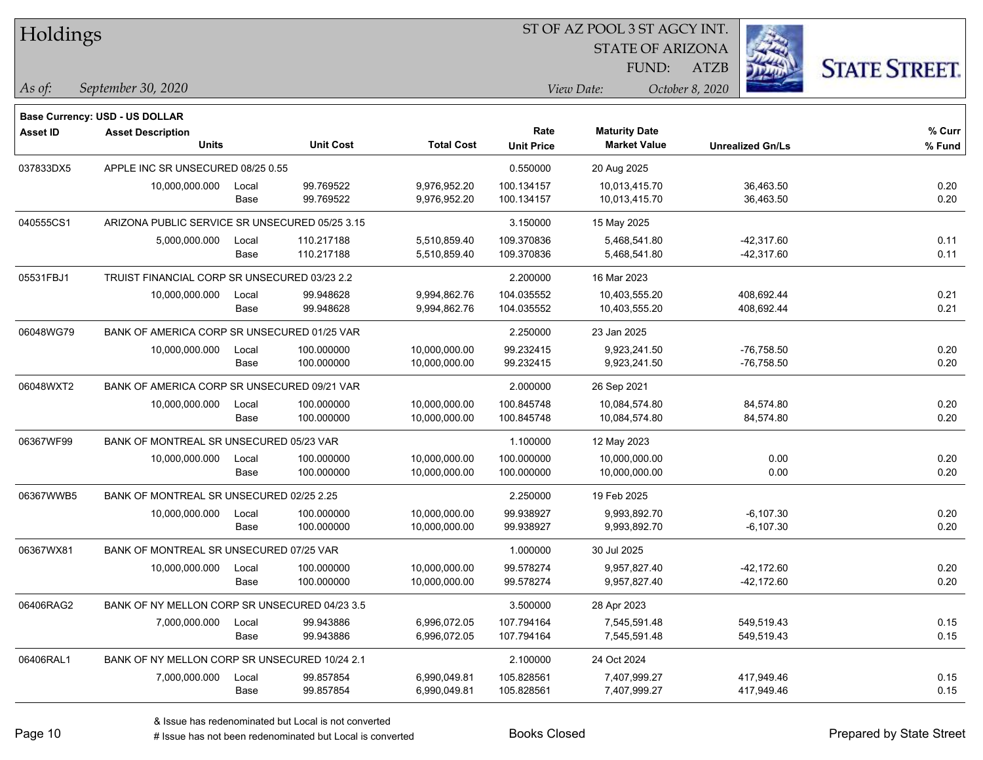| Holdings        |                                                |       |                  |                   | 51 OF AZ POOL 351 AGCY INT. |                                             |                         |                      |  |  |
|-----------------|------------------------------------------------|-------|------------------|-------------------|-----------------------------|---------------------------------------------|-------------------------|----------------------|--|--|
|                 |                                                |       |                  |                   |                             | <b>STATE OF ARIZONA</b>                     |                         |                      |  |  |
|                 |                                                |       |                  |                   |                             | FUND:                                       | ATZB                    | <b>STATE STREET.</b> |  |  |
| As of:          | September 30, 2020                             |       |                  |                   |                             | View Date:                                  | October 8, 2020         |                      |  |  |
|                 |                                                |       |                  |                   |                             |                                             |                         |                      |  |  |
|                 | <b>Base Currency: USD - US DOLLAR</b>          |       |                  |                   |                             |                                             |                         |                      |  |  |
| <b>Asset ID</b> | <b>Asset Description</b><br><b>Units</b>       |       | <b>Unit Cost</b> | <b>Total Cost</b> | Rate<br><b>Unit Price</b>   | <b>Maturity Date</b><br><b>Market Value</b> | <b>Unrealized Gn/Ls</b> | $%$ Curr<br>% Fund   |  |  |
|                 |                                                |       |                  |                   |                             |                                             |                         |                      |  |  |
| 037833DX5       | APPLE INC SR UNSECURED 08/25 0.55              |       |                  |                   | 0.550000                    | 20 Aug 2025                                 |                         |                      |  |  |
|                 | 10,000,000.000                                 | Local | 99.769522        | 9,976,952.20      | 100.134157                  | 10,013,415.70                               | 36,463.50               | 0.20                 |  |  |
|                 |                                                | Base  | 99.769522        | 9,976,952.20      | 100.134157                  | 10,013,415.70                               | 36,463.50               | 0.20                 |  |  |
| 040555CS1       | ARIZONA PUBLIC SERVICE SR UNSECURED 05/25 3.15 |       |                  |                   | 3.150000                    | 15 May 2025                                 |                         |                      |  |  |
|                 | 5,000,000.000                                  | Local | 110.217188       | 5,510,859.40      | 109.370836                  | 5,468,541.80                                | $-42,317.60$            | 0.11                 |  |  |
|                 |                                                | Base  | 110.217188       | 5,510,859.40      | 109.370836                  | 5,468,541.80                                | $-42,317.60$            | 0.11                 |  |  |
| 05531FBJ1       | TRUIST FINANCIAL CORP SR UNSECURED 03/23 2.2   |       |                  |                   | 2.200000                    | 16 Mar 2023                                 |                         |                      |  |  |
|                 | 10,000,000.000                                 | Local | 99.948628        | 9,994,862.76      | 104.035552                  | 10,403,555.20                               | 408,692.44              | 0.21                 |  |  |
|                 |                                                | Base  | 99.948628        | 9,994,862.76      | 104.035552                  | 10,403,555.20                               | 408,692.44              | 0.21                 |  |  |
| 06048WG79       | BANK OF AMERICA CORP SR UNSECURED 01/25 VAR    |       |                  |                   | 2.250000                    | 23 Jan 2025                                 |                         |                      |  |  |
|                 | 10,000,000.000                                 | Local | 100.000000       | 10,000,000.00     | 99.232415                   | 9,923,241.50                                | $-76,758.50$            | 0.20                 |  |  |
|                 |                                                | Base  | 100.000000       | 10,000,000.00     | 99.232415                   | 9,923,241.50                                | $-76,758.50$            | 0.20                 |  |  |
| 06048WXT2       | BANK OF AMERICA CORP SR UNSECURED 09/21 VAR    |       |                  |                   | 2.000000                    | 26 Sep 2021                                 |                         |                      |  |  |
|                 | 10,000,000.000                                 | Local | 100.000000       | 10,000,000.00     | 100.845748                  | 10,084,574.80                               | 84,574.80               | 0.20                 |  |  |
|                 |                                                | Base  | 100.000000       | 10,000,000.00     | 100.845748                  | 10,084,574.80                               | 84,574.80               | 0.20                 |  |  |
| 06367WF99       | BANK OF MONTREAL SR UNSECURED 05/23 VAR        |       |                  |                   | 1.100000                    | 12 May 2023                                 |                         |                      |  |  |
|                 | 10,000,000.000                                 | Local | 100.000000       | 10,000,000.00     | 100.000000                  | 10,000,000.00                               | 0.00                    | 0.20                 |  |  |
|                 |                                                | Base  | 100.000000       | 10,000,000.00     | 100.000000                  | 10,000,000.00                               | 0.00                    | 0.20                 |  |  |
| 06367WWB5       | BANK OF MONTREAL SR UNSECURED 02/25 2.25       |       |                  |                   | 2.250000                    | 19 Feb 2025                                 |                         |                      |  |  |
|                 | 10,000,000.000                                 | Local | 100.000000       | 10,000,000.00     | 99.938927                   | 9,993,892.70                                | $-6,107.30$             | 0.20                 |  |  |
|                 |                                                | Base  | 100.000000       | 10,000,000.00     | 99.938927                   | 9,993,892.70                                | $-6, 107.30$            | 0.20                 |  |  |
| 06367WX81       | BANK OF MONTREAL SR UNSECURED 07/25 VAR        |       |                  |                   | 1.000000                    | 30 Jul 2025                                 |                         |                      |  |  |
|                 | 10,000,000.000                                 | Local | 100.000000       | 10,000,000.00     | 99.578274                   | 9,957,827.40                                | $-42,172.60$            | 0.20                 |  |  |
|                 |                                                | Base  | 100.000000       | 10,000,000.00     | 99.578274                   | 9,957,827.40                                | $-42,172.60$            | 0.20                 |  |  |
| 06406RAG2       | BANK OF NY MELLON CORP SR UNSECURED 04/23 3.5  |       |                  |                   | 3.500000                    | 28 Apr 2023                                 |                         |                      |  |  |
|                 | 7,000,000.000                                  | Local | 99.943886        | 6,996,072.05      | 107.794164                  | 7,545,591.48                                | 549,519.43              | 0.15                 |  |  |
|                 |                                                | Base  | 99.943886        | 6,996,072.05      | 107.794164                  | 7,545,591.48                                | 549,519.43              | 0.15                 |  |  |
| 06406RAL1       | BANK OF NY MELLON CORP SR UNSECURED 10/24 2.1  |       |                  |                   | 2.100000                    | 24 Oct 2024                                 |                         |                      |  |  |
|                 | 7,000,000.000                                  | Local | 99.857854        | 6,990,049.81      | 105.828561                  | 7,407,999.27                                | 417,949.46              | 0.15                 |  |  |
|                 |                                                | Base  | 99.857854        | 6,990,049.81      | 105.828561                  | 7,407,999.27                                | 417,949.46              | 0.15                 |  |  |

ST OF A Z POOL 2 ST ACCV INT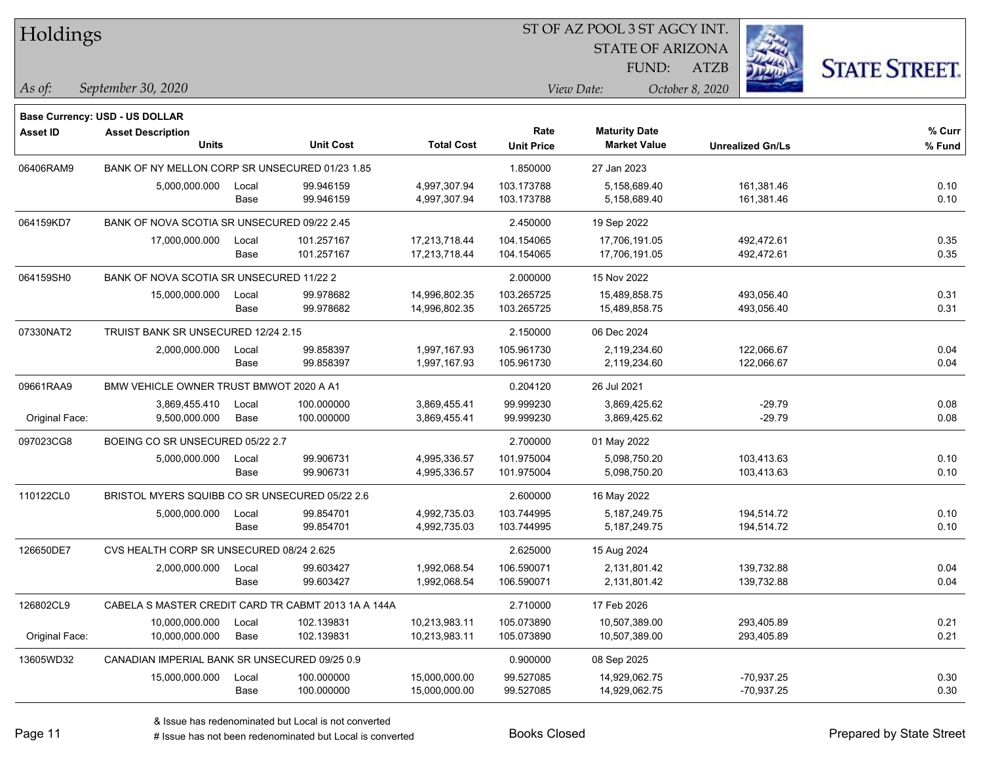| Holdings |
|----------|
|----------|

STATE OF ARIZONA

ATZB



*September 30, 2020 As of: View Date: October 8, 2020*

**Base Currency: USD - US DOLLAR**

FUND:

| Asset ID       | <b>Asset Description</b><br><b>Units</b>       |               | <b>Unit Cost</b>                                    | <b>Total Cost</b>              | Rate<br><b>Unit Price</b> | <b>Maturity Date</b><br><b>Market Value</b> | <b>Unrealized Gn/Ls</b>      | % Curr<br>% Fund |
|----------------|------------------------------------------------|---------------|-----------------------------------------------------|--------------------------------|---------------------------|---------------------------------------------|------------------------------|------------------|
| 06406RAM9      | BANK OF NY MELLON CORP SR UNSECURED 01/23 1.85 |               |                                                     | 1.850000                       | 27 Jan 2023               |                                             |                              |                  |
|                | 5,000,000.000                                  | Local<br>Base | 99.946159<br>99.946159                              | 4,997,307.94<br>4,997,307.94   | 103.173788<br>103.173788  | 5,158,689.40<br>5,158,689.40                | 161,381.46<br>161,381.46     | 0.10<br>0.10     |
| 064159KD7      | BANK OF NOVA SCOTIA SR UNSECURED 09/22 2.45    |               |                                                     | 2.450000                       | 19 Sep 2022               |                                             |                              |                  |
|                | 17,000,000.000                                 | Local<br>Base | 101.257167<br>101.257167                            | 17,213,718.44<br>17,213,718.44 | 104.154065<br>104.154065  | 17,706,191.05<br>17,706,191.05              | 492,472.61<br>492,472.61     | 0.35<br>0.35     |
| 064159SH0      | BANK OF NOVA SCOTIA SR UNSECURED 11/22 2       |               |                                                     |                                | 2.000000                  | 15 Nov 2022                                 |                              |                  |
|                | 15,000,000.000                                 | Local<br>Base | 99.978682<br>99.978682                              | 14,996,802.35<br>14,996,802.35 | 103.265725<br>103.265725  | 15,489,858.75<br>15,489,858.75              | 493,056.40<br>493,056.40     | 0.31<br>0.31     |
| 07330NAT2      | TRUIST BANK SR UNSECURED 12/24 2.15            |               |                                                     | 2.150000                       | 06 Dec 2024               |                                             |                              |                  |
|                | 2,000,000.000                                  | Local<br>Base | 99.858397<br>99.858397                              | 1,997,167.93<br>1,997,167.93   | 105.961730<br>105.961730  | 2,119,234.60<br>2,119,234.60                | 122,066.67<br>122,066.67     | 0.04<br>0.04     |
| 09661RAA9      | BMW VEHICLE OWNER TRUST BMWOT 2020 A A1        |               |                                                     |                                | 0.204120                  | 26 Jul 2021                                 |                              |                  |
| Original Face: | 3,869,455.410<br>9,500,000.000                 | Local<br>Base | 100.000000<br>100.000000                            | 3,869,455.41<br>3,869,455.41   | 99.999230<br>99.999230    | 3,869,425.62<br>3,869,425.62                | $-29.79$<br>$-29.79$         | 0.08<br>0.08     |
| 097023CG8      | BOEING CO SR UNSECURED 05/22 2.7               |               |                                                     | 2.700000                       | 01 May 2022               |                                             |                              |                  |
|                | 5,000,000.000                                  | Local<br>Base | 99.906731<br>99.906731                              | 4,995,336.57<br>4,995,336.57   | 101.975004<br>101.975004  | 5,098,750.20<br>5,098,750.20                | 103,413.63<br>103,413.63     | 0.10<br>0.10     |
| 110122CL0      | BRISTOL MYERS SQUIBB CO SR UNSECURED 05/22 2.6 |               |                                                     |                                | 2.600000                  | 16 May 2022                                 |                              |                  |
|                | 5,000,000.000                                  | Local<br>Base | 99.854701<br>99.854701                              | 4,992,735.03<br>4,992,735.03   | 103.744995<br>103.744995  | 5,187,249.75<br>5,187,249.75                | 194,514.72<br>194,514.72     | 0.10<br>0.10     |
| 126650DE7      | CVS HEALTH CORP SR UNSECURED 08/24 2.625       |               |                                                     |                                | 2.625000                  | 15 Aug 2024                                 |                              |                  |
|                | 2,000,000.000                                  | Local<br>Base | 99.603427<br>99.603427                              | 1,992,068.54<br>1,992,068.54   | 106.590071<br>106.590071  | 2,131,801.42<br>2,131,801.42                | 139,732.88<br>139,732.88     | 0.04<br>0.04     |
| 126802CL9      |                                                |               | CABELA S MASTER CREDIT CARD TR CABMT 2013 1A A 144A |                                | 2.710000                  | 17 Feb 2026                                 |                              |                  |
| Original Face: | 10,000,000.000<br>10,000,000.000               | Local<br>Base | 102.139831<br>102.139831                            | 10,213,983.11<br>10,213,983.11 | 105.073890<br>105.073890  | 10,507,389.00<br>10,507,389.00              | 293,405.89<br>293,405.89     | 0.21<br>0.21     |
| 13605WD32      | CANADIAN IMPERIAL BANK SR UNSECURED 09/25 0.9  |               |                                                     |                                | 0.900000                  | 08 Sep 2025                                 |                              |                  |
|                | 15,000,000.000                                 | Local<br>Base | 100.000000<br>100.000000                            | 15,000,000.00<br>15,000,000.00 | 99.527085<br>99.527085    | 14,929,062.75<br>14,929,062.75              | $-70,937.25$<br>$-70,937.25$ | 0.30<br>0.30     |

A ISSUE ISSUE ISSUE ISSUE ISSUE ISSUE ISSUE ISSUE ISSUE ISSUE ISSUE ISSUE ISSUE ISSUE ISSUE ISSUE ISSUE ISSUE I<br>
# Issue has not been redenominated but Local is converted **BOOKS** Closed **Prepared by State Street**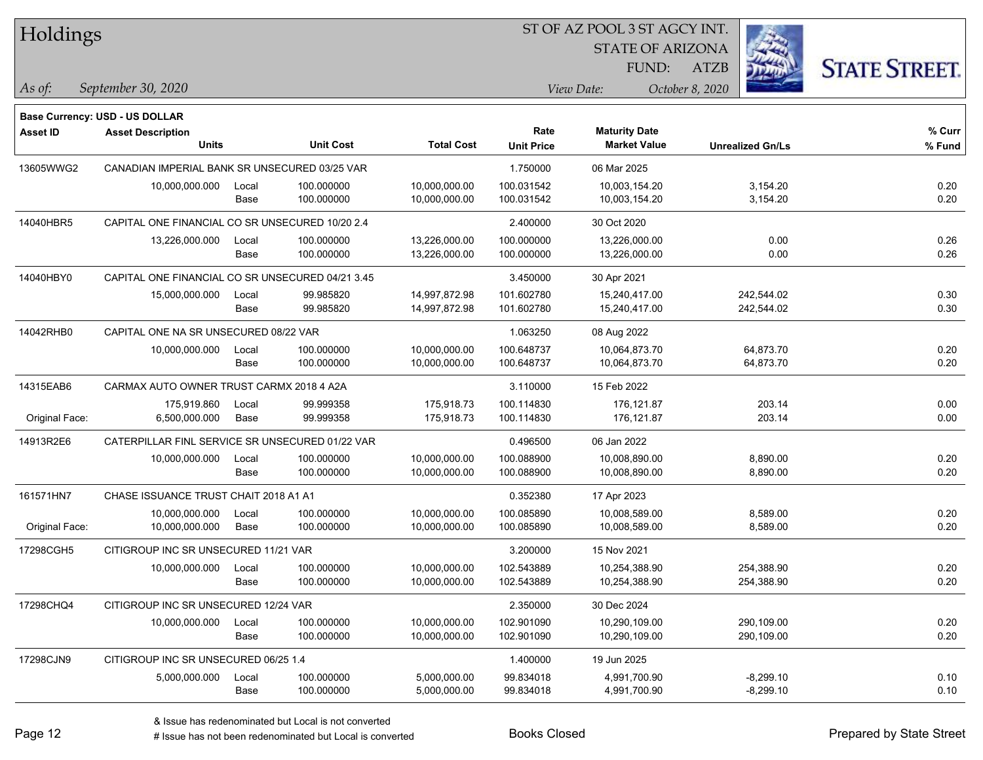| Holdings        |                                                  |       |                  |                   | ST OF AZ POOL 3 ST AGCY INT. |                         |                         |             |                      |
|-----------------|--------------------------------------------------|-------|------------------|-------------------|------------------------------|-------------------------|-------------------------|-------------|----------------------|
|                 |                                                  |       |                  |                   |                              | <b>STATE OF ARIZONA</b> |                         |             |                      |
|                 |                                                  |       |                  |                   |                              | FUND:                   | <b>ATZB</b>             |             | <b>STATE STREET.</b> |
| As of:          | September 30, 2020                               |       |                  |                   |                              | View Date:              | October 8, 2020         |             |                      |
|                 | Base Currency: USD - US DOLLAR                   |       |                  |                   |                              |                         |                         |             |                      |
| <b>Asset ID</b> | <b>Asset Description</b>                         |       |                  |                   | Rate                         | <b>Maturity Date</b>    |                         |             | % Curr               |
|                 | Units                                            |       | <b>Unit Cost</b> | <b>Total Cost</b> | <b>Unit Price</b>            | <b>Market Value</b>     | <b>Unrealized Gn/Ls</b> |             | % Fund               |
| 13605WWG2       | CANADIAN IMPERIAL BANK SR UNSECURED 03/25 VAR    |       |                  |                   | 1.750000                     | 06 Mar 2025             |                         |             |                      |
|                 | 10,000,000.000                                   | Local | 100.000000       | 10,000,000.00     | 100.031542                   | 10,003,154.20           |                         | 3,154.20    | 0.20                 |
|                 |                                                  | Base  | 100.000000       | 10,000,000.00     | 100.031542                   | 10,003,154.20           |                         | 3,154.20    | 0.20                 |
| 14040HBR5       | CAPITAL ONE FINANCIAL CO SR UNSECURED 10/20 2.4  |       |                  |                   | 2.400000                     | 30 Oct 2020             |                         |             |                      |
|                 | 13,226,000.000                                   | Local | 100.000000       | 13,226,000.00     | 100.000000                   | 13,226,000.00           |                         | 0.00        | 0.26                 |
|                 |                                                  | Base  | 100.000000       | 13,226,000.00     | 100.000000                   | 13,226,000.00           |                         | 0.00        | 0.26                 |
| 14040HBY0       | CAPITAL ONE FINANCIAL CO SR UNSECURED 04/21 3.45 |       |                  | 3.450000          | 30 Apr 2021                  |                         |                         |             |                      |
|                 | 15,000,000.000                                   | Local | 99.985820        | 14,997,872.98     | 101.602780                   | 15,240,417.00           |                         | 242,544.02  | 0.30                 |
|                 |                                                  | Base  | 99.985820        | 14,997,872.98     | 101.602780                   | 15,240,417.00           |                         | 242,544.02  | 0.30                 |
| 14042RHB0       | CAPITAL ONE NA SR UNSECURED 08/22 VAR            |       |                  |                   | 1.063250                     | 08 Aug 2022             |                         |             |                      |
|                 | 10,000,000.000                                   | Local | 100.000000       | 10,000,000.00     | 100.648737                   | 10,064,873.70           |                         | 64,873.70   | 0.20                 |
|                 |                                                  | Base  | 100.000000       | 10,000,000.00     | 100.648737                   | 10,064,873.70           |                         | 64,873.70   | 0.20                 |
| 14315EAB6       | CARMAX AUTO OWNER TRUST CARMX 2018 4 A2A         |       |                  | 3.110000          | 15 Feb 2022                  |                         |                         |             |                      |
|                 | 175,919.860                                      | Local | 99.999358        | 175,918.73        | 100.114830                   | 176,121.87              |                         | 203.14      | 0.00                 |
| Original Face:  | 6,500,000.000                                    | Base  | 99.999358        | 175,918.73        | 100.114830                   | 176,121.87              |                         | 203.14      | 0.00                 |
| 14913R2E6       | CATERPILLAR FINL SERVICE SR UNSECURED 01/22 VAR  |       |                  |                   | 0.496500                     | 06 Jan 2022             |                         |             |                      |
|                 | 10,000,000.000                                   | Local | 100.000000       | 10,000,000.00     | 100.088900                   | 10,008,890.00           |                         | 8,890.00    | 0.20                 |
|                 |                                                  | Base  | 100.000000       | 10,000,000.00     | 100.088900                   | 10,008,890.00           |                         | 8,890.00    | 0.20                 |
| 161571HN7       | CHASE ISSUANCE TRUST CHAIT 2018 A1 A1            |       |                  |                   | 0.352380                     | 17 Apr 2023             |                         |             |                      |
|                 | 10,000,000.000                                   | Local | 100.000000       | 10,000,000.00     | 100.085890                   | 10,008,589.00           |                         | 8,589.00    | 0.20                 |
| Original Face:  | 10,000,000.000                                   | Base  | 100.000000       | 10,000,000.00     | 100.085890                   | 10,008,589.00           |                         | 8,589.00    | 0.20                 |
| 17298CGH5       | CITIGROUP INC SR UNSECURED 11/21 VAR             |       |                  |                   | 3.200000                     | 15 Nov 2021             |                         |             |                      |
|                 | 10,000,000.000                                   | Local | 100.000000       | 10,000,000.00     | 102.543889                   | 10,254,388.90           |                         | 254,388.90  | 0.20                 |
|                 |                                                  | Base  | 100.000000       | 10,000,000.00     | 102.543889                   | 10,254,388.90           |                         | 254,388.90  | 0.20                 |
| 17298CHQ4       | CITIGROUP INC SR UNSECURED 12/24 VAR             |       |                  |                   | 2.350000                     | 30 Dec 2024             |                         |             |                      |
|                 | 10,000,000.000                                   | Local | 100.000000       | 10,000,000.00     | 102.901090                   | 10,290,109.00           |                         | 290,109.00  | 0.20                 |
|                 |                                                  | Base  | 100.000000       | 10,000,000.00     | 102.901090                   | 10,290,109.00           |                         | 290,109.00  | 0.20                 |
| 17298CJN9       | CITIGROUP INC SR UNSECURED 06/25 1.4             |       |                  |                   | 1.400000                     | 19 Jun 2025             |                         |             |                      |
|                 | 5,000,000.000                                    | Local | 100.000000       | 5,000,000.00      | 99.834018                    | 4,991,700.90            |                         | $-8,299.10$ | 0.10                 |
|                 |                                                  | Base  | 100.000000       | 5,000,000.00      | 99.834018                    | 4,991,700.90            |                         | $-8,299.10$ | 0.10                 |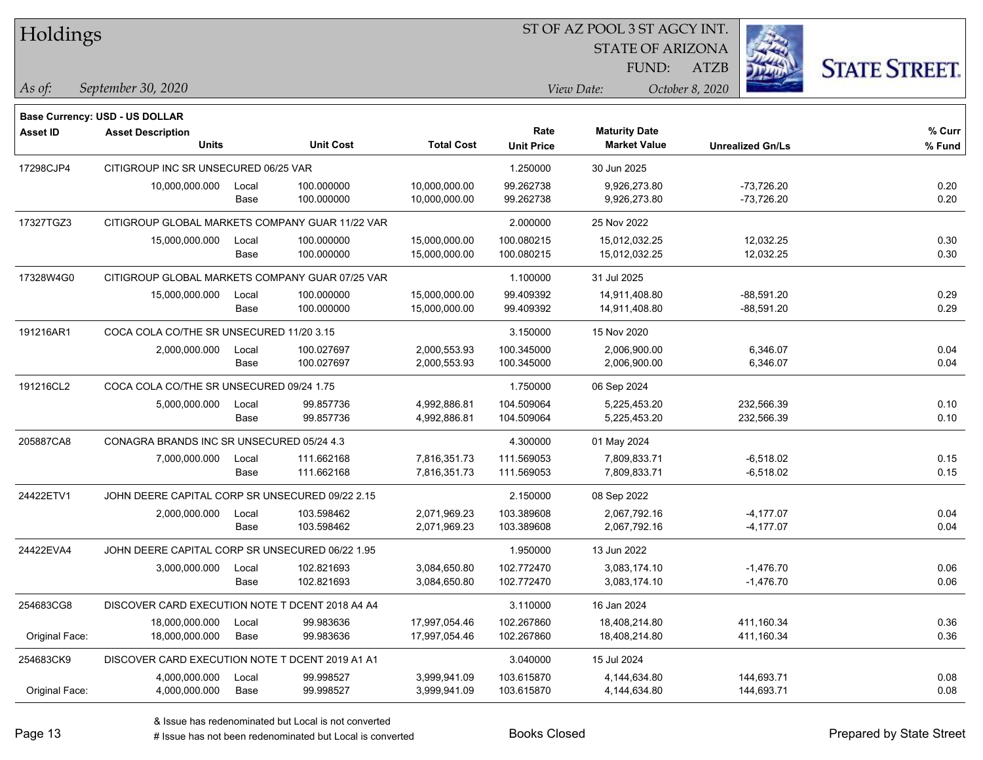| Holdings        |                                                 |       |                  |                   | ST OF AZ POOL 3 ST AGCY INT. |                         |                         |                      |  |
|-----------------|-------------------------------------------------|-------|------------------|-------------------|------------------------------|-------------------------|-------------------------|----------------------|--|
|                 |                                                 |       |                  |                   |                              | <b>STATE OF ARIZONA</b> |                         |                      |  |
|                 |                                                 |       |                  |                   |                              | FUND:                   | ATZB                    | <b>STATE STREET.</b> |  |
| As of:          | September 30, 2020                              |       |                  |                   |                              | View Date:              | October 8, 2020         |                      |  |
|                 | Base Currency: USD - US DOLLAR                  |       |                  |                   |                              |                         |                         |                      |  |
| <b>Asset ID</b> | <b>Asset Description</b>                        |       |                  |                   | Rate                         | <b>Maturity Date</b>    |                         | % Curr               |  |
|                 | <b>Units</b>                                    |       | <b>Unit Cost</b> | <b>Total Cost</b> | <b>Unit Price</b>            | <b>Market Value</b>     | <b>Unrealized Gn/Ls</b> | % Fund               |  |
| 17298CJP4       | CITIGROUP INC SR UNSECURED 06/25 VAR            |       |                  |                   | 1.250000                     | 30 Jun 2025             |                         |                      |  |
|                 | 10,000,000.000                                  | Local | 100.000000       | 10,000,000.00     | 99.262738                    | 9,926,273.80            | $-73,726.20$            | 0.20                 |  |
|                 |                                                 | Base  | 100.000000       | 10,000,000.00     | 99.262738                    | 9,926,273.80            | $-73,726.20$            | 0.20                 |  |
| 17327TGZ3       | CITIGROUP GLOBAL MARKETS COMPANY GUAR 11/22 VAR |       |                  |                   | 2.000000                     | 25 Nov 2022             |                         |                      |  |
|                 | 15,000,000.000                                  | Local | 100.000000       | 15,000,000.00     | 100.080215                   | 15,012,032.25           | 12,032.25               | 0.30                 |  |
|                 |                                                 | Base  | 100.000000       | 15,000,000.00     | 100.080215                   | 15,012,032.25           | 12,032.25               | 0.30                 |  |
| 17328W4G0       | CITIGROUP GLOBAL MARKETS COMPANY GUAR 07/25 VAR |       |                  |                   | 1.100000                     | 31 Jul 2025             |                         |                      |  |
|                 | 15,000,000.000                                  | Local | 100.000000       | 15,000,000.00     | 99.409392                    | 14,911,408.80           | $-88,591.20$            | 0.29                 |  |
|                 |                                                 | Base  | 100.000000       | 15,000,000.00     | 99.409392                    | 14,911,408.80           | $-88,591.20$            | 0.29                 |  |
| 191216AR1       | COCA COLA CO/THE SR UNSECURED 11/20 3.15        |       |                  |                   | 3.150000                     | 15 Nov 2020             |                         |                      |  |
|                 | 2,000,000.000                                   | Local | 100.027697       | 2,000,553.93      | 100.345000                   | 2,006,900.00            | 6,346.07                | 0.04                 |  |
|                 |                                                 | Base  | 100.027697       | 2,000,553.93      | 100.345000                   | 2,006,900.00            | 6,346.07                | 0.04                 |  |
| 191216CL2       | COCA COLA CO/THE SR UNSECURED 09/24 1.75        |       |                  |                   | 1.750000                     | 06 Sep 2024             |                         |                      |  |
|                 | 5,000,000.000                                   | Local | 99.857736        | 4,992,886.81      | 104.509064                   | 5,225,453.20            | 232,566.39              | 0.10                 |  |
|                 |                                                 | Base  | 99.857736        | 4,992,886.81      | 104.509064                   | 5,225,453.20            | 232,566.39              | 0.10                 |  |
| 205887CA8       | CONAGRA BRANDS INC SR UNSECURED 05/24 4.3       |       |                  |                   | 4.300000                     | 01 May 2024             |                         |                      |  |
|                 | 7,000,000.000                                   | Local | 111.662168       | 7,816,351.73      | 111.569053                   | 7,809,833.71            | $-6,518.02$             | 0.15                 |  |
|                 |                                                 | Base  | 111.662168       | 7,816,351.73      | 111.569053                   | 7,809,833.71            | $-6,518.02$             | 0.15                 |  |
| 24422ETV1       | JOHN DEERE CAPITAL CORP SR UNSECURED 09/22 2.15 |       |                  |                   | 2.150000                     | 08 Sep 2022             |                         |                      |  |
|                 | 2,000,000.000                                   | Local | 103.598462       | 2,071,969.23      | 103.389608                   | 2,067,792.16            | $-4,177.07$             | 0.04                 |  |
|                 |                                                 | Base  | 103.598462       | 2,071,969.23      | 103.389608                   | 2,067,792.16            | $-4,177.07$             | 0.04                 |  |
| 24422EVA4       | JOHN DEERE CAPITAL CORP SR UNSECURED 06/22 1.95 |       |                  |                   | 1.950000                     | 13 Jun 2022             |                         |                      |  |
|                 | 3,000,000.000                                   | Local | 102.821693       | 3,084,650.80      | 102.772470                   | 3,083,174.10            | $-1,476.70$             | 0.06                 |  |
|                 |                                                 | Base  | 102.821693       | 3,084,650.80      | 102.772470                   | 3,083,174.10            | $-1,476.70$             | 0.06                 |  |
| 254683CG8       | DISCOVER CARD EXECUTION NOTE T DCENT 2018 A4 A4 |       |                  |                   | 3.110000                     | 16 Jan 2024             |                         |                      |  |
|                 | 18,000,000.000                                  | Local | 99.983636        | 17,997,054.46     | 102.267860                   | 18,408,214.80           | 411,160.34              | 0.36                 |  |
| Original Face:  | 18,000,000.000                                  | Base  | 99.983636        | 17,997,054.46     | 102.267860                   | 18,408,214.80           | 411,160.34              | 0.36                 |  |
| 254683CK9       | DISCOVER CARD EXECUTION NOTE T DCENT 2019 A1 A1 |       |                  |                   | 3.040000                     | 15 Jul 2024             |                         |                      |  |
|                 | 4,000,000.000                                   | Local | 99.998527        | 3,999,941.09      | 103.615870                   | 4,144,634.80            | 144,693.71              | 0.08                 |  |
| Original Face:  | 4,000,000.000                                   | Base  | 99.998527        | 3,999,941.09      | 103.615870                   | 4,144,634.80            | 144,693.71              | 0.08                 |  |

٦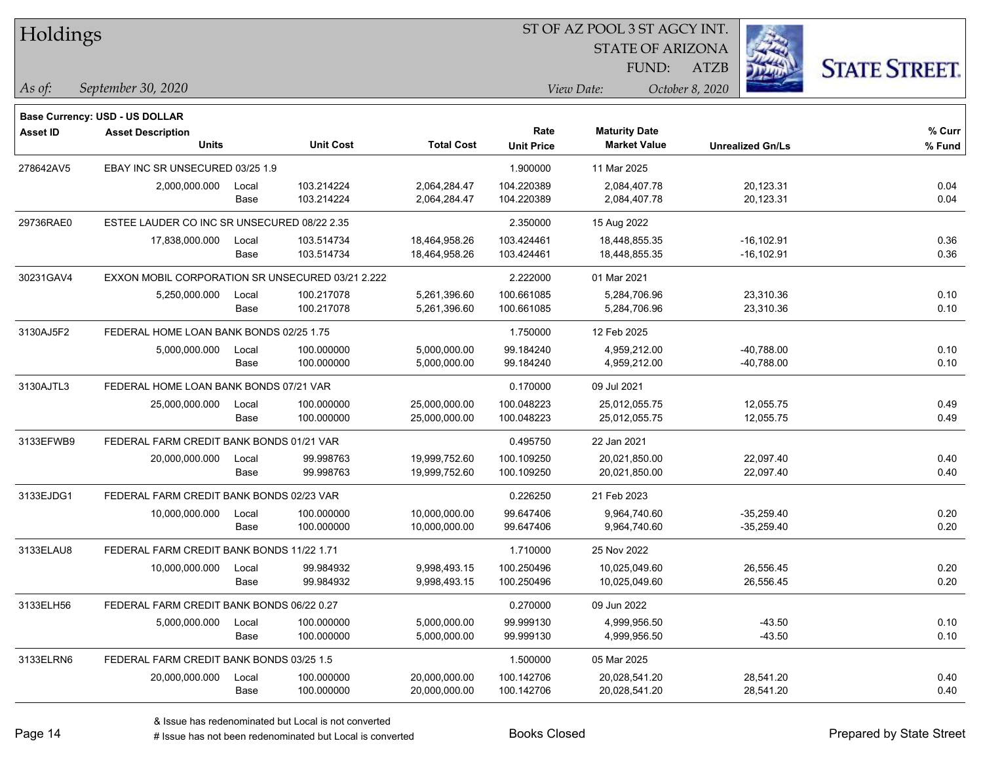| Holdings  |                                                  |       |                  |                   |                   | ST OF AZ POOL 3 ST AGCY INT. |                         |                      |
|-----------|--------------------------------------------------|-------|------------------|-------------------|-------------------|------------------------------|-------------------------|----------------------|
|           |                                                  |       |                  |                   |                   | <b>STATE OF ARIZONA</b>      |                         |                      |
|           |                                                  |       |                  |                   |                   | FUND:                        | <b>ATZB</b>             | <b>STATE STREET.</b> |
| As of:    | September 30, 2020                               |       |                  |                   |                   | View Date:                   | October 8, 2020         |                      |
|           | <b>Base Currency: USD - US DOLLAR</b>            |       |                  |                   |                   |                              |                         |                      |
| Asset ID  | <b>Asset Description</b>                         |       |                  |                   | Rate              | <b>Maturity Date</b>         |                         | % Curr               |
|           | <b>Units</b>                                     |       | <b>Unit Cost</b> | <b>Total Cost</b> | <b>Unit Price</b> | <b>Market Value</b>          | <b>Unrealized Gn/Ls</b> | % Fund               |
| 278642AV5 | EBAY INC SR UNSECURED 03/25 1.9                  |       |                  |                   | 1.900000          | 11 Mar 2025                  |                         |                      |
|           | 2,000,000.000                                    | Local | 103.214224       | 2,064,284.47      | 104.220389        | 2,084,407.78                 | 20,123.31               | 0.04                 |
|           |                                                  | Base  | 103.214224       | 2,064,284.47      | 104.220389        | 2,084,407.78                 | 20,123.31               | 0.04                 |
| 29736RAE0 | ESTEE LAUDER CO INC SR UNSECURED 08/22 2.35      |       |                  |                   | 2.350000          | 15 Aug 2022                  |                         |                      |
|           | 17,838,000.000                                   | Local | 103.514734       | 18,464,958.26     | 103.424461        | 18,448,855.35                | $-16, 102.91$           | 0.36                 |
|           |                                                  | Base  | 103.514734       | 18,464,958.26     | 103.424461        | 18,448,855.35                | $-16, 102.91$           | 0.36                 |
| 30231GAV4 | EXXON MOBIL CORPORATION SR UNSECURED 03/21 2.222 |       |                  |                   | 2.222000          | 01 Mar 2021                  |                         |                      |
|           | 5,250,000.000                                    | Local | 100.217078       | 5,261,396.60      | 100.661085        | 5,284,706.96                 | 23,310.36               | 0.10                 |
|           |                                                  | Base  | 100.217078       | 5,261,396.60      | 100.661085        | 5,284,706.96                 | 23,310.36               | 0.10                 |
| 3130AJ5F2 | FEDERAL HOME LOAN BANK BONDS 02/25 1.75          |       |                  |                   | 1.750000          | 12 Feb 2025                  |                         |                      |
|           | 5,000,000.000                                    | Local | 100.000000       | 5,000,000.00      | 99.184240         | 4,959,212.00                 | $-40,788.00$            | 0.10                 |
|           |                                                  | Base  | 100.000000       | 5,000,000.00      | 99.184240         | 4,959,212.00                 | $-40,788.00$            | 0.10                 |
| 3130AJTL3 | FEDERAL HOME LOAN BANK BONDS 07/21 VAR           |       |                  |                   | 0.170000          | 09 Jul 2021                  |                         |                      |
|           | 25,000,000.000                                   | Local | 100.000000       | 25,000,000.00     | 100.048223        | 25,012,055.75                | 12,055.75               | 0.49                 |
|           |                                                  | Base  | 100.000000       | 25,000,000.00     | 100.048223        | 25,012,055.75                | 12,055.75               | 0.49                 |
| 3133EFWB9 | FEDERAL FARM CREDIT BANK BONDS 01/21 VAR         |       |                  |                   | 0.495750          | 22 Jan 2021                  |                         |                      |
|           | 20,000,000.000                                   | Local | 99.998763        | 19,999,752.60     | 100.109250        | 20,021,850.00                | 22,097.40               | 0.40                 |
|           |                                                  | Base  | 99.998763        | 19,999,752.60     | 100.109250        | 20,021,850.00                | 22,097.40               | 0.40                 |
| 3133EJDG1 | FEDERAL FARM CREDIT BANK BONDS 02/23 VAR         |       |                  |                   | 0.226250          | 21 Feb 2023                  |                         |                      |
|           | 10,000,000.000                                   | Local | 100.000000       | 10,000,000.00     | 99.647406         | 9,964,740.60                 | $-35,259.40$            | 0.20                 |
|           |                                                  | Base  | 100.000000       | 10,000,000.00     | 99.647406         | 9,964,740.60                 | $-35,259.40$            | 0.20                 |
| 3133ELAU8 | FEDERAL FARM CREDIT BANK BONDS 11/22 1.71        |       |                  |                   | 1.710000          | 25 Nov 2022                  |                         |                      |
|           | 10,000,000.000                                   | Local | 99.984932        | 9,998,493.15      | 100.250496        | 10,025,049.60                | 26,556.45               | 0.20                 |
|           |                                                  | Base  | 99.984932        | 9,998,493.15      | 100.250496        | 10,025,049.60                | 26,556.45               | 0.20                 |
| 3133ELH56 | FEDERAL FARM CREDIT BANK BONDS 06/22 0.27        |       |                  |                   | 0.270000          | 09 Jun 2022                  |                         |                      |
|           | 5,000,000.000                                    | Local | 100.000000       | 5,000,000.00      | 99.999130         | 4,999,956.50                 | $-43.50$                | 0.10                 |
|           |                                                  | Base  | 100.000000       | 5,000,000.00      | 99.999130         | 4,999,956.50                 | $-43.50$                | 0.10                 |
| 3133ELRN6 | FEDERAL FARM CREDIT BANK BONDS 03/25 1.5         |       |                  |                   | 1.500000          | 05 Mar 2025                  |                         |                      |
|           | 20,000,000.000                                   | Local | 100.000000       | 20,000,000.00     | 100.142706        | 20,028,541.20                | 28,541.20               | 0.40                 |
|           |                                                  | Base  | 100.000000       | 20,000,000.00     | 100.142706        | 20,028,541.20                | 28,541.20               | 0.40                 |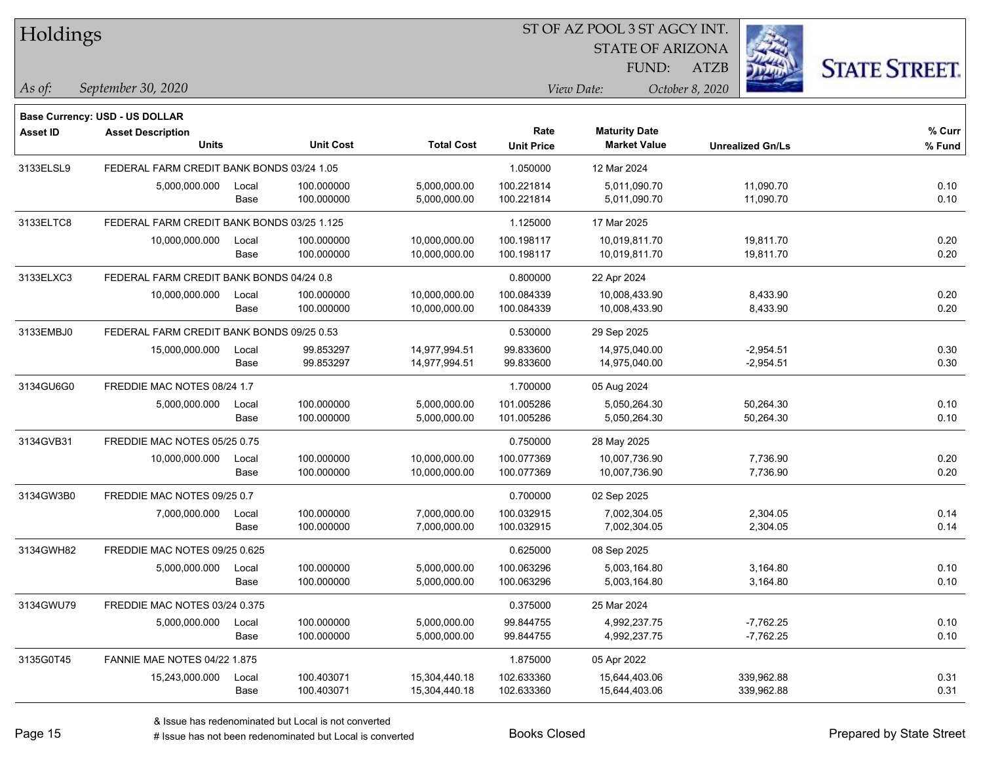| Holdings        |                                            |       |                  |                   | 51 OF AZ POOL 3 51 AGCY INT. |                         |                         |                      |  |  |
|-----------------|--------------------------------------------|-------|------------------|-------------------|------------------------------|-------------------------|-------------------------|----------------------|--|--|
|                 |                                            |       |                  |                   |                              | <b>STATE OF ARIZONA</b> |                         |                      |  |  |
|                 |                                            |       |                  |                   |                              | FUND:                   | <b>ATZB</b>             | <b>STATE STREET.</b> |  |  |
| As of:          | September 30, 2020                         |       |                  |                   |                              | View Date:              | October 8, 2020         |                      |  |  |
|                 | <b>Base Currency: USD - US DOLLAR</b>      |       |                  |                   |                              |                         |                         |                      |  |  |
| <b>Asset ID</b> | <b>Asset Description</b>                   |       |                  |                   | Rate                         | <b>Maturity Date</b>    |                         | % Curr               |  |  |
|                 | <b>Units</b>                               |       | <b>Unit Cost</b> | <b>Total Cost</b> | <b>Unit Price</b>            | <b>Market Value</b>     | <b>Unrealized Gn/Ls</b> | % Fund               |  |  |
| 3133ELSL9       | FEDERAL FARM CREDIT BANK BONDS 03/24 1.05  |       |                  |                   | 1.050000                     | 12 Mar 2024             |                         |                      |  |  |
|                 | 5,000,000.000                              | Local | 100.000000       | 5,000,000.00      | 100.221814                   | 5,011,090.70            | 11,090.70               | 0.10                 |  |  |
|                 |                                            | Base  | 100.000000       | 5,000,000.00      | 100.221814                   | 5,011,090.70            | 11,090.70               | 0.10                 |  |  |
| 3133ELTC8       | FEDERAL FARM CREDIT BANK BONDS 03/25 1.125 |       |                  |                   | 1.125000                     | 17 Mar 2025             |                         |                      |  |  |
|                 | 10,000,000.000                             | Local | 100.000000       | 10,000,000.00     | 100.198117                   | 10,019,811.70           | 19,811.70               | 0.20                 |  |  |
|                 |                                            | Base  | 100.000000       | 10,000,000.00     | 100.198117                   | 10,019,811.70           | 19,811.70               | 0.20                 |  |  |
| 3133ELXC3       | FEDERAL FARM CREDIT BANK BONDS 04/24 0.8   |       |                  |                   | 0.800000                     | 22 Apr 2024             |                         |                      |  |  |
|                 | 10,000,000.000                             | Local | 100.000000       | 10,000,000.00     | 100.084339                   | 10,008,433.90           | 8,433.90                | 0.20                 |  |  |
|                 |                                            | Base  | 100.000000       | 10,000,000.00     | 100.084339                   | 10,008,433.90           | 8,433.90                | 0.20                 |  |  |
| 3133EMBJ0       | FEDERAL FARM CREDIT BANK BONDS 09/25 0.53  |       |                  |                   | 0.530000                     | 29 Sep 2025             |                         |                      |  |  |
|                 | 15,000,000.000                             | Local | 99.853297        | 14,977,994.51     | 99.833600                    | 14,975,040.00           | $-2,954.51$             | 0.30                 |  |  |
|                 |                                            | Base  | 99.853297        | 14,977,994.51     | 99.833600                    | 14,975,040.00           | $-2,954.51$             | 0.30                 |  |  |
| 3134GU6G0       | FREDDIE MAC NOTES 08/24 1.7                |       |                  |                   | 1.700000                     | 05 Aug 2024             |                         |                      |  |  |
|                 | 5,000,000.000                              | Local | 100.000000       | 5,000,000.00      | 101.005286                   | 5,050,264.30            | 50,264.30               | 0.10                 |  |  |
|                 |                                            | Base  | 100.000000       | 5,000,000.00      | 101.005286                   | 5,050,264.30            | 50,264.30               | 0.10                 |  |  |
| 3134GVB31       | FREDDIE MAC NOTES 05/25 0.75               |       |                  |                   | 0.750000                     | 28 May 2025             |                         |                      |  |  |
|                 | 10,000,000.000                             | Local | 100.000000       | 10,000,000.00     | 100.077369                   | 10,007,736.90           | 7,736.90                | 0.20                 |  |  |
|                 |                                            | Base  | 100.000000       | 10,000,000.00     | 100.077369                   | 10,007,736.90           | 7,736.90                | 0.20                 |  |  |
| 3134GW3B0       | FREDDIE MAC NOTES 09/25 0.7                |       |                  |                   | 0.700000                     | 02 Sep 2025             |                         |                      |  |  |
|                 | 7,000,000.000                              | Local | 100.000000       | 7,000,000.00      | 100.032915                   | 7,002,304.05            | 2,304.05                | 0.14                 |  |  |
|                 |                                            | Base  | 100.000000       | 7,000,000.00      | 100.032915                   | 7,002,304.05            | 2,304.05                | 0.14                 |  |  |
| 3134GWH82       | FREDDIE MAC NOTES 09/25 0.625              |       |                  |                   | 0.625000                     | 08 Sep 2025             |                         |                      |  |  |
|                 | 5,000,000.000                              | Local | 100.000000       | 5,000,000.00      | 100.063296                   | 5,003,164.80            | 3,164.80                | 0.10                 |  |  |
|                 |                                            | Base  | 100.000000       | 5,000,000.00      | 100.063296                   | 5,003,164.80            | 3,164.80                | 0.10                 |  |  |
| 3134GWU79       | FREDDIE MAC NOTES 03/24 0.375              |       |                  |                   | 0.375000                     | 25 Mar 2024             |                         |                      |  |  |
|                 | 5,000,000.000                              | Local | 100.000000       | 5,000,000.00      | 99.844755                    | 4,992,237.75            | $-7,762.25$             | 0.10                 |  |  |
|                 |                                            | Base  | 100.000000       | 5,000,000.00      | 99.844755                    | 4,992,237.75            | $-7,762.25$             | 0.10                 |  |  |
| 3135G0T45       | <b>FANNIE MAE NOTES 04/22 1.875</b>        |       |                  |                   | 1.875000                     | 05 Apr 2022             |                         |                      |  |  |
|                 | 15,243,000.000                             | Local | 100.403071       | 15,304,440.18     | 102.633360                   | 15,644,403.06           | 339,962.88              | 0.31                 |  |  |
|                 |                                            | Base  | 100.403071       | 15,304,440.18     | 102.633360                   | 15,644,403.06           | 339,962.88              | 0.31                 |  |  |

ST OF A Z POOL 2 ST ACCV INT

**CONTRACTOR**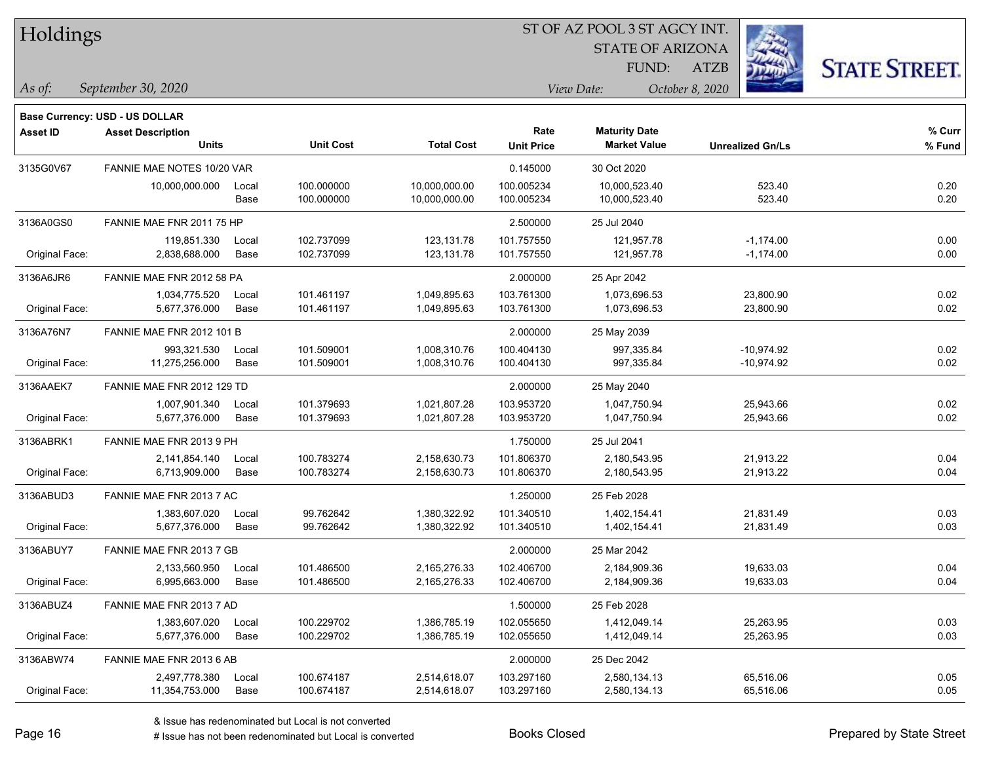| Holdings |
|----------|
|          |

STATE OF ARIZONA FUND:

ATZB



*September 30, 2020 As of: View Date: October 8, 2020*

**Base Currency: USD - US DOLLAR**

| <b>Asset ID</b> | <b>Asset Description</b>         |       |                  |                   | Rate              | <b>Maturity Date</b> |                         | % Curr |
|-----------------|----------------------------------|-------|------------------|-------------------|-------------------|----------------------|-------------------------|--------|
|                 | <b>Units</b>                     |       | <b>Unit Cost</b> | <b>Total Cost</b> | <b>Unit Price</b> | <b>Market Value</b>  | <b>Unrealized Gn/Ls</b> | % Fund |
| 3135G0V67       | FANNIE MAE NOTES 10/20 VAR       |       |                  |                   | 0.145000          | 30 Oct 2020          |                         |        |
|                 | 10,000,000.000                   | Local | 100.000000       | 10,000,000.00     | 100.005234        | 10,000,523.40        | 523.40                  | 0.20   |
|                 |                                  | Base  | 100.000000       | 10,000,000.00     | 100.005234        | 10,000,523.40        | 523.40                  | 0.20   |
| 3136A0GS0       | FANNIE MAE FNR 2011 75 HP        |       |                  |                   | 2.500000          | 25 Jul 2040          |                         |        |
|                 | 119,851.330                      | Local | 102.737099       | 123,131.78        | 101.757550        | 121,957.78           | $-1,174.00$             | 0.00   |
| Original Face:  | 2,838,688.000                    | Base  | 102.737099       | 123,131.78        | 101.757550        | 121,957.78           | $-1,174.00$             | 0.00   |
| 3136A6JR6       | FANNIE MAE FNR 2012 58 PA        |       |                  |                   | 2.000000          | 25 Apr 2042          |                         |        |
|                 | 1,034,775.520                    | Local | 101.461197       | 1,049,895.63      | 103.761300        | 1,073,696.53         | 23,800.90               | 0.02   |
| Original Face:  | 5,677,376.000                    | Base  | 101.461197       | 1,049,895.63      | 103.761300        | 1,073,696.53         | 23,800.90               | 0.02   |
| 3136A76N7       | <b>FANNIE MAE FNR 2012 101 B</b> |       |                  |                   | 2.000000          | 25 May 2039          |                         |        |
|                 | 993,321.530                      | Local | 101.509001       | 1,008,310.76      | 100.404130        | 997,335.84           | $-10,974.92$            | 0.02   |
| Original Face:  | 11,275,256.000                   | Base  | 101.509001       | 1,008,310.76      | 100.404130        | 997,335.84           | $-10,974.92$            | 0.02   |
| 3136AAEK7       | FANNIE MAE FNR 2012 129 TD       |       |                  |                   | 2.000000          | 25 May 2040          |                         |        |
|                 | 1,007,901.340                    | Local | 101.379693       | 1,021,807.28      | 103.953720        | 1,047,750.94         | 25,943.66               | 0.02   |
| Original Face:  | 5,677,376.000                    | Base  | 101.379693       | 1,021,807.28      | 103.953720        | 1,047,750.94         | 25,943.66               | 0.02   |
| 3136ABRK1       | FANNIE MAE FNR 2013 9 PH         |       |                  |                   | 1.750000          | 25 Jul 2041          |                         |        |
|                 | 2,141,854.140                    | Local | 100.783274       | 2,158,630.73      | 101.806370        | 2,180,543.95         | 21,913.22               | 0.04   |
| Original Face:  | 6,713,909.000                    | Base  | 100.783274       | 2,158,630.73      | 101.806370        | 2,180,543.95         | 21,913.22               | 0.04   |
| 3136ABUD3       | FANNIE MAE FNR 2013 7 AC         |       |                  |                   | 1.250000          | 25 Feb 2028          |                         |        |
|                 | 1,383,607.020                    | Local | 99.762642        | 1,380,322.92      | 101.340510        | 1,402,154.41         | 21,831.49               | 0.03   |
| Original Face:  | 5,677,376.000                    | Base  | 99.762642        | 1,380,322.92      | 101.340510        | 1,402,154.41         | 21,831.49               | 0.03   |
| 3136ABUY7       | FANNIE MAE FNR 2013 7 GB         |       |                  |                   | 2.000000          | 25 Mar 2042          |                         |        |
|                 | 2,133,560.950                    | Local | 101.486500       | 2,165,276.33      | 102.406700        | 2,184,909.36         | 19,633.03               | 0.04   |
| Original Face:  | 6,995,663.000                    | Base  | 101.486500       | 2,165,276.33      | 102.406700        | 2,184,909.36         | 19,633.03               | 0.04   |
| 3136ABUZ4       | FANNIE MAE FNR 2013 7 AD         |       |                  |                   | 1.500000          | 25 Feb 2028          |                         |        |
|                 | 1,383,607.020                    | Local | 100.229702       | 1,386,785.19      | 102.055650        | 1,412,049.14         | 25,263.95               | 0.03   |
| Original Face:  | 5,677,376.000                    | Base  | 100.229702       | 1,386,785.19      | 102.055650        | 1,412,049.14         | 25,263.95               | 0.03   |
| 3136ABW74       | FANNIE MAE FNR 2013 6 AB         |       |                  |                   | 2.000000          | 25 Dec 2042          |                         |        |
|                 | 2,497,778.380                    | Local | 100.674187       | 2,514,618.07      | 103.297160        | 2,580,134.13         | 65,516.06               | 0.05   |

Original Face: 11,354,753.000 Base 100.674187 2,514,618.07 103.297160 2,580,134.13 65,516.06 0.05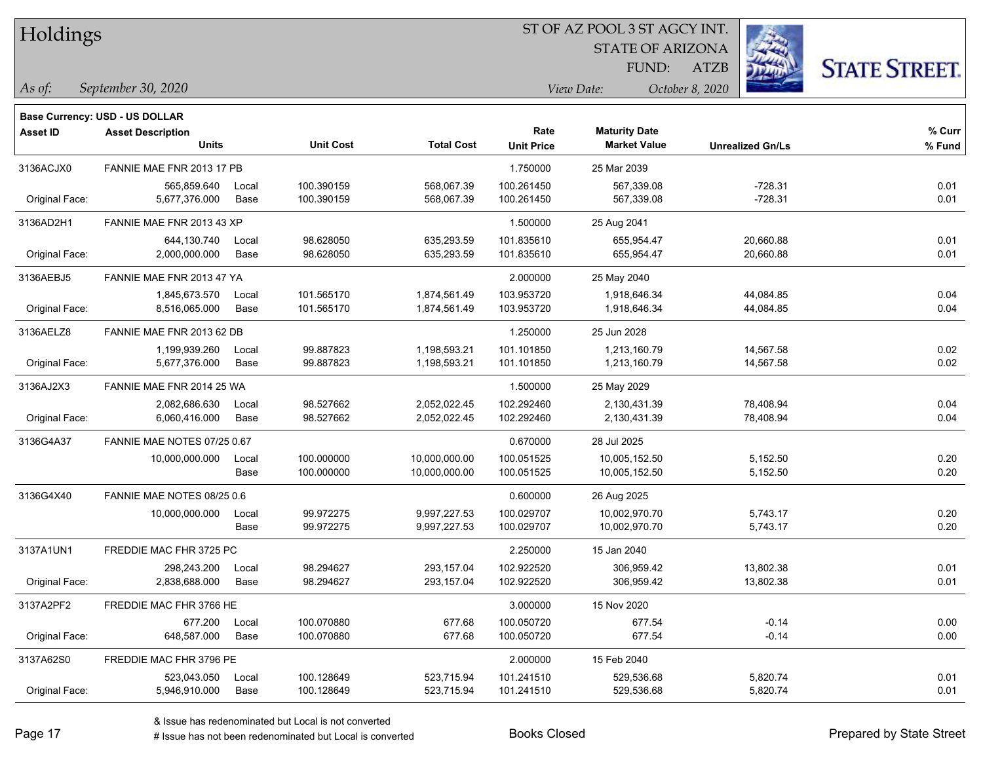| Holdings |
|----------|
|          |

STATE OF ARIZONA

ATZB



*September 30, 2020 As of: View Date: October 8, 2020*

**Base Currency: USD - US DOLLAR**

| <b>Asset ID</b> | <b>Asset Description</b>    |       |                  |                   | Rate              | <b>Maturity Date</b> |                         | % Curr |
|-----------------|-----------------------------|-------|------------------|-------------------|-------------------|----------------------|-------------------------|--------|
|                 | <b>Units</b>                |       | <b>Unit Cost</b> | <b>Total Cost</b> | <b>Unit Price</b> | <b>Market Value</b>  | <b>Unrealized Gn/Ls</b> | % Fund |
| 3136ACJX0       | FANNIE MAE FNR 2013 17 PB   |       |                  |                   | 1.750000          | 25 Mar 2039          |                         |        |
|                 | 565,859.640                 | Local | 100.390159       | 568,067.39        | 100.261450        | 567,339.08           | $-728.31$               | 0.01   |
| Original Face:  | 5,677,376.000               | Base  | 100.390159       | 568,067.39        | 100.261450        | 567,339.08           | $-728.31$               | 0.01   |
| 3136AD2H1       | FANNIE MAE FNR 2013 43 XP   |       |                  |                   | 1.500000          | 25 Aug 2041          |                         |        |
|                 | 644,130.740                 | Local | 98.628050        | 635,293.59        | 101.835610        | 655,954.47           | 20,660.88               | 0.01   |
| Original Face:  | 2,000,000.000               | Base  | 98.628050        | 635,293.59        | 101.835610        | 655,954.47           | 20,660.88               | 0.01   |
| 3136AEBJ5       | FANNIE MAE FNR 2013 47 YA   |       |                  |                   | 2.000000          | 25 May 2040          |                         |        |
|                 | 1,845,673.570               | Local | 101.565170       | 1,874,561.49      | 103.953720        | 1,918,646.34         | 44,084.85               | 0.04   |
| Original Face:  | 8,516,065.000               | Base  | 101.565170       | 1,874,561.49      | 103.953720        | 1,918,646.34         | 44,084.85               | 0.04   |
| 3136AELZ8       | FANNIE MAE FNR 2013 62 DB   |       |                  |                   | 1.250000          | 25 Jun 2028          |                         |        |
|                 | 1,199,939.260               | Local | 99.887823        | 1,198,593.21      | 101.101850        | 1,213,160.79         | 14,567.58               | 0.02   |
| Original Face:  | 5,677,376.000               | Base  | 99.887823        | 1,198,593.21      | 101.101850        | 1,213,160.79         | 14,567.58               | 0.02   |
| 3136AJ2X3       | FANNIE MAE FNR 2014 25 WA   |       |                  |                   | 1.500000          | 25 May 2029          |                         |        |
|                 | 2,082,686.630               | Local | 98.527662        | 2,052,022.45      | 102.292460        | 2,130,431.39         | 78,408.94               | 0.04   |
| Original Face:  | 6,060,416.000               | Base  | 98.527662        | 2,052,022.45      | 102.292460        | 2,130,431.39         | 78,408.94               | 0.04   |
| 3136G4A37       | FANNIE MAE NOTES 07/25 0.67 |       |                  |                   | 0.670000          | 28 Jul 2025          |                         |        |
|                 | 10,000,000.000              | Local | 100.000000       | 10,000,000.00     | 100.051525        | 10,005,152.50        | 5,152.50                | 0.20   |
|                 |                             | Base  | 100.000000       | 10,000,000.00     | 100.051525        | 10,005,152.50        | 5,152.50                | 0.20   |
| 3136G4X40       | FANNIE MAE NOTES 08/25 0.6  |       |                  |                   | 0.600000          | 26 Aug 2025          |                         |        |
|                 | 10,000,000.000              | Local | 99.972275        | 9,997,227.53      | 100.029707        | 10,002,970.70        | 5,743.17                | 0.20   |
|                 |                             | Base  | 99.972275        | 9,997,227.53      | 100.029707        | 10,002,970.70        | 5,743.17                | 0.20   |
| 3137A1UN1       | FREDDIE MAC FHR 3725 PC     |       |                  |                   | 2.250000          | 15 Jan 2040          |                         |        |
|                 | 298,243.200                 | Local | 98.294627        | 293,157.04        | 102.922520        | 306,959.42           | 13,802.38               | 0.01   |
| Original Face:  | 2,838,688.000               | Base  | 98.294627        | 293,157.04        | 102.922520        | 306,959.42           | 13,802.38               | 0.01   |
| 3137A2PF2       | FREDDIE MAC FHR 3766 HE     |       |                  |                   | 3.000000          | 15 Nov 2020          |                         |        |
|                 | 677.200                     | Local | 100.070880       | 677.68            | 100.050720        | 677.54               | $-0.14$                 | 0.00   |
| Original Face:  | 648,587.000                 | Base  | 100.070880       | 677.68            | 100.050720        | 677.54               | $-0.14$                 | 0.00   |
| 3137A62S0       | FREDDIE MAC FHR 3796 PE     |       |                  |                   | 2.000000          | 15 Feb 2040          |                         |        |
|                 | 523,043.050                 | Local | 100.128649       | 523,715.94        | 101.241510        | 529,536.68           | 5,820.74                | 0.01   |
| Original Face:  | 5,946,910.000               | Base  | 100.128649       | 523,715.94        | 101.241510        | 529,536.68           | 5,820.74                | 0.01   |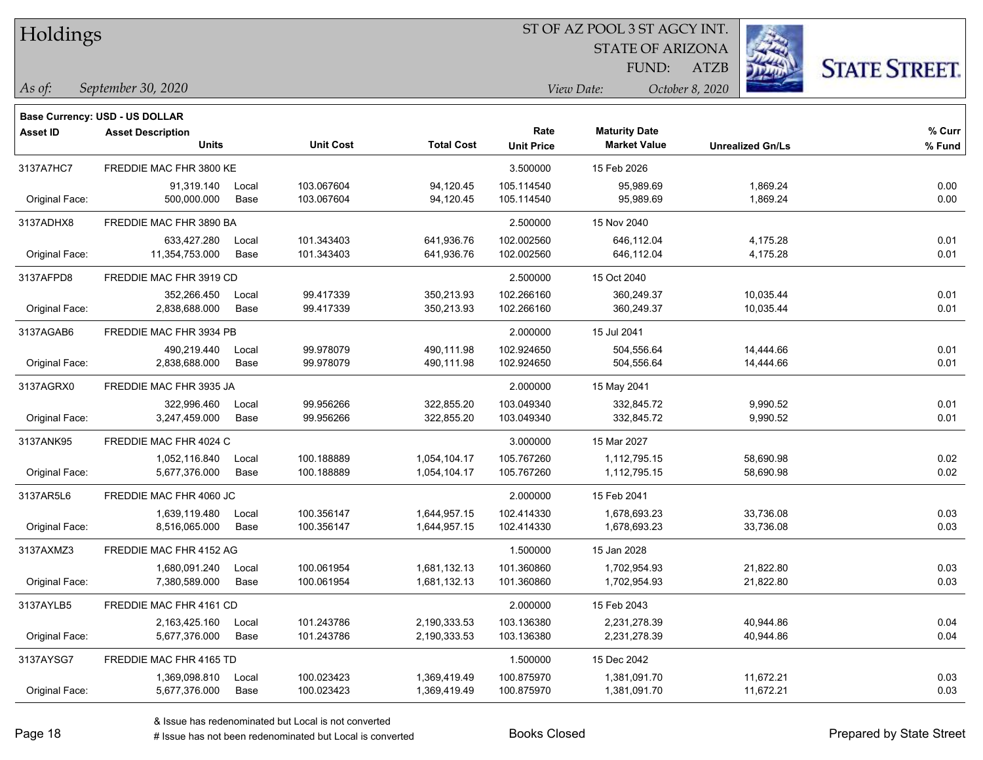| Holdings |
|----------|
|          |

STATE OF ARIZONA

ATZB



*September 30, 2020 As of: View Date: October 8, 2020*

**Base Currency: USD - US DOLLAR**

| Asset ID       | <b>Asset Description</b> |       |                  |                   | Rate              | <b>Maturity Date</b> |                         | % Curr |
|----------------|--------------------------|-------|------------------|-------------------|-------------------|----------------------|-------------------------|--------|
|                | <b>Units</b>             |       | <b>Unit Cost</b> | <b>Total Cost</b> | <b>Unit Price</b> | <b>Market Value</b>  | <b>Unrealized Gn/Ls</b> | % Fund |
| 3137A7HC7      | FREDDIE MAC FHR 3800 KE  |       |                  |                   | 3.500000          | 15 Feb 2026          |                         |        |
|                | 91,319.140               | Local | 103.067604       | 94,120.45         | 105.114540        | 95,989.69            | 1,869.24                | 0.00   |
| Original Face: | 500,000.000              | Base  | 103.067604       | 94,120.45         | 105.114540        | 95,989.69            | 1,869.24                | 0.00   |
| 3137ADHX8      | FREDDIE MAC FHR 3890 BA  |       |                  |                   | 2.500000          | 15 Nov 2040          |                         |        |
|                | 633,427.280              | Local | 101.343403       | 641,936.76        | 102.002560        | 646,112.04           | 4,175.28                | 0.01   |
| Original Face: | 11,354,753.000           | Base  | 101.343403       | 641,936.76        | 102.002560        | 646,112.04           | 4,175.28                | 0.01   |
| 3137AFPD8      | FREDDIE MAC FHR 3919 CD  |       |                  |                   | 2.500000          | 15 Oct 2040          |                         |        |
|                | 352,266.450              | Local | 99.417339        | 350,213.93        | 102.266160        | 360,249.37           | 10,035.44               | 0.01   |
| Original Face: | 2,838,688.000            | Base  | 99.417339        | 350,213.93        | 102.266160        | 360,249.37           | 10,035.44               | 0.01   |
| 3137AGAB6      | FREDDIE MAC FHR 3934 PB  |       |                  |                   | 2.000000          | 15 Jul 2041          |                         |        |
|                | 490,219.440              | Local | 99.978079        | 490,111.98        | 102.924650        | 504,556.64           | 14,444.66               | 0.01   |
| Original Face: | 2,838,688.000            | Base  | 99.978079        | 490,111.98        | 102.924650        | 504,556.64           | 14,444.66               | 0.01   |
| 3137AGRX0      | FREDDIE MAC FHR 3935 JA  |       |                  |                   | 2.000000          | 15 May 2041          |                         |        |
|                | 322,996.460              | Local | 99.956266        | 322,855.20        | 103.049340        | 332,845.72           | 9,990.52                | 0.01   |
| Original Face: | 3,247,459.000            | Base  | 99.956266        | 322,855.20        | 103.049340        | 332,845.72           | 9,990.52                | 0.01   |
| 3137ANK95      | FREDDIE MAC FHR 4024 C   |       |                  |                   | 3.000000          | 15 Mar 2027          |                         |        |
|                | 1,052,116.840            | Local | 100.188889       | 1,054,104.17      | 105.767260        | 1,112,795.15         | 58,690.98               | 0.02   |
| Original Face: | 5,677,376.000            | Base  | 100.188889       | 1,054,104.17      | 105.767260        | 1,112,795.15         | 58,690.98               | 0.02   |
| 3137AR5L6      | FREDDIE MAC FHR 4060 JC  |       |                  |                   | 2.000000          | 15 Feb 2041          |                         |        |
|                | 1,639,119.480            | Local | 100.356147       | 1,644,957.15      | 102.414330        | 1,678,693.23         | 33,736.08               | 0.03   |
| Original Face: | 8,516,065.000            | Base  | 100.356147       | 1,644,957.15      | 102.414330        | 1,678,693.23         | 33,736.08               | 0.03   |
| 3137AXMZ3      | FREDDIE MAC FHR 4152 AG  |       |                  |                   | 1.500000          | 15 Jan 2028          |                         |        |
|                | 1,680,091.240            | Local | 100.061954       | 1,681,132.13      | 101.360860        | 1,702,954.93         | 21,822.80               | 0.03   |
| Original Face: | 7,380,589.000            | Base  | 100.061954       | 1,681,132.13      | 101.360860        | 1,702,954.93         | 21,822.80               | 0.03   |
| 3137AYLB5      | FREDDIE MAC FHR 4161 CD  |       |                  |                   | 2.000000          | 15 Feb 2043          |                         |        |
|                | 2,163,425.160            | Local | 101.243786       | 2,190,333.53      | 103.136380        | 2,231,278.39         | 40,944.86               | 0.04   |
| Original Face: | 5,677,376.000            | Base  | 101.243786       | 2,190,333.53      | 103.136380        | 2,231,278.39         | 40,944.86               | 0.04   |
| 3137AYSG7      | FREDDIE MAC FHR 4165 TD  |       |                  |                   | 1.500000          | 15 Dec 2042          |                         |        |
|                | 1,369,098.810            | Local | 100.023423       | 1,369,419.49      | 100.875970        | 1,381,091.70         | 11,672.21               | 0.03   |
| Original Face: | 5,677,376.000            | Base  | 100.023423       | 1,369,419.49      | 100.875970        | 1,381,091.70         | 11,672.21               | 0.03   |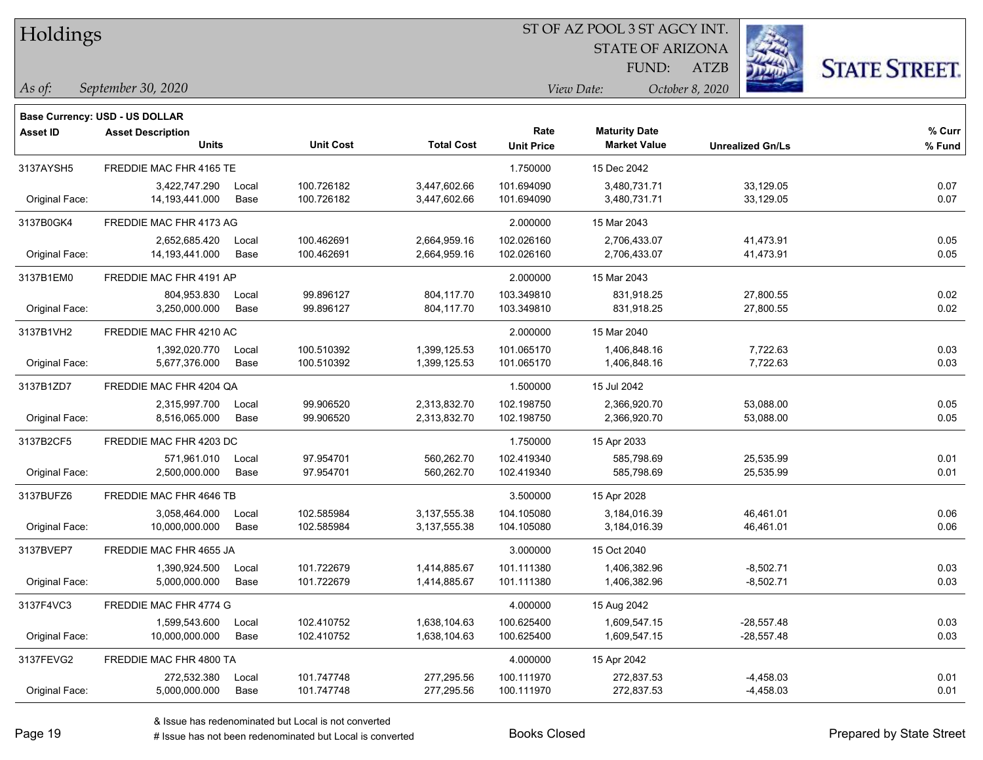| Holdings |
|----------|
|          |

STATE OF ARIZONA

ATZB



*September 30, 2020 As of: View Date: October 8, 2020*

**Base Currency: USD - US DOLLAR**

| <b>Asset ID</b> | <b>Asset Description</b> |       |                  |                   | Rate              | <b>Maturity Date</b> |                         | % Curr |
|-----------------|--------------------------|-------|------------------|-------------------|-------------------|----------------------|-------------------------|--------|
|                 | <b>Units</b>             |       | <b>Unit Cost</b> | <b>Total Cost</b> | <b>Unit Price</b> | <b>Market Value</b>  | <b>Unrealized Gn/Ls</b> | % Fund |
| 3137AYSH5       | FREDDIE MAC FHR 4165 TE  |       |                  |                   | 1.750000          | 15 Dec 2042          |                         |        |
|                 | 3,422,747.290            | Local | 100.726182       | 3,447,602.66      | 101.694090        | 3,480,731.71         | 33,129.05               | 0.07   |
| Original Face:  | 14,193,441.000           | Base  | 100.726182       | 3,447,602.66      | 101.694090        | 3,480,731.71         | 33,129.05               | 0.07   |
| 3137B0GK4       | FREDDIE MAC FHR 4173 AG  |       |                  |                   | 2.000000          | 15 Mar 2043          |                         |        |
|                 | 2,652,685.420            | Local | 100.462691       | 2,664,959.16      | 102.026160        | 2,706,433.07         | 41,473.91               | 0.05   |
| Original Face:  | 14, 193, 441.000         | Base  | 100.462691       | 2,664,959.16      | 102.026160        | 2,706,433.07         | 41,473.91               | 0.05   |
| 3137B1EM0       | FREDDIE MAC FHR 4191 AP  |       |                  |                   | 2.000000          | 15 Mar 2043          |                         |        |
|                 | 804,953.830              | Local | 99.896127        | 804,117.70        | 103.349810        | 831,918.25           | 27,800.55               | 0.02   |
| Original Face:  | 3,250,000.000            | Base  | 99.896127        | 804,117.70        | 103.349810        | 831,918.25           | 27,800.55               | 0.02   |
| 3137B1VH2       | FREDDIE MAC FHR 4210 AC  |       |                  |                   | 2.000000          | 15 Mar 2040          |                         |        |
|                 | 1,392,020.770            | Local | 100.510392       | 1,399,125.53      | 101.065170        | 1,406,848.16         | 7,722.63                | 0.03   |
| Original Face:  | 5,677,376.000            | Base  | 100.510392       | 1,399,125.53      | 101.065170        | 1,406,848.16         | 7,722.63                | 0.03   |
| 3137B1ZD7       | FREDDIE MAC FHR 4204 QA  |       |                  |                   | 1.500000          | 15 Jul 2042          |                         |        |
|                 | 2,315,997.700            | Local | 99.906520        | 2,313,832.70      | 102.198750        | 2,366,920.70         | 53,088.00               | 0.05   |
| Original Face:  | 8,516,065.000            | Base  | 99.906520        | 2,313,832.70      | 102.198750        | 2,366,920.70         | 53,088.00               | 0.05   |
| 3137B2CF5       | FREDDIE MAC FHR 4203 DC  |       |                  |                   | 1.750000          | 15 Apr 2033          |                         |        |
|                 | 571,961.010              | Local | 97.954701        | 560,262.70        | 102.419340        | 585,798.69           | 25,535.99               | 0.01   |
| Original Face:  | 2,500,000.000            | Base  | 97.954701        | 560,262.70        | 102.419340        | 585,798.69           | 25,535.99               | 0.01   |
| 3137BUFZ6       | FREDDIE MAC FHR 4646 TB  |       |                  |                   | 3.500000          | 15 Apr 2028          |                         |        |
|                 | 3,058,464.000            | Local | 102.585984       | 3,137,555.38      | 104.105080        | 3,184,016.39         | 46,461.01               | 0.06   |
| Original Face:  | 10,000,000.000           | Base  | 102.585984       | 3,137,555.38      | 104.105080        | 3,184,016.39         | 46,461.01               | 0.06   |
| 3137BVEP7       | FREDDIE MAC FHR 4655 JA  |       |                  |                   | 3.000000          | 15 Oct 2040          |                         |        |
|                 | 1,390,924.500            | Local | 101.722679       | 1,414,885.67      | 101.111380        | 1,406,382.96         | $-8,502.71$             | 0.03   |
| Original Face:  | 5,000,000.000            | Base  | 101.722679       | 1,414,885.67      | 101.111380        | 1,406,382.96         | $-8,502.71$             | 0.03   |
| 3137F4VC3       | FREDDIE MAC FHR 4774 G   |       |                  |                   | 4.000000          | 15 Aug 2042          |                         |        |
|                 | 1,599,543.600            | Local | 102.410752       | 1,638,104.63      | 100.625400        | 1,609,547.15         | $-28,557.48$            | 0.03   |
| Original Face:  | 10,000,000.000           | Base  | 102.410752       | 1,638,104.63      | 100.625400        | 1,609,547.15         | $-28,557.48$            | 0.03   |
| 3137FEVG2       | FREDDIE MAC FHR 4800 TA  |       |                  |                   | 4.000000          | 15 Apr 2042          |                         |        |
|                 | 272,532.380              | Local | 101.747748       | 277,295.56        | 100.111970        | 272,837.53           | -4,458.03               | 0.01   |
| Original Face:  | 5,000,000.000            | Base  | 101.747748       | 277,295.56        | 100.111970        | 272,837.53           | $-4,458.03$             | 0.01   |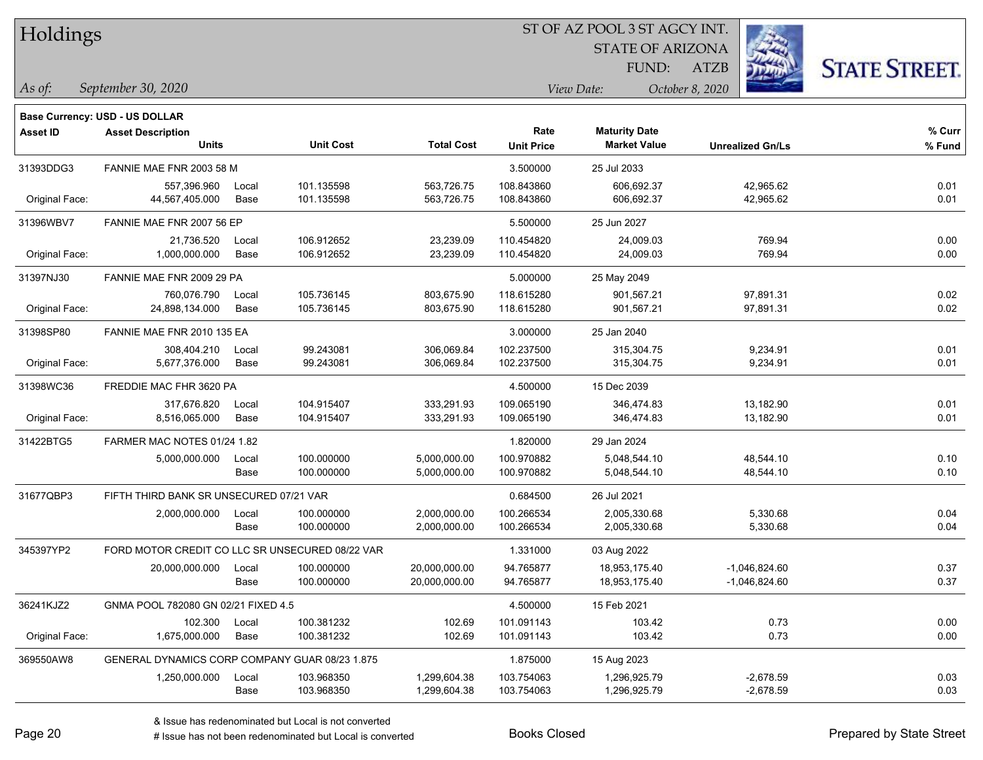Holdings

### ST OF AZ POOL 3 ST AGCY INT.

STATE OF ARIZONA

ATZB



*September 30, 2020 As of: View Date: October 8, 2020*

**Base Currency: USD - US DOLLAR**

FUND:

| Asset ID       | <b>Asset Description</b><br><b>Units</b>        |       | <b>Unit Cost</b> | <b>Total Cost</b> | Rate<br><b>Unit Price</b> | <b>Maturity Date</b><br><b>Market Value</b> | <b>Unrealized Gn/Ls</b> | % Curr<br>% Fund |
|----------------|-------------------------------------------------|-------|------------------|-------------------|---------------------------|---------------------------------------------|-------------------------|------------------|
| 31393DDG3      | FANNIE MAE FNR 2003 58 M                        |       |                  |                   | 3.500000                  | 25 Jul 2033                                 |                         |                  |
|                | 557,396.960                                     | Local | 101.135598       | 563,726.75        | 108.843860                | 606,692.37                                  | 42,965.62               | 0.01             |
| Original Face: | 44,567,405.000                                  | Base  | 101.135598       | 563,726.75        | 108.843860                | 606,692.37                                  | 42,965.62               | 0.01             |
| 31396WBV7      | FANNIE MAE FNR 2007 56 EP                       |       |                  | 5.500000          | 25 Jun 2027               |                                             |                         |                  |
|                | 21,736.520                                      | Local | 106.912652       | 23,239.09         | 110.454820                | 24,009.03                                   | 769.94                  | 0.00             |
| Original Face: | 1,000,000.000                                   | Base  | 106.912652       | 23,239.09         | 110.454820                | 24,009.03                                   | 769.94                  | 0.00             |
| 31397NJ30      | FANNIE MAE FNR 2009 29 PA                       |       |                  |                   | 5.000000                  | 25 May 2049                                 |                         |                  |
|                | 760,076.790                                     | Local | 105.736145       | 803,675.90        | 118.615280                | 901,567.21                                  | 97,891.31               | 0.02             |
| Original Face: | 24,898,134.000                                  | Base  | 105.736145       | 803,675.90        | 118.615280                | 901,567.21                                  | 97,891.31               | 0.02             |
| 31398SP80      | FANNIE MAE FNR 2010 135 EA                      |       |                  |                   | 3.000000                  | 25 Jan 2040                                 |                         |                  |
|                | 308.404.210                                     | Local | 99.243081        | 306,069.84        | 102.237500                | 315.304.75                                  | 9,234.91                | 0.01             |
| Original Face: | 5,677,376.000                                   | Base  | 99.243081        | 306,069.84        | 102.237500                | 315,304.75                                  | 9,234.91                | 0.01             |
| 31398WC36      | FREDDIE MAC FHR 3620 PA                         |       |                  |                   | 4.500000                  | 15 Dec 2039                                 |                         |                  |
|                | 317,676.820                                     | Local | 104.915407       | 333,291.93        | 109.065190                | 346,474.83                                  | 13,182.90               | 0.01             |
| Original Face: | 8,516,065.000                                   | Base  | 104.915407       | 333,291.93        | 109.065190                | 346,474.83                                  | 13,182.90               | 0.01             |
| 31422BTG5      | FARMER MAC NOTES 01/24 1.82                     |       |                  | 1.820000          | 29 Jan 2024               |                                             |                         |                  |
|                | 5,000,000.000                                   | Local | 100.000000       | 5,000,000.00      | 100.970882                | 5,048,544.10                                | 48,544.10               | 0.10             |
|                |                                                 | Base  | 100.000000       | 5,000,000.00      | 100.970882                | 5,048,544.10                                | 48,544.10               | 0.10             |
| 31677QBP3      | FIFTH THIRD BANK SR UNSECURED 07/21 VAR         |       |                  |                   | 0.684500                  | 26 Jul 2021                                 |                         |                  |
|                | 2,000,000.000                                   | Local | 100.000000       | 2,000,000.00      | 100.266534                | 2,005,330.68                                | 5,330.68                | 0.04             |
|                |                                                 | Base  | 100.000000       | 2,000,000.00      | 100.266534                | 2,005,330.68                                | 5,330.68                | 0.04             |
| 345397YP2      | FORD MOTOR CREDIT CO LLC SR UNSECURED 08/22 VAR |       |                  |                   | 1.331000                  | 03 Aug 2022                                 |                         |                  |
|                | 20,000,000.000                                  | Local | 100.000000       | 20,000,000.00     | 94.765877                 | 18,953,175.40                               | $-1,046,824.60$         | 0.37             |
|                |                                                 | Base  | 100.000000       | 20,000,000.00     | 94.765877                 | 18,953,175.40                               | -1,046,824.60           | 0.37             |
| 36241KJZ2      | GNMA POOL 782080 GN 02/21 FIXED 4.5             |       |                  |                   | 4.500000                  | 15 Feb 2021                                 |                         |                  |
|                | 102.300                                         | Local | 100.381232       | 102.69            | 101.091143                | 103.42                                      | 0.73                    | 0.00             |
| Original Face: | 1,675,000.000                                   | Base  | 100.381232       | 102.69            | 101.091143                | 103.42                                      | 0.73                    | 0.00             |
| 369550AW8      | GENERAL DYNAMICS CORP COMPANY GUAR 08/23 1.875  |       |                  |                   | 1.875000                  | 15 Aug 2023                                 |                         |                  |
|                | 1,250,000.000                                   | Local | 103.968350       | 1,299,604.38      | 103.754063                | 1,296,925.79                                | $-2,678.59$             | 0.03             |
|                |                                                 | Base  | 103.968350       | 1,299,604.38      | 103.754063                | 1,296,925.79                                | $-2,678.59$             | 0.03             |

A ISSUE ISSUE ISSUE ISSUE ISSUE ISSUE ISSUE ISSUE ISSUE ISSUE ISSUE ISSUE ISSUE ISSUE ISSUE ISSUE ISSUE ISSUE I<br>
# Issue has not been redenominated but Local is converted **BOOKS** Closed **Prepared by State Street**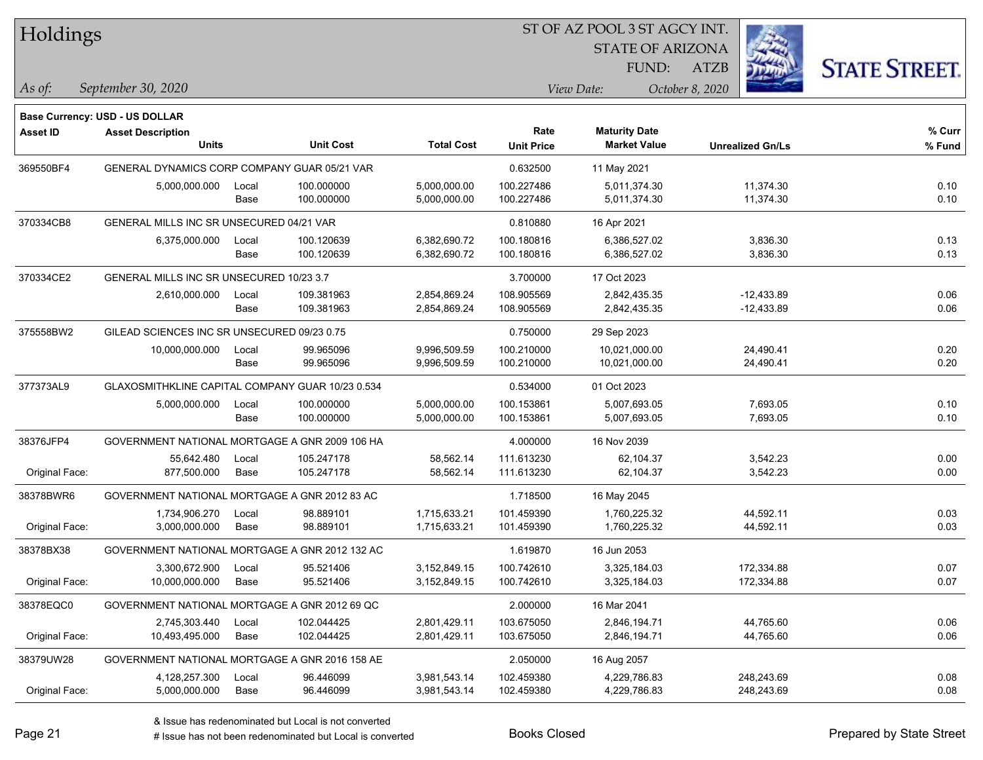| Holdings        |                                                  |       |                  |                   |                   | ST OF AZ POOL 3 ST AGCY INT. |                         |                      |  |
|-----------------|--------------------------------------------------|-------|------------------|-------------------|-------------------|------------------------------|-------------------------|----------------------|--|
|                 |                                                  |       |                  |                   |                   | <b>STATE OF ARIZONA</b>      |                         |                      |  |
|                 |                                                  |       |                  |                   |                   | FUND:                        | <b>ATZB</b>             | <b>STATE STREET.</b> |  |
| $\vert$ As of:  | September 30, 2020                               |       |                  |                   |                   | View Date:                   | October 8, 2020         |                      |  |
|                 | <b>Base Currency: USD - US DOLLAR</b>            |       |                  |                   |                   |                              |                         |                      |  |
| <b>Asset ID</b> | <b>Asset Description</b>                         |       |                  |                   | Rate              | <b>Maturity Date</b>         |                         | $%$ Curr             |  |
|                 | <b>Units</b>                                     |       | <b>Unit Cost</b> | <b>Total Cost</b> | <b>Unit Price</b> | <b>Market Value</b>          | <b>Unrealized Gn/Ls</b> | % Fund               |  |
| 369550BF4       | GENERAL DYNAMICS CORP COMPANY GUAR 05/21 VAR     |       |                  |                   | 0.632500          | 11 May 2021                  |                         |                      |  |
|                 | 5,000,000.000                                    | Local | 100.000000       | 5,000,000.00      | 100.227486        | 5,011,374.30                 | 11,374.30               | 0.10                 |  |
|                 |                                                  | Base  | 100.000000       | 5,000,000.00      | 100.227486        | 5,011,374.30                 | 11,374.30               | 0.10                 |  |
| 370334CB8       | GENERAL MILLS INC SR UNSECURED 04/21 VAR         |       |                  |                   | 0.810880          | 16 Apr 2021                  |                         |                      |  |
|                 | 6,375,000.000                                    | Local | 100.120639       | 6,382,690.72      | 100.180816        | 6,386,527.02                 | 3,836.30                | 0.13                 |  |
|                 |                                                  | Base  | 100.120639       | 6,382,690.72      | 100.180816        | 6,386,527.02                 | 3,836.30                | 0.13                 |  |
| 370334CE2       | GENERAL MILLS INC SR UNSECURED 10/23 3.7         |       |                  |                   | 3.700000          | 17 Oct 2023                  |                         |                      |  |
|                 | 2,610,000.000                                    | Local | 109.381963       | 2,854,869.24      | 108.905569        | 2,842,435.35                 | $-12,433.89$            | 0.06                 |  |
|                 |                                                  | Base  | 109.381963       | 2,854,869.24      | 108.905569        | 2,842,435.35                 | $-12,433.89$            | 0.06                 |  |
| 375558BW2       | GILEAD SCIENCES INC SR UNSECURED 09/23 0.75      |       |                  |                   | 0.750000          | 29 Sep 2023                  |                         |                      |  |
|                 | 10,000,000.000                                   | Local | 99.965096        | 9,996,509.59      | 100.210000        | 10,021,000.00                | 24,490.41               | 0.20                 |  |
|                 |                                                  | Base  | 99.965096        | 9,996,509.59      | 100.210000        | 10,021,000.00                | 24,490.41               | 0.20                 |  |
| 377373AL9       | GLAXOSMITHKLINE CAPITAL COMPANY GUAR 10/23 0.534 |       |                  |                   | 0.534000          | 01 Oct 2023                  |                         |                      |  |
|                 | 5,000,000.000                                    | Local | 100.000000       | 5,000,000.00      | 100.153861        | 5,007,693.05                 | 7,693.05                | 0.10                 |  |
|                 |                                                  | Base  | 100.000000       | 5,000,000.00      | 100.153861        | 5,007,693.05                 | 7,693.05                | 0.10                 |  |
| 38376JFP4       | GOVERNMENT NATIONAL MORTGAGE A GNR 2009 106 HA   |       |                  |                   | 4.000000          | 16 Nov 2039                  |                         |                      |  |
|                 | 55,642.480                                       | Local | 105.247178       | 58,562.14         | 111.613230        | 62,104.37                    | 3,542.23                | 0.00                 |  |
| Original Face:  | 877,500.000                                      | Base  | 105.247178       | 58,562.14         | 111.613230        | 62,104.37                    | 3,542.23                | 0.00                 |  |
| 38378BWR6       | GOVERNMENT NATIONAL MORTGAGE A GNR 2012 83 AC    |       |                  |                   | 1.718500          | 16 May 2045                  |                         |                      |  |
|                 | 1,734,906.270                                    | Local | 98.889101        | 1,715,633.21      | 101.459390        | 1,760,225.32                 | 44,592.11               | 0.03                 |  |
| Original Face:  | 3,000,000.000                                    | Base  | 98.889101        | 1,715,633.21      | 101.459390        | 1,760,225.32                 | 44,592.11               | 0.03                 |  |
| 38378BX38       | GOVERNMENT NATIONAL MORTGAGE A GNR 2012 132 AC   |       |                  |                   | 1.619870          | 16 Jun 2053                  |                         |                      |  |
|                 | 3,300,672.900                                    | Local | 95.521406        | 3,152,849.15      | 100.742610        | 3,325,184.03                 | 172,334.88              | 0.07                 |  |
| Original Face:  | 10,000,000.000                                   | Base  | 95.521406        | 3,152,849.15      | 100.742610        | 3,325,184.03                 | 172,334.88              | 0.07                 |  |
| 38378EQC0       | GOVERNMENT NATIONAL MORTGAGE A GNR 2012 69 QC    |       |                  |                   | 2.000000          | 16 Mar 2041                  |                         |                      |  |
|                 | 2,745,303.440                                    | Local | 102.044425       | 2,801,429.11      | 103.675050        | 2,846,194.71                 | 44,765.60               | 0.06                 |  |
| Original Face:  | 10,493,495.000                                   | Base  | 102.044425       | 2,801,429.11      | 103.675050        | 2,846,194.71                 | 44,765.60               | 0.06                 |  |
| 38379UW28       | GOVERNMENT NATIONAL MORTGAGE A GNR 2016 158 AE   |       |                  |                   | 2.050000          | 16 Aug 2057                  |                         |                      |  |
|                 | 4,128,257.300                                    | Local | 96.446099        | 3,981,543.14      | 102.459380        | 4,229,786.83                 | 248,243.69              | 0.08                 |  |
| Original Face:  | 5,000,000.000                                    | Base  | 96.446099        | 3,981,543.14      | 102.459380        | 4,229,786.83                 | 248,243.69              | 0.08                 |  |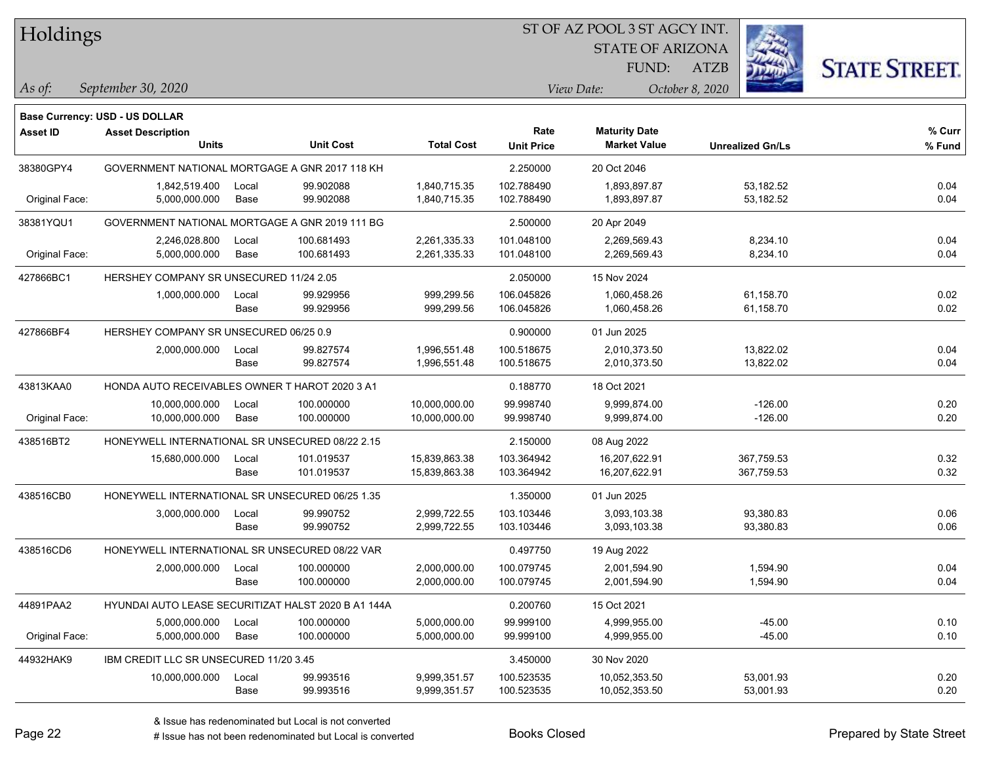Holdings

### ST OF AZ POOL 3 ST AGCY INT.

STATE OF ARIZONA FUND:



*September 30, 2020 As of: View Date: October 8, 2020*

**Base Currency: USD - US DOLLAR**

ATZB

| <b>Asset ID</b> | <b>Asset Description</b>                            |       |                  |                   | Rate              | <b>Maturity Date</b> |                         | % Curr |
|-----------------|-----------------------------------------------------|-------|------------------|-------------------|-------------------|----------------------|-------------------------|--------|
|                 | <b>Units</b>                                        |       | <b>Unit Cost</b> | <b>Total Cost</b> | <b>Unit Price</b> | <b>Market Value</b>  | <b>Unrealized Gn/Ls</b> | % Fund |
| 38380GPY4       | GOVERNMENT NATIONAL MORTGAGE A GNR 2017 118 KH      |       |                  | 2.250000          | 20 Oct 2046       |                      |                         |        |
|                 | 1,842,519.400                                       | Local | 99.902088        | 1,840,715.35      | 102.788490        | 1,893,897.87         | 53,182.52               | 0.04   |
| Original Face:  | 5,000,000.000                                       | Base  | 99.902088        | 1,840,715.35      | 102.788490        | 1,893,897.87         | 53,182.52               | 0.04   |
| 38381YQU1       | GOVERNMENT NATIONAL MORTGAGE A GNR 2019 111 BG      |       |                  |                   | 2.500000          | 20 Apr 2049          |                         |        |
|                 | 2,246,028.800                                       | Local | 100.681493       | 2,261,335.33      | 101.048100        | 2,269,569.43         | 8,234.10                | 0.04   |
| Original Face:  | 5,000,000.000                                       | Base  | 100.681493       | 2,261,335.33      | 101.048100        | 2,269,569.43         | 8,234.10                | 0.04   |
| 427866BC1       | HERSHEY COMPANY SR UNSECURED 11/24 2.05             |       |                  |                   | 2.050000          | 15 Nov 2024          |                         |        |
|                 | 1,000,000.000                                       | Local | 99.929956        | 999,299.56        | 106.045826        | 1,060,458.26         | 61,158.70               | 0.02   |
|                 |                                                     | Base  | 99.929956        | 999,299.56        | 106.045826        | 1,060,458.26         | 61,158.70               | 0.02   |
| 427866BF4       | HERSHEY COMPANY SR UNSECURED 06/25 0.9              |       |                  |                   | 0.900000          | 01 Jun 2025          |                         |        |
|                 | 2,000,000.000                                       | Local | 99.827574        | 1,996,551.48      | 100.518675        | 2,010,373.50         | 13,822.02               | 0.04   |
|                 |                                                     | Base  | 99.827574        | 1,996,551.48      | 100.518675        | 2,010,373.50         | 13,822.02               | 0.04   |
| 43813KAA0       | HONDA AUTO RECEIVABLES OWNER T HAROT 2020 3 A1      |       |                  |                   | 0.188770          | 18 Oct 2021          |                         |        |
|                 | 10,000,000.000                                      | Local | 100.000000       | 10,000,000.00     | 99.998740         | 9,999,874.00         | $-126.00$               | 0.20   |
| Original Face:  | 10,000,000.000                                      | Base  | 100.000000       | 10,000,000.00     | 99.998740         | 9,999,874.00         | $-126.00$               | 0.20   |
| 438516BT2       | HONEYWELL INTERNATIONAL SR UNSECURED 08/22 2.15     |       |                  | 2.150000          | 08 Aug 2022       |                      |                         |        |
|                 | 15,680,000.000                                      | Local | 101.019537       | 15,839,863.38     | 103.364942        | 16,207,622.91        | 367,759.53              | 0.32   |
|                 |                                                     | Base  | 101.019537       | 15,839,863.38     | 103.364942        | 16,207,622.91        | 367,759.53              | 0.32   |
| 438516CB0       | HONEYWELL INTERNATIONAL SR UNSECURED 06/25 1.35     |       |                  |                   | 1.350000          | 01 Jun 2025          |                         |        |
|                 | 3,000,000.000                                       | Local | 99.990752        | 2,999,722.55      | 103.103446        | 3,093,103.38         | 93,380.83               | 0.06   |
|                 |                                                     | Base  | 99.990752        | 2,999,722.55      | 103.103446        | 3,093,103.38         | 93,380.83               | 0.06   |
| 438516CD6       | HONEYWELL INTERNATIONAL SR UNSECURED 08/22 VAR      |       |                  |                   | 0.497750          | 19 Aug 2022          |                         |        |
|                 | 2,000,000.000                                       | Local | 100.000000       | 2,000,000.00      | 100.079745        | 2,001,594.90         | 1,594.90                | 0.04   |
|                 |                                                     | Base  | 100.000000       | 2,000,000.00      | 100.079745        | 2,001,594.90         | 1,594.90                | 0.04   |
| 44891PAA2       | HYUNDAI AUTO LEASE SECURITIZAT HALST 2020 B A1 144A |       |                  |                   | 0.200760          | 15 Oct 2021          |                         |        |
|                 | 5,000,000.000                                       | Local | 100.000000       | 5,000,000.00      | 99.999100         | 4,999,955.00         | $-45.00$                | 0.10   |
| Original Face:  | 5,000,000.000                                       | Base  | 100.000000       | 5,000,000.00      | 99.999100         | 4,999,955.00         | $-45.00$                | 0.10   |
| 44932HAK9       | IBM CREDIT LLC SR UNSECURED 11/20 3.45              |       |                  |                   | 3.450000          | 30 Nov 2020          |                         |        |
|                 | 10,000,000.000                                      | Local | 99.993516        | 9,999,351.57      | 100.523535        | 10,052,353.50        | 53,001.93               | 0.20   |
|                 |                                                     | Base  | 99.993516        | 9,999,351.57      | 100.523535        | 10,052,353.50        | 53,001.93               | 0.20   |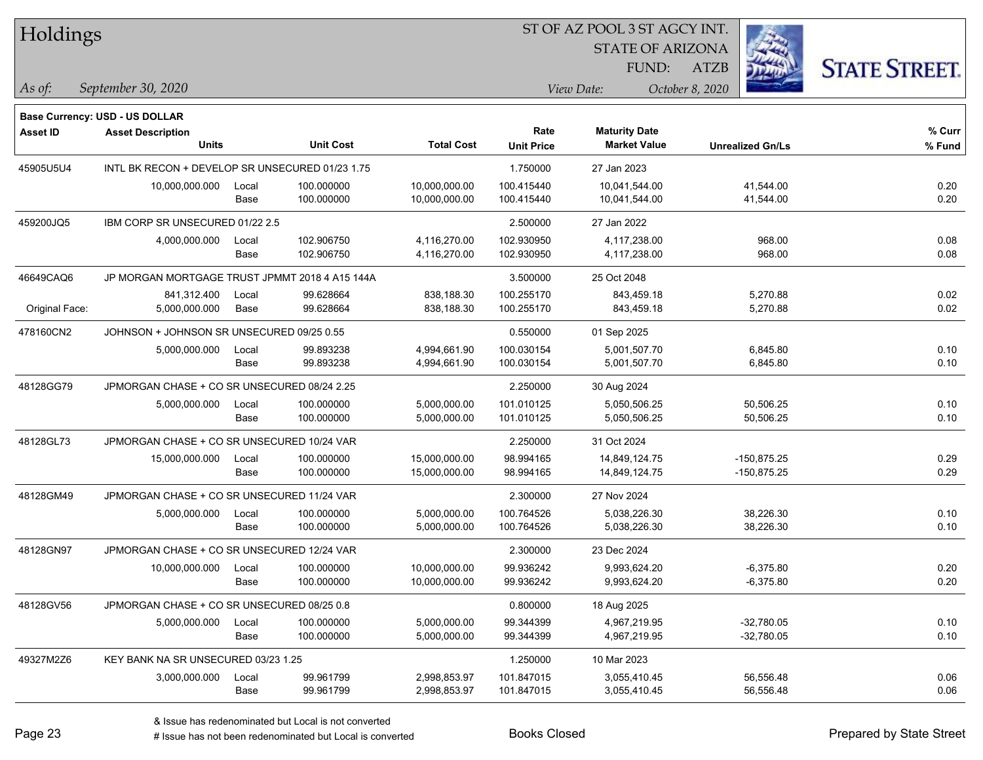| Holdings        |                                                 |       |                  |                   |                   |                         |                         |                      |
|-----------------|-------------------------------------------------|-------|------------------|-------------------|-------------------|-------------------------|-------------------------|----------------------|
|                 |                                                 |       |                  |                   |                   | <b>STATE OF ARIZONA</b> |                         |                      |
|                 |                                                 |       |                  |                   |                   | FUND:                   | <b>ATZB</b>             | <b>STATE STREET.</b> |
| As of:          | September 30, 2020                              |       |                  |                   |                   | View Date:              | October 8, 2020         |                      |
|                 | <b>Base Currency: USD - US DOLLAR</b>           |       |                  |                   |                   |                         |                         |                      |
| <b>Asset ID</b> | <b>Asset Description</b>                        |       |                  |                   | Rate              | <b>Maturity Date</b>    |                         | % Curr               |
|                 | <b>Units</b>                                    |       | <b>Unit Cost</b> | <b>Total Cost</b> | <b>Unit Price</b> | <b>Market Value</b>     | <b>Unrealized Gn/Ls</b> | % Fund               |
| 45905U5U4       | INTL BK RECON + DEVELOP SR UNSECURED 01/23 1.75 |       |                  |                   | 1.750000          | 27 Jan 2023             |                         |                      |
|                 | 10,000,000.000                                  | Local | 100.000000       | 10,000,000.00     | 100.415440        | 10,041,544.00           | 41,544.00               | 0.20                 |
|                 |                                                 | Base  | 100.000000       | 10,000,000.00     | 100.415440        | 10,041,544.00           | 41,544.00               | 0.20                 |
| 459200JQ5       | IBM CORP SR UNSECURED 01/22 2.5                 |       |                  |                   | 2.500000          | 27 Jan 2022             |                         |                      |
|                 | 4,000,000.000                                   | Local | 102.906750       | 4,116,270.00      | 102.930950        | 4,117,238.00            | 968.00                  | 0.08                 |
|                 |                                                 | Base  | 102.906750       | 4,116,270.00      | 102.930950        | 4,117,238.00            | 968.00                  | 0.08                 |
| 46649CAQ6       | JP MORGAN MORTGAGE TRUST JPMMT 2018 4 A15 144A  |       |                  |                   | 3.500000          | 25 Oct 2048             |                         |                      |
|                 | 841,312.400                                     | Local | 99.628664        | 838,188.30        | 100.255170        | 843,459.18              | 5,270.88                | 0.02                 |
| Original Face:  | 5,000,000.000                                   | Base  | 99.628664        | 838,188.30        | 100.255170        | 843,459.18              | 5,270.88                | 0.02                 |
| 478160CN2       | JOHNSON + JOHNSON SR UNSECURED 09/25 0.55       |       |                  |                   | 0.550000          | 01 Sep 2025             |                         |                      |
|                 | 5,000,000.000                                   | Local | 99.893238        | 4,994,661.90      | 100.030154        | 5,001,507.70            | 6,845.80                | 0.10                 |
|                 |                                                 | Base  | 99.893238        | 4,994,661.90      | 100.030154        | 5,001,507.70            | 6,845.80                | 0.10                 |
| 48128GG79       | JPMORGAN CHASE + CO SR UNSECURED 08/24 2.25     |       |                  |                   | 2.250000          | 30 Aug 2024             |                         |                      |
|                 | 5,000,000.000                                   | Local | 100.000000       | 5,000,000.00      | 101.010125        | 5,050,506.25            | 50,506.25               | 0.10                 |
|                 |                                                 | Base  | 100.000000       | 5,000,000.00      | 101.010125        | 5,050,506.25            | 50,506.25               | 0.10                 |
| 48128GL73       | JPMORGAN CHASE + CO SR UNSECURED 10/24 VAR      |       |                  |                   | 2.250000          | 31 Oct 2024             |                         |                      |
|                 | 15,000,000.000                                  | Local | 100.000000       | 15,000,000.00     | 98.994165         | 14,849,124.75           | -150,875.25             | 0.29                 |
|                 |                                                 | Base  | 100.000000       | 15,000,000.00     | 98.994165         | 14,849,124.75           | -150,875.25             | 0.29                 |
| 48128GM49       | JPMORGAN CHASE + CO SR UNSECURED 11/24 VAR      |       |                  |                   | 2.300000          | 27 Nov 2024             |                         |                      |
|                 | 5,000,000.000                                   | Local | 100.000000       | 5,000,000.00      | 100.764526        | 5,038,226.30            | 38,226.30               | 0.10                 |
|                 |                                                 | Base  | 100.000000       | 5,000,000.00      | 100.764526        | 5,038,226.30            | 38,226.30               | 0.10                 |
| 48128GN97       | JPMORGAN CHASE + CO SR UNSECURED 12/24 VAR      |       |                  |                   | 2.300000          | 23 Dec 2024             |                         |                      |
|                 | 10,000,000.000                                  | Local | 100.000000       | 10,000,000.00     | 99.936242         | 9,993,624.20            | $-6,375.80$             | 0.20                 |
|                 |                                                 | Base  | 100.000000       | 10,000,000.00     | 99.936242         | 9,993,624.20            | $-6,375.80$             | 0.20                 |
| 48128GV56       | JPMORGAN CHASE + CO SR UNSECURED 08/25 0.8      |       |                  |                   | 0.800000          | 18 Aug 2025             |                         |                      |
|                 | 5,000,000.000                                   | Local | 100.000000       | 5,000,000.00      | 99.344399         | 4,967,219.95            | $-32,780.05$            | 0.10                 |
|                 |                                                 | Base  | 100.000000       | 5,000,000.00      | 99.344399         | 4,967,219.95            | $-32,780.05$            | 0.10                 |
| 49327M2Z6       | KEY BANK NA SR UNSECURED 03/23 1.25             |       |                  |                   | 1.250000          | 10 Mar 2023             |                         |                      |
|                 | 3,000,000.000 Local                             |       | 99.961799        | 2,998,853.97      | 101.847015        | 3,055,410.45            | 56,556.48               | 0.06                 |

Base 99.961799 2,998,853.97 101.847015 3,055,410.45 56,556.48 0.06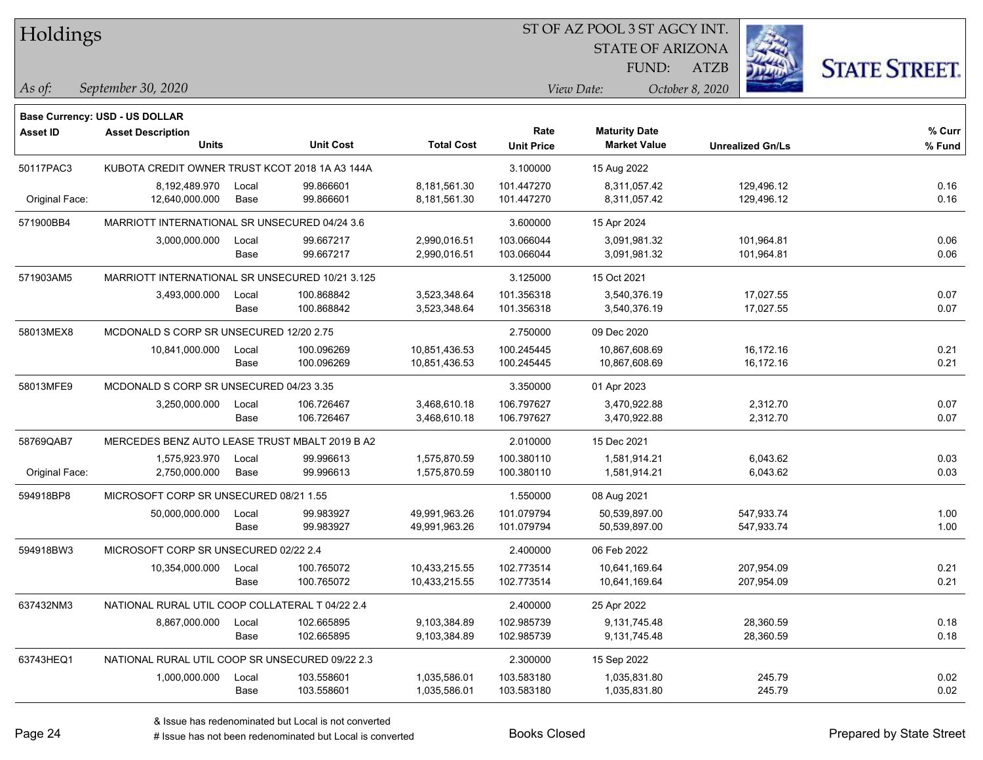| Holdings        |                                                                   |       |                  |                   |                   |                         |                         |                      |
|-----------------|-------------------------------------------------------------------|-------|------------------|-------------------|-------------------|-------------------------|-------------------------|----------------------|
|                 |                                                                   |       |                  |                   |                   | <b>STATE OF ARIZONA</b> |                         |                      |
|                 |                                                                   |       |                  |                   |                   | <b>FUND:</b>            | <b>ATZB</b>             | <b>STATE STREET.</b> |
| $\vert$ As of:  | September 30, 2020                                                |       |                  |                   |                   | View Date:              | October 8, 2020         |                      |
|                 |                                                                   |       |                  |                   |                   |                         |                         |                      |
| <b>Asset ID</b> | <b>Base Currency: USD - US DOLLAR</b><br><b>Asset Description</b> |       |                  |                   | Rate              | <b>Maturity Date</b>    |                         | % Curr               |
|                 | <b>Units</b>                                                      |       | <b>Unit Cost</b> | <b>Total Cost</b> | <b>Unit Price</b> | <b>Market Value</b>     | <b>Unrealized Gn/Ls</b> | % Fund               |
| 50117PAC3       | KUBOTA CREDIT OWNER TRUST KCOT 2018 1A A3 144A                    |       |                  |                   | 3.100000          | 15 Aug 2022             |                         |                      |
|                 | 8,192,489.970                                                     | Local | 99.866601        | 8,181,561.30      | 101.447270        | 8,311,057.42            | 129,496.12              | 0.16                 |
| Original Face:  | 12,640,000.000                                                    | Base  | 99.866601        | 8,181,561.30      | 101.447270        | 8,311,057.42            | 129,496.12              | 0.16                 |
| 571900BB4       | MARRIOTT INTERNATIONAL SR UNSECURED 04/24 3.6                     |       |                  |                   | 3.600000          | 15 Apr 2024             |                         |                      |
|                 | 3,000,000.000                                                     | Local | 99.667217        | 2,990,016.51      | 103.066044        | 3,091,981.32            | 101,964.81              | 0.06                 |
|                 |                                                                   | Base  | 99.667217        | 2,990,016.51      | 103.066044        | 3,091,981.32            | 101,964.81              | 0.06                 |
| 571903AM5       | MARRIOTT INTERNATIONAL SR UNSECURED 10/21 3.125                   |       |                  |                   | 3.125000          | 15 Oct 2021             |                         |                      |
|                 | 3,493,000.000                                                     | Local | 100.868842       | 3,523,348.64      | 101.356318        | 3,540,376.19            | 17,027.55               | 0.07                 |
|                 |                                                                   | Base  | 100.868842       | 3,523,348.64      | 101.356318        | 3,540,376.19            | 17,027.55               | 0.07                 |
| 58013MEX8       | MCDONALD S CORP SR UNSECURED 12/20 2.75                           |       |                  |                   | 2.750000          | 09 Dec 2020             |                         |                      |
|                 | 10,841,000.000                                                    | Local | 100.096269       | 10,851,436.53     | 100.245445        | 10,867,608.69           | 16,172.16               | 0.21                 |
|                 |                                                                   | Base  | 100.096269       | 10,851,436.53     | 100.245445        | 10,867,608.69           | 16,172.16               | 0.21                 |
| 58013MFE9       | MCDONALD S CORP SR UNSECURED 04/23 3.35                           |       |                  | 3.350000          | 01 Apr 2023       |                         |                         |                      |
|                 | 3,250,000.000                                                     | Local | 106.726467       | 3,468,610.18      | 106.797627        | 3,470,922.88            | 2,312.70                | 0.07                 |
|                 |                                                                   | Base  | 106.726467       | 3,468,610.18      | 106.797627        | 3,470,922.88            | 2,312.70                | 0.07                 |
| 58769QAB7       | MERCEDES BENZ AUTO LEASE TRUST MBALT 2019 B A2                    |       |                  |                   | 2.010000          | 15 Dec 2021             |                         |                      |
|                 | 1,575,923.970                                                     | Local | 99.996613        | 1,575,870.59      | 100.380110        | 1,581,914.21            | 6,043.62                | 0.03                 |
| Original Face:  | 2,750,000.000                                                     | Base  | 99.996613        | 1,575,870.59      | 100.380110        | 1,581,914.21            | 6,043.62                | 0.03                 |
| 594918BP8       | MICROSOFT CORP SR UNSECURED 08/21 1.55                            |       |                  |                   | 1.550000          | 08 Aug 2021             |                         |                      |
|                 | 50,000,000.000                                                    | Local | 99.983927        | 49,991,963.26     | 101.079794        | 50,539,897.00           | 547,933.74              | 1.00                 |
|                 |                                                                   | Base  | 99.983927        | 49,991,963.26     | 101.079794        | 50,539,897.00           | 547,933.74              | 1.00                 |
| 594918BW3       | MICROSOFT CORP SR UNSECURED 02/22 2.4                             |       |                  |                   | 2.400000          | 06 Feb 2022             |                         |                      |
|                 | 10,354,000.000                                                    | Local | 100.765072       | 10,433,215.55     | 102.773514        | 10,641,169.64           | 207,954.09              | 0.21                 |
|                 |                                                                   | Base  | 100.765072       | 10,433,215.55     | 102.773514        | 10,641,169.64           | 207,954.09              | 0.21                 |
| 637432NM3       | NATIONAL RURAL UTIL COOP COLLATERAL T 04/22 2.4                   |       |                  |                   | 2.400000          | 25 Apr 2022             |                         |                      |
|                 | 8,867,000.000                                                     | Local | 102.665895       | 9,103,384.89      | 102.985739        | 9,131,745.48            | 28,360.59               | 0.18                 |
|                 |                                                                   | Base  | 102.665895       | 9,103,384.89      | 102.985739        | 9,131,745.48            | 28,360.59               | 0.18                 |
| 63743HEQ1       | NATIONAL RURAL UTIL COOP SR UNSECURED 09/22 2.3                   |       |                  |                   | 2.300000          | 15 Sep 2022             |                         |                      |
|                 | 1,000,000.000                                                     | Local | 103.558601       | 1,035,586.01      | 103.583180        | 1,035,831.80            | 245.79                  | 0.02                 |
|                 |                                                                   | Base  | 103.558601       | 1,035,586.01      | 103.583180        | 1,035,831.80            | 245.79                  | 0.02                 |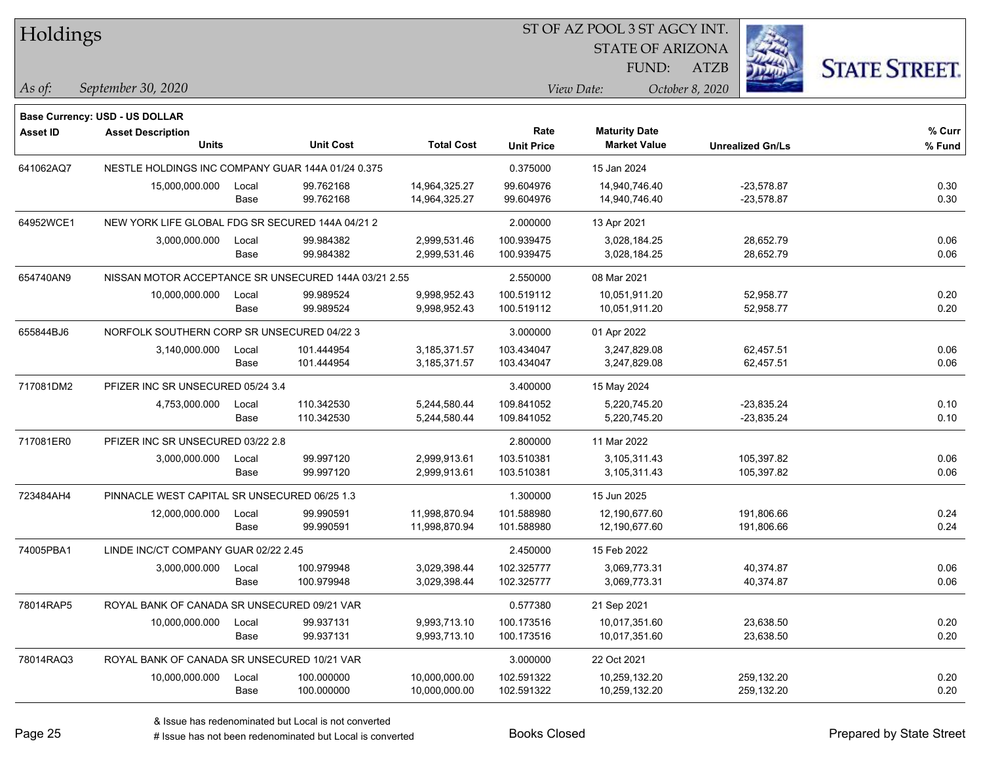| Holdings        |                                                   |                                   |                                                      |                   | 51 OF AZ POOL 351 AGCY INT. |                                             |                         |                      |  |
|-----------------|---------------------------------------------------|-----------------------------------|------------------------------------------------------|-------------------|-----------------------------|---------------------------------------------|-------------------------|----------------------|--|
|                 |                                                   |                                   |                                                      |                   |                             | <b>STATE OF ARIZONA</b>                     |                         |                      |  |
|                 |                                                   |                                   |                                                      |                   |                             | FUND:                                       | <b>ATZB</b>             | <b>STATE STREET.</b> |  |
| As of:          | September 30, 2020                                |                                   |                                                      |                   |                             | View Date:                                  | October 8, 2020         |                      |  |
|                 |                                                   |                                   |                                                      |                   |                             |                                             |                         |                      |  |
|                 | <b>Base Currency: USD - US DOLLAR</b>             |                                   |                                                      |                   |                             |                                             |                         |                      |  |
| <b>Asset ID</b> | <b>Asset Description</b><br><b>Units</b>          |                                   | <b>Unit Cost</b>                                     | <b>Total Cost</b> | Rate                        | <b>Maturity Date</b><br><b>Market Value</b> |                         | % Curr               |  |
|                 |                                                   |                                   |                                                      |                   | <b>Unit Price</b>           |                                             | <b>Unrealized Gn/Ls</b> | % Fund               |  |
| 641062AQ7       | NESTLE HOLDINGS INC COMPANY GUAR 144A 01/24 0.375 |                                   |                                                      |                   | 0.375000                    | 15 Jan 2024                                 |                         |                      |  |
|                 | 15,000,000.000                                    | Local                             | 99.762168                                            | 14,964,325.27     | 99.604976                   | 14,940,746.40                               | $-23,578.87$            | 0.30                 |  |
|                 |                                                   | Base                              | 99.762168                                            | 14,964,325.27     | 99.604976                   | 14,940,746.40                               | $-23,578.87$            | 0.30                 |  |
| 64952WCE1       | NEW YORK LIFE GLOBAL FDG SR SECURED 144A 04/21 2  |                                   |                                                      |                   | 2.000000                    | 13 Apr 2021                                 |                         |                      |  |
|                 | 3,000,000.000                                     | Local                             | 99.984382                                            | 2,999,531.46      | 100.939475                  | 3,028,184.25                                | 28,652.79               | 0.06                 |  |
|                 |                                                   | Base                              | 99.984382                                            | 2,999,531.46      | 100.939475                  | 3,028,184.25                                | 28,652.79               | 0.06                 |  |
| 654740AN9       |                                                   |                                   | NISSAN MOTOR ACCEPTANCE SR UNSECURED 144A 03/21 2.55 |                   | 2.550000                    | 08 Mar 2021                                 |                         |                      |  |
|                 | 10,000,000.000                                    | Local                             | 99.989524                                            | 9,998,952.43      | 100.519112                  | 10,051,911.20                               | 52,958.77               | 0.20                 |  |
|                 |                                                   | Base                              | 99.989524                                            | 9,998,952.43      | 100.519112                  | 10,051,911.20                               | 52,958.77               | 0.20                 |  |
| 655844BJ6       | NORFOLK SOUTHERN CORP SR UNSECURED 04/22 3        |                                   |                                                      |                   | 3.000000                    | 01 Apr 2022                                 |                         |                      |  |
|                 | 3,140,000.000                                     | Local                             | 101.444954                                           | 3,185,371.57      | 103.434047                  | 3,247,829.08                                | 62,457.51               | 0.06                 |  |
|                 |                                                   | Base                              | 101.444954                                           | 3,185,371.57      | 103.434047                  | 3,247,829.08                                | 62,457.51               | 0.06                 |  |
| 717081DM2       |                                                   | PFIZER INC SR UNSECURED 05/24 3.4 |                                                      |                   |                             | 15 May 2024                                 |                         |                      |  |
|                 | 4,753,000.000                                     | Local                             | 110.342530                                           | 5,244,580.44      | 109.841052                  | 5,220,745.20                                | $-23,835.24$            | 0.10                 |  |
|                 |                                                   | Base                              | 110.342530                                           | 5,244,580.44      | 109.841052                  | 5,220,745.20                                | $-23,835.24$            | 0.10                 |  |
| 717081ER0       | PFIZER INC SR UNSECURED 03/22 2.8                 |                                   |                                                      |                   | 2.800000                    | 11 Mar 2022                                 |                         |                      |  |
|                 | 3,000,000.000                                     | Local                             | 99.997120                                            | 2,999,913.61      | 103.510381                  | 3,105,311.43                                | 105,397.82              | 0.06                 |  |
|                 |                                                   | Base                              | 99.997120                                            | 2,999,913.61      | 103.510381                  | 3,105,311.43                                | 105,397.82              | 0.06                 |  |
| 723484AH4       | PINNACLE WEST CAPITAL SR UNSECURED 06/25 1.3      |                                   |                                                      |                   | 1.300000                    | 15 Jun 2025                                 |                         |                      |  |
|                 | 12,000,000.000                                    | Local                             | 99.990591                                            | 11,998,870.94     | 101.588980                  | 12,190,677.60                               | 191,806.66              | 0.24                 |  |
|                 |                                                   | Base                              | 99.990591                                            | 11,998,870.94     | 101.588980                  | 12,190,677.60                               | 191,806.66              | 0.24                 |  |
| 74005PBA1       | LINDE INC/CT COMPANY GUAR 02/22 2.45              |                                   |                                                      |                   | 2.450000                    | 15 Feb 2022                                 |                         |                      |  |
|                 | 3,000,000.000                                     | Local                             | 100.979948                                           | 3,029,398.44      | 102.325777                  | 3,069,773.31                                | 40.374.87               | 0.06                 |  |
|                 |                                                   | Base                              | 100.979948                                           | 3,029,398.44      | 102.325777                  | 3,069,773.31                                | 40,374.87               | 0.06                 |  |
| 78014RAP5       | ROYAL BANK OF CANADA SR UNSECURED 09/21 VAR       |                                   |                                                      |                   | 0.577380                    | 21 Sep 2021                                 |                         |                      |  |
|                 | 10,000,000.000                                    | Local                             | 99.937131                                            | 9,993,713.10      | 100.173516                  | 10,017,351.60                               | 23,638.50               | 0.20                 |  |
|                 |                                                   | Base                              | 99.937131                                            | 9,993,713.10      | 100.173516                  | 10,017,351.60                               | 23,638.50               | 0.20                 |  |
| 78014RAQ3       | ROYAL BANK OF CANADA SR UNSECURED 10/21 VAR       |                                   |                                                      |                   | 3.000000                    | 22 Oct 2021                                 |                         |                      |  |
|                 | 10,000,000.000                                    | Local                             | 100.000000                                           | 10,000,000.00     | 102.591322                  | 10,259,132.20                               | 259,132.20              | 0.20                 |  |
|                 |                                                   | Base                              | 100.000000                                           | 10,000,000.00     | 102.591322                  | 10,259,132.20                               | 259,132.20              | 0.20                 |  |

 $STOTAT$   $17 DOOT$  3  $ST A GOCH$ 

٦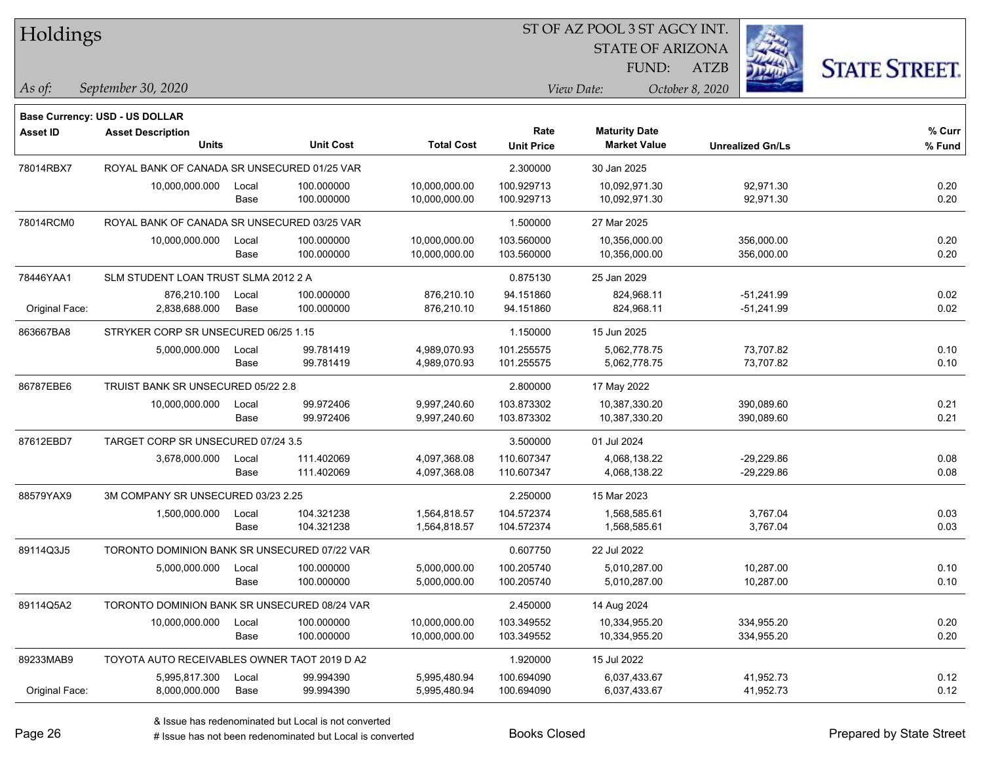| Holdings        |                                              |       |                  |                   |                           | ST OF AZ POOL 3 ST AGCY INT.                |                         |                     |
|-----------------|----------------------------------------------|-------|------------------|-------------------|---------------------------|---------------------------------------------|-------------------------|---------------------|
|                 |                                              |       |                  |                   |                           | <b>STATE OF ARIZONA</b>                     |                         |                     |
|                 |                                              |       |                  |                   |                           | FUND:                                       | <b>ATZB</b>             | <b>STATE STREET</b> |
| $\vert$ As of:  | September 30, 2020                           |       |                  |                   |                           | View Date:                                  | October 8, 2020         |                     |
|                 |                                              |       |                  |                   |                           |                                             |                         |                     |
|                 | <b>Base Currency: USD - US DOLLAR</b>        |       |                  |                   |                           |                                             |                         |                     |
| <b>Asset ID</b> | <b>Asset Description</b><br><b>Units</b>     |       | <b>Unit Cost</b> | <b>Total Cost</b> | Rate<br><b>Unit Price</b> | <b>Maturity Date</b><br><b>Market Value</b> | <b>Unrealized Gn/Ls</b> | % Curr<br>% Fund    |
|                 |                                              |       |                  |                   |                           |                                             |                         |                     |
| 78014RBX7       | ROYAL BANK OF CANADA SR UNSECURED 01/25 VAR  |       |                  |                   | 2.300000                  | 30 Jan 2025                                 |                         |                     |
|                 | 10,000,000.000                               | Local | 100.000000       | 10,000,000.00     | 100.929713                | 10,092,971.30                               | 92,971.30               | 0.20                |
|                 |                                              | Base  | 100.000000       | 10,000,000.00     | 100.929713                | 10,092,971.30                               | 92,971.30               | 0.20                |
| 78014RCM0       | ROYAL BANK OF CANADA SR UNSECURED 03/25 VAR  |       |                  |                   | 1.500000                  | 27 Mar 2025                                 |                         |                     |
|                 | 10,000,000.000                               | Local | 100.000000       | 10,000,000.00     | 103.560000                | 10,356,000.00                               | 356,000.00              | 0.20                |
|                 |                                              | Base  | 100.000000       | 10,000,000.00     | 103.560000                | 10,356,000.00                               | 356,000.00              | 0.20                |
| 78446YAA1       | SLM STUDENT LOAN TRUST SLMA 2012 2 A         |       |                  |                   | 0.875130                  | 25 Jan 2029                                 |                         |                     |
|                 | 876.210.100                                  | Local | 100.000000       | 876,210.10        | 94.151860                 | 824,968.11                                  | $-51,241.99$            | 0.02                |
| Original Face:  | 2,838,688.000                                | Base  | 100.000000       | 876,210.10        | 94.151860                 | 824,968.11                                  | $-51,241.99$            | 0.02                |
| 863667BA8       | STRYKER CORP SR UNSECURED 06/25 1.15         |       |                  |                   | 1.150000                  | 15 Jun 2025                                 |                         |                     |
|                 | 5,000,000.000                                | Local | 99.781419        | 4,989,070.93      | 101.255575                | 5,062,778.75                                | 73,707.82               | 0.10                |
|                 |                                              | Base  | 99.781419        | 4,989,070.93      | 101.255575                | 5,062,778.75                                | 73,707.82               | 0.10                |
| 86787EBE6       | TRUIST BANK SR UNSECURED 05/22 2.8           |       |                  |                   | 2.800000                  | 17 May 2022                                 |                         |                     |
|                 | 10,000,000.000                               | Local | 99.972406        | 9,997,240.60      | 103.873302                | 10,387,330.20                               | 390,089.60              | 0.21                |
|                 |                                              | Base  | 99.972406        | 9,997,240.60      | 103.873302                | 10,387,330.20                               | 390,089.60              | 0.21                |
| 87612EBD7       | TARGET CORP SR UNSECURED 07/24 3.5           |       |                  |                   | 3.500000                  | 01 Jul 2024                                 |                         |                     |
|                 | 3,678,000.000                                | Local | 111.402069       | 4,097,368.08      | 110.607347                | 4,068,138.22                                | $-29,229.86$            | 0.08                |
|                 |                                              | Base  | 111.402069       | 4,097,368.08      | 110.607347                | 4,068,138.22                                | $-29,229.86$            | 0.08                |
| 88579YAX9       | 3M COMPANY SR UNSECURED 03/23 2.25           |       |                  |                   | 2.250000                  | 15 Mar 2023                                 |                         |                     |
|                 | 1,500,000.000                                | Local | 104.321238       | 1,564,818.57      | 104.572374                | 1,568,585.61                                | 3,767.04                | 0.03                |
|                 |                                              | Base  | 104.321238       | 1,564,818.57      | 104.572374                | 1,568,585.61                                | 3,767.04                | 0.03                |
| 89114Q3J5       | TORONTO DOMINION BANK SR UNSECURED 07/22 VAR |       |                  |                   | 0.607750                  | 22 Jul 2022                                 |                         |                     |
|                 | 5,000,000.000                                | Local | 100.000000       | 5,000,000.00      | 100.205740                | 5,010,287.00                                | 10,287.00               | 0.10                |
|                 |                                              | Base  | 100.000000       | 5,000,000.00      | 100.205740                | 5,010,287.00                                | 10,287.00               | 0.10                |
| 89114Q5A2       | TORONTO DOMINION BANK SR UNSECURED 08/24 VAR |       |                  |                   | 2.450000                  | 14 Aug 2024                                 |                         |                     |
|                 | 10,000,000.000                               | Local | 100.000000       | 10,000,000.00     | 103.349552                | 10,334,955.20                               | 334,955.20              | 0.20                |
|                 |                                              | Base  | 100.000000       | 10,000,000.00     | 103.349552                | 10,334,955.20                               | 334,955.20              | 0.20                |
| 89233MAB9       | TOYOTA AUTO RECEIVABLES OWNER TAOT 2019 D A2 |       |                  |                   | 1.920000                  | 15 Jul 2022                                 |                         |                     |
|                 | 5,995,817.300                                | Local | 99.994390        | 5,995,480.94      | 100.694090                | 6,037,433.67                                | 41,952.73               | 0.12                |
| Original Face:  | 8,000,000.000                                | Base  | 99.994390        | 5,995,480.94      | 100.694090                | 6,037,433.67                                | 41,952.73               | 0.12                |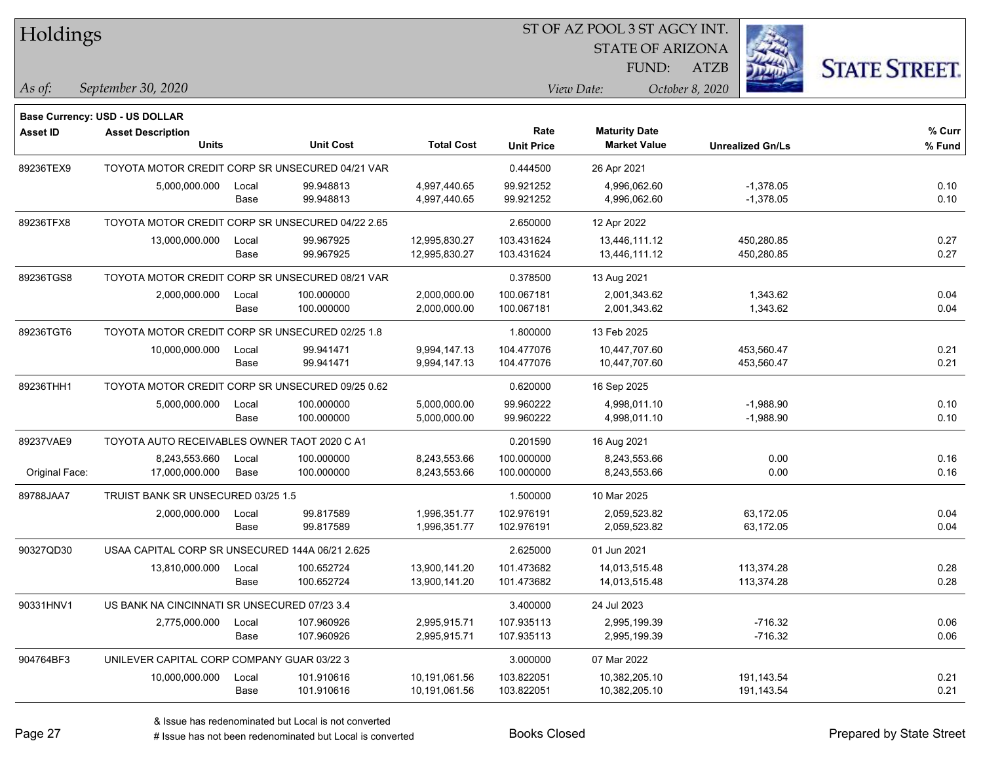| Holdings        |                                                  |       |                  |                   |                   | 51 OF AZ POOL 351 AGCY INT. |                         |                      |  |
|-----------------|--------------------------------------------------|-------|------------------|-------------------|-------------------|-----------------------------|-------------------------|----------------------|--|
|                 |                                                  |       |                  |                   |                   | <b>STATE OF ARIZONA</b>     |                         |                      |  |
|                 |                                                  |       |                  |                   |                   | FUND:                       | ATZB                    | <b>STATE STREET.</b> |  |
| As of:          | September 30, 2020                               |       |                  |                   |                   | View Date:                  | October 8, 2020         |                      |  |
|                 | <b>Base Currency: USD - US DOLLAR</b>            |       |                  |                   |                   |                             |                         |                      |  |
| <b>Asset ID</b> | <b>Asset Description</b>                         |       |                  |                   | Rate              | <b>Maturity Date</b>        |                         | $%$ Curr             |  |
|                 | <b>Units</b>                                     |       | <b>Unit Cost</b> | <b>Total Cost</b> | <b>Unit Price</b> | <b>Market Value</b>         | <b>Unrealized Gn/Ls</b> | % Fund               |  |
| 89236TEX9       | TOYOTA MOTOR CREDIT CORP SR UNSECURED 04/21 VAR  |       |                  |                   | 0.444500          | 26 Apr 2021                 |                         |                      |  |
|                 | 5,000,000.000                                    | Local | 99.948813        | 4,997,440.65      | 99.921252         | 4,996,062.60                | $-1,378.05$             | 0.10                 |  |
|                 |                                                  | Base  | 99.948813        | 4,997,440.65      | 99.921252         | 4,996,062.60                | $-1,378.05$             | 0.10                 |  |
| 89236TFX8       | TOYOTA MOTOR CREDIT CORP SR UNSECURED 04/22 2.65 |       |                  |                   | 2.650000          | 12 Apr 2022                 |                         |                      |  |
|                 | 13,000,000.000                                   | Local | 99.967925        | 12,995,830.27     | 103.431624        | 13,446,111.12               | 450,280.85              | 0.27                 |  |
|                 |                                                  | Base  | 99.967925        | 12,995,830.27     | 103.431624        | 13,446,111.12               | 450,280.85              | 0.27                 |  |
| 89236TGS8       | TOYOTA MOTOR CREDIT CORP SR UNSECURED 08/21 VAR  |       |                  |                   | 0.378500          | 13 Aug 2021                 |                         |                      |  |
|                 | 2,000,000.000                                    | Local | 100.000000       | 2,000,000.00      | 100.067181        | 2,001,343.62                | 1,343.62                | 0.04                 |  |
|                 |                                                  | Base  | 100.000000       | 2,000,000.00      | 100.067181        | 2,001,343.62                | 1,343.62                | 0.04                 |  |
| 89236TGT6       | TOYOTA MOTOR CREDIT CORP SR UNSECURED 02/25 1.8  |       |                  |                   | 1.800000          | 13 Feb 2025                 |                         |                      |  |
|                 | 10,000,000.000                                   | Local | 99.941471        | 9,994,147.13      | 104.477076        | 10,447,707.60               | 453,560.47              | 0.21                 |  |
|                 |                                                  | Base  | 99.941471        | 9,994,147.13      | 104.477076        | 10,447,707.60               | 453,560.47              | 0.21                 |  |
| 89236THH1       | TOYOTA MOTOR CREDIT CORP SR UNSECURED 09/25 0.62 |       |                  |                   | 0.620000          | 16 Sep 2025                 |                         |                      |  |
|                 | 5,000,000.000                                    | Local | 100.000000       | 5,000,000.00      | 99.960222         | 4,998,011.10                | $-1,988.90$             | 0.10                 |  |
|                 |                                                  | Base  | 100.000000       | 5,000,000.00      | 99.960222         | 4,998,011.10                | $-1,988.90$             | 0.10                 |  |
| 89237VAE9       | TOYOTA AUTO RECEIVABLES OWNER TAOT 2020 C A1     |       |                  |                   | 0.201590          | 16 Aug 2021                 |                         |                      |  |
|                 | 8,243,553.660                                    | Local | 100.000000       | 8,243,553.66      | 100.000000        | 8,243,553.66                | 0.00                    | 0.16                 |  |
| Original Face:  | 17,000,000.000                                   | Base  | 100.000000       | 8,243,553.66      | 100.000000        | 8,243,553.66                | 0.00                    | 0.16                 |  |
| 89788JAA7       | TRUIST BANK SR UNSECURED 03/25 1.5               |       |                  |                   | 1.500000          | 10 Mar 2025                 |                         |                      |  |
|                 | 2,000,000.000                                    | Local | 99.817589        | 1,996,351.77      | 102.976191        | 2,059,523.82                | 63,172.05               | 0.04                 |  |
|                 |                                                  | Base  | 99.817589        | 1,996,351.77      | 102.976191        | 2,059,523.82                | 63,172.05               | 0.04                 |  |
| 90327QD30       | USAA CAPITAL CORP SR UNSECURED 144A 06/21 2.625  |       |                  |                   | 2.625000          | 01 Jun 2021                 |                         |                      |  |
|                 | 13,810,000.000                                   | Local | 100.652724       | 13,900,141.20     | 101.473682        | 14,013,515.48               | 113,374.28              | 0.28                 |  |
|                 |                                                  | Base  | 100.652724       | 13,900,141.20     | 101.473682        | 14,013,515.48               | 113,374.28              | 0.28                 |  |
| 90331HNV1       | US BANK NA CINCINNATI SR UNSECURED 07/23 3.4     |       |                  |                   | 3.400000          | 24 Jul 2023                 |                         |                      |  |
|                 | 2,775,000.000                                    | Local | 107.960926       | 2,995,915.71      | 107.935113        | 2,995,199.39                | $-716.32$               | 0.06                 |  |
|                 |                                                  | Base  | 107.960926       | 2,995,915.71      | 107.935113        | 2,995,199.39                | $-716.32$               | 0.06                 |  |
| 904764BF3       | UNILEVER CAPITAL CORP COMPANY GUAR 03/22 3       |       |                  |                   | 3.000000          | 07 Mar 2022                 |                         |                      |  |
|                 | 10,000,000.000                                   | Local | 101.910616       | 10,191,061.56     | 103.822051        | 10,382,205.10               | 191,143.54              | 0.21                 |  |
|                 |                                                  | Base  | 101.910616       | 10,191,061.56     | 103.822051        | 10,382,205.10               | 191,143.54              | 0.21                 |  |

ST OF A Z POOL 2 ST ACCV INT

**CONTRACTOR**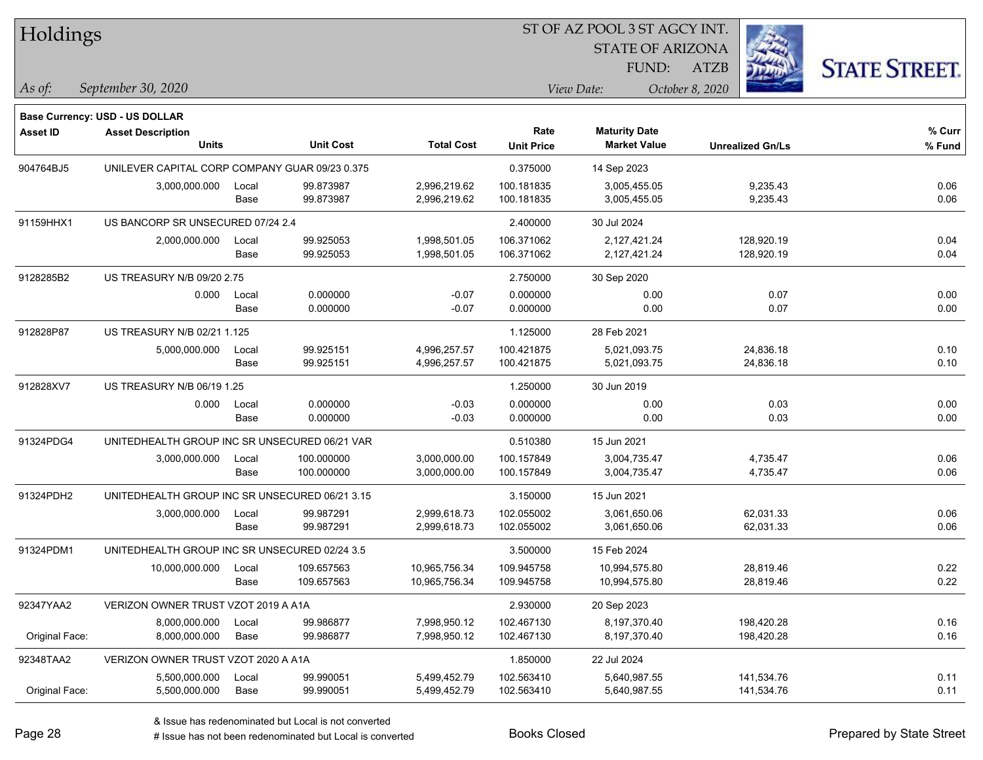| Holdings        |                                                                   |       |                  |                   |                   | ST OF AZ POOL 3 ST AGCY INT.<br><b>STATE OF ARIZONA</b> |                                |                      |
|-----------------|-------------------------------------------------------------------|-------|------------------|-------------------|-------------------|---------------------------------------------------------|--------------------------------|----------------------|
| As of:          | September 30, 2020                                                |       |                  |                   |                   | FUND:<br>View Date:                                     | <b>ATZB</b><br>October 8, 2020 | <b>STATE STREET.</b> |
|                 |                                                                   |       |                  |                   |                   |                                                         |                                |                      |
| <b>Asset ID</b> | <b>Base Currency: USD - US DOLLAR</b><br><b>Asset Description</b> |       |                  |                   | Rate              | <b>Maturity Date</b>                                    |                                | % Curr               |
|                 | Units                                                             |       | <b>Unit Cost</b> | <b>Total Cost</b> | <b>Unit Price</b> | <b>Market Value</b>                                     | <b>Unrealized Gn/Ls</b>        | % Fund               |
| 904764BJ5       | UNILEVER CAPITAL CORP COMPANY GUAR 09/23 0.375                    |       |                  |                   | 0.375000          | 14 Sep 2023                                             |                                |                      |
|                 | 3,000,000.000                                                     | Local | 99.873987        | 2,996,219.62      | 100.181835        | 3,005,455.05                                            | 9,235.43                       | 0.06                 |
|                 |                                                                   | Base  | 99.873987        | 2,996,219.62      | 100.181835        | 3,005,455.05                                            | 9,235.43                       | 0.06                 |
| 91159HHX1       | US BANCORP SR UNSECURED 07/24 2.4                                 |       |                  |                   | 2.400000          | 30 Jul 2024                                             |                                |                      |
|                 | 2,000,000.000                                                     | Local | 99.925053        | 1,998,501.05      | 106.371062        | 2,127,421.24                                            | 128,920.19                     | 0.04                 |
|                 |                                                                   | Base  | 99.925053        | 1,998,501.05      | 106.371062        | 2,127,421.24                                            | 128,920.19                     | 0.04                 |
| 9128285B2       | US TREASURY N/B 09/20 2.75                                        |       |                  |                   | 2.750000          | 30 Sep 2020                                             |                                |                      |
|                 | 0.000                                                             | Local | 0.000000         | $-0.07$           | 0.000000          | 0.00                                                    | 0.07                           | 0.00                 |
|                 |                                                                   | Base  | 0.000000         | $-0.07$           | 0.000000          | 0.00                                                    | 0.07                           | 0.00                 |
| 912828P87       | US TREASURY N/B 02/21 1.125                                       |       |                  |                   | 1.125000          | 28 Feb 2021                                             |                                |                      |
|                 | 5,000,000.000                                                     | Local | 99.925151        | 4,996,257.57      | 100.421875        | 5,021,093.75                                            | 24,836.18                      | 0.10                 |
|                 |                                                                   | Base  | 99.925151        | 4,996,257.57      | 100.421875        | 5,021,093.75                                            | 24,836.18                      | 0.10                 |
| 912828XV7       | US TREASURY N/B 06/19 1.25                                        |       |                  |                   | 1.250000          | 30 Jun 2019                                             |                                |                      |
|                 | 0.000                                                             | Local | 0.000000         | $-0.03$           | 0.000000          | 0.00                                                    | 0.03                           | 0.00                 |
|                 |                                                                   | Base  | 0.000000         | $-0.03$           | 0.000000          | 0.00                                                    | 0.03                           | 0.00                 |
| 91324PDG4       | UNITEDHEALTH GROUP INC SR UNSECURED 06/21 VAR                     |       |                  |                   | 0.510380          | 15 Jun 2021                                             |                                |                      |
|                 | 3,000,000.000                                                     | Local | 100.000000       | 3,000,000.00      | 100.157849        | 3,004,735.47                                            | 4,735.47                       | 0.06                 |
|                 |                                                                   | Base  | 100.000000       | 3,000,000.00      | 100.157849        | 3,004,735.47                                            | 4,735.47                       | 0.06                 |
| 91324PDH2       | UNITEDHEALTH GROUP INC SR UNSECURED 06/21 3.15                    |       |                  |                   | 3.150000          | 15 Jun 2021                                             |                                |                      |
|                 | 3,000,000.000                                                     | Local | 99.987291        | 2,999,618.73      | 102.055002        | 3,061,650.06                                            | 62,031.33                      | 0.06                 |
|                 |                                                                   | Base  | 99.987291        | 2,999,618.73      | 102.055002        | 3,061,650.06                                            | 62,031.33                      | 0.06                 |
| 91324PDM1       | UNITEDHEALTH GROUP INC SR UNSECURED 02/24 3.5                     |       |                  |                   | 3.500000          | 15 Feb 2024                                             |                                |                      |
|                 | 10,000,000.000                                                    | Local | 109.657563       | 10,965,756.34     | 109.945758        | 10,994,575.80                                           | 28,819.46                      | 0.22                 |
|                 |                                                                   | Base  | 109.657563       | 10,965,756.34     | 109.945758        | 10,994,575.80                                           | 28,819.46                      | 0.22                 |
| 92347YAA2       | VERIZON OWNER TRUST VZOT 2019 A A1A                               |       |                  |                   | 2.930000          | 20 Sep 2023                                             |                                |                      |
|                 | 8,000,000.000                                                     | Local | 99.986877        | 7,998,950.12      | 102.467130        | 8,197,370.40                                            | 198,420.28                     | 0.16                 |
| Original Face:  | 8,000,000.000                                                     | Base  | 99.986877        | 7,998,950.12      | 102.467130        | 8,197,370.40                                            | 198,420.28                     | 0.16                 |
| 92348TAA2       | VERIZON OWNER TRUST VZOT 2020 A A1A                               |       |                  |                   | 1.850000          | 22 Jul 2024                                             |                                |                      |
|                 | 5,500,000.000                                                     | Local | 99.990051        | 5,499,452.79      | 102.563410        | 5,640,987.55                                            | 141,534.76                     | 0.11                 |
| Original Face:  | 5,500,000.000                                                     | Base  | 99.990051        | 5,499,452.79      | 102.563410        | 5,640,987.55                                            | 141,534.76                     | 0.11                 |

 $\frac{1}{2}$ 

 $\overline{\phantom{0}}$ 

 $\overline{\phantom{0}}$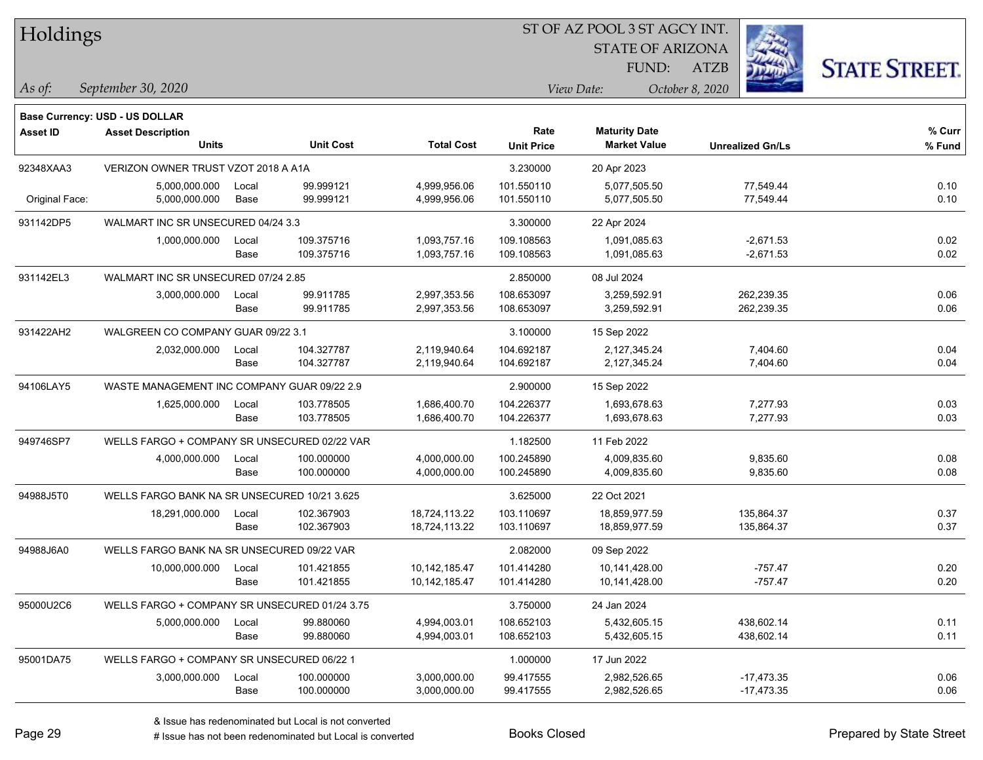| Holdings |
|----------|
|----------|

STATE OF ARIZONA

ATZB



*September 30, 2020 As of: View Date: October 8, 2020*

**Base Currency: USD - US DOLLAR**

| Asset ID       | <b>Asset Description</b><br><b>Units</b>      |               | <b>Unit Cost</b>       | <b>Total Cost</b>            | Rate<br><b>Unit Price</b> | <b>Maturity Date</b><br><b>Market Value</b> | <b>Unrealized Gn/Ls</b> | % Curr<br>% Fund |
|----------------|-----------------------------------------------|---------------|------------------------|------------------------------|---------------------------|---------------------------------------------|-------------------------|------------------|
| 92348XAA3      | VERIZON OWNER TRUST VZOT 2018 A A1A           |               |                        |                              | 3.230000                  | 20 Apr 2023                                 |                         |                  |
| Original Face: | 5,000,000.000<br>5,000,000.000                | Local<br>Base | 99.999121<br>99.999121 | 4,999,956.06<br>4,999,956.06 | 101.550110<br>101.550110  | 5,077,505.50<br>5,077,505.50                | 77,549.44<br>77,549.44  | 0.10<br>0.10     |
| 931142DP5      | WALMART INC SR UNSECURED 04/24 3.3            |               |                        |                              | 3.300000                  | 22 Apr 2024                                 |                         |                  |
|                | 1,000,000.000                                 | Local         | 109.375716             | 1,093,757.16                 | 109.108563                | 1,091,085.63                                | $-2,671.53$             | 0.02             |
|                |                                               | Base          | 109.375716             | 1,093,757.16                 | 109.108563                | 1,091,085.63                                | $-2,671.53$             | 0.02             |
| 931142EL3      | WALMART INC SR UNSECURED 07/24 2.85           |               |                        |                              | 2.850000                  | 08 Jul 2024                                 |                         |                  |
|                | 3,000,000.000                                 | Local         | 99.911785              | 2,997,353.56                 | 108.653097                | 3,259,592.91                                | 262,239.35              | 0.06             |
|                |                                               | Base          | 99.911785              | 2,997,353.56                 | 108.653097                | 3,259,592.91                                | 262,239.35              | 0.06             |
| 931422AH2      | WALGREEN CO COMPANY GUAR 09/22 3.1            |               |                        |                              | 3.100000                  | 15 Sep 2022                                 |                         |                  |
|                | 2,032,000.000                                 | Local         | 104.327787             | 2,119,940.64                 | 104.692187                | 2,127,345.24                                | 7,404.60                | 0.04             |
|                |                                               | Base          | 104.327787             | 2,119,940.64                 | 104.692187                | 2,127,345.24                                | 7,404.60                | 0.04             |
| 94106LAY5      | WASTE MANAGEMENT INC COMPANY GUAR 09/22 2.9   |               |                        |                              | 2.900000                  | 15 Sep 2022                                 |                         |                  |
|                | 1,625,000.000                                 | Local         | 103.778505             | 1,686,400.70                 | 104.226377                | 1,693,678.63                                | 7,277.93                | 0.03             |
|                |                                               | Base          | 103.778505             | 1,686,400.70                 | 104.226377                | 1,693,678.63                                | 7,277.93                | 0.03             |
| 949746SP7      | WELLS FARGO + COMPANY SR UNSECURED 02/22 VAR  |               |                        |                              | 1.182500                  | 11 Feb 2022                                 |                         |                  |
|                | 4,000,000.000                                 | Local         | 100.000000             | 4,000,000.00                 | 100.245890                | 4,009,835.60                                | 9,835.60                | 0.08             |
|                |                                               | Base          | 100.000000             | 4,000,000.00                 | 100.245890                | 4,009,835.60                                | 9,835.60                | 0.08             |
| 94988J5T0      | WELLS FARGO BANK NA SR UNSECURED 10/21 3.625  |               |                        |                              | 3.625000                  | 22 Oct 2021                                 |                         |                  |
|                | 18,291,000.000                                | Local         | 102.367903             | 18,724,113.22                | 103.110697                | 18,859,977.59                               | 135,864.37              | 0.37             |
|                |                                               | Base          | 102.367903             | 18,724,113.22                | 103.110697                | 18,859,977.59                               | 135,864.37              | 0.37             |
| 94988J6A0      | WELLS FARGO BANK NA SR UNSECURED 09/22 VAR    |               |                        |                              | 2.082000                  | 09 Sep 2022                                 |                         |                  |
|                | 10,000,000.000                                | Local         | 101.421855             | 10,142,185.47                | 101.414280                | 10,141,428.00                               | $-757.47$               | 0.20             |
|                |                                               | Base          | 101.421855             | 10,142,185.47                | 101.414280                | 10,141,428.00                               | $-757.47$               | 0.20             |
| 95000U2C6      | WELLS FARGO + COMPANY SR UNSECURED 01/24 3.75 |               |                        |                              | 3.750000                  | 24 Jan 2024                                 |                         |                  |
|                | 5,000,000.000                                 | Local         | 99.880060              | 4,994,003.01                 | 108.652103                | 5,432,605.15                                | 438,602.14              | 0.11             |
|                |                                               | Base          | 99.880060              | 4,994,003.01                 | 108.652103                | 5,432,605.15                                | 438,602.14              | 0.11             |
| 95001DA75      | WELLS FARGO + COMPANY SR UNSECURED 06/22 1    |               |                        |                              | 1.000000                  | 17 Jun 2022                                 |                         |                  |
|                | 3,000,000.000                                 | Local         | 100.000000             | 3,000,000.00                 | 99.417555                 | 2,982,526.65                                | $-17,473.35$            | 0.06             |
|                |                                               | Base          | 100.000000             | 3,000,000.00                 | 99.417555                 | 2,982,526.65                                | $-17,473.35$            | 0.06             |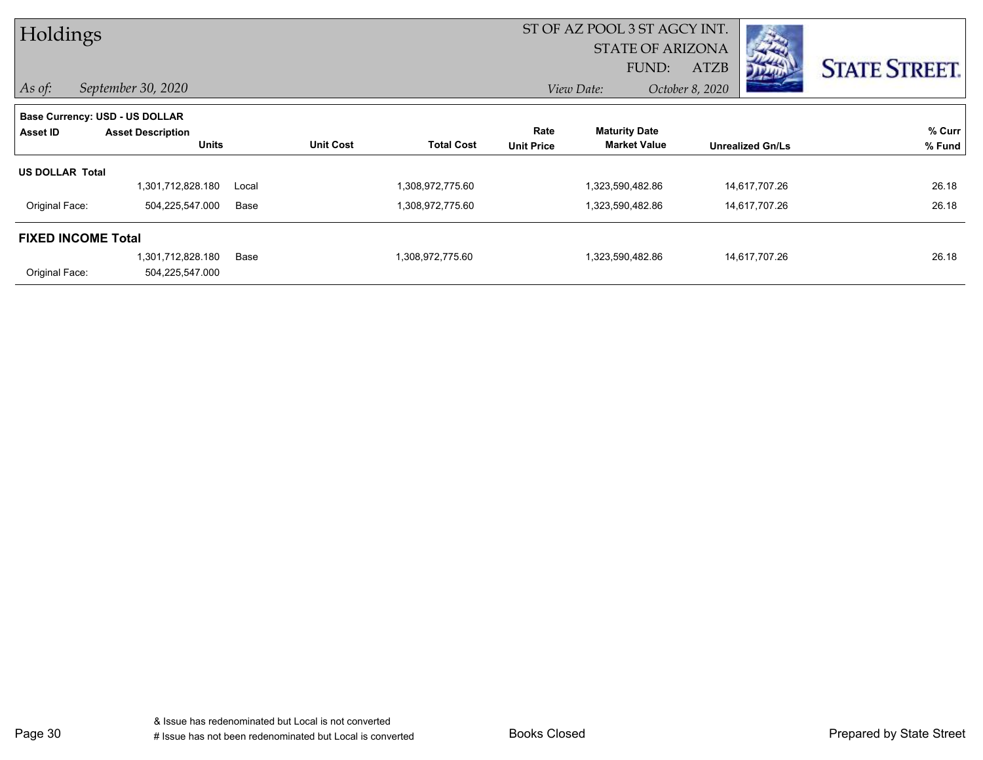| Holdings                  |                                |       |                  |                   |                   | ST OF AZ POOL 3 ST AGCY INT. |                 |                         |                      |
|---------------------------|--------------------------------|-------|------------------|-------------------|-------------------|------------------------------|-----------------|-------------------------|----------------------|
|                           |                                |       |                  |                   |                   | <b>STATE OF ARIZONA</b>      |                 |                         |                      |
|                           |                                |       |                  |                   |                   | FUND:                        | ATZB            |                         | <b>STATE STREET.</b> |
| $\vert$ As of:            | September 30, 2020             |       |                  |                   |                   | View Date:                   | October 8, 2020 |                         |                      |
|                           | Base Currency: USD - US DOLLAR |       |                  |                   |                   |                              |                 |                         |                      |
| Asset ID                  | <b>Asset Description</b>       |       |                  |                   | Rate              | <b>Maturity Date</b>         |                 |                         | % Curr               |
|                           | <b>Units</b>                   |       | <b>Unit Cost</b> | <b>Total Cost</b> | <b>Unit Price</b> | <b>Market Value</b>          |                 | <b>Unrealized Gn/Ls</b> | % Fund               |
| <b>US DOLLAR Total</b>    |                                |       |                  |                   |                   |                              |                 |                         |                      |
|                           | 1,301,712,828.180              | Local |                  | 1,308,972,775.60  |                   | 1,323,590,482.86             |                 | 14,617,707.26           | 26.18                |
| Original Face:            | 504,225,547.000                | Base  |                  | 1,308,972,775.60  |                   | 1,323,590,482.86             |                 | 14,617,707.26           | 26.18                |
| <b>FIXED INCOME Total</b> |                                |       |                  |                   |                   |                              |                 |                         |                      |
|                           | 1,301,712,828.180              | Base  |                  | 1,308,972,775.60  |                   | 1,323,590,482.86             |                 | 14,617,707.26           | 26.18                |
| Original Face:            | 504,225,547.000                |       |                  |                   |                   |                              |                 |                         |                      |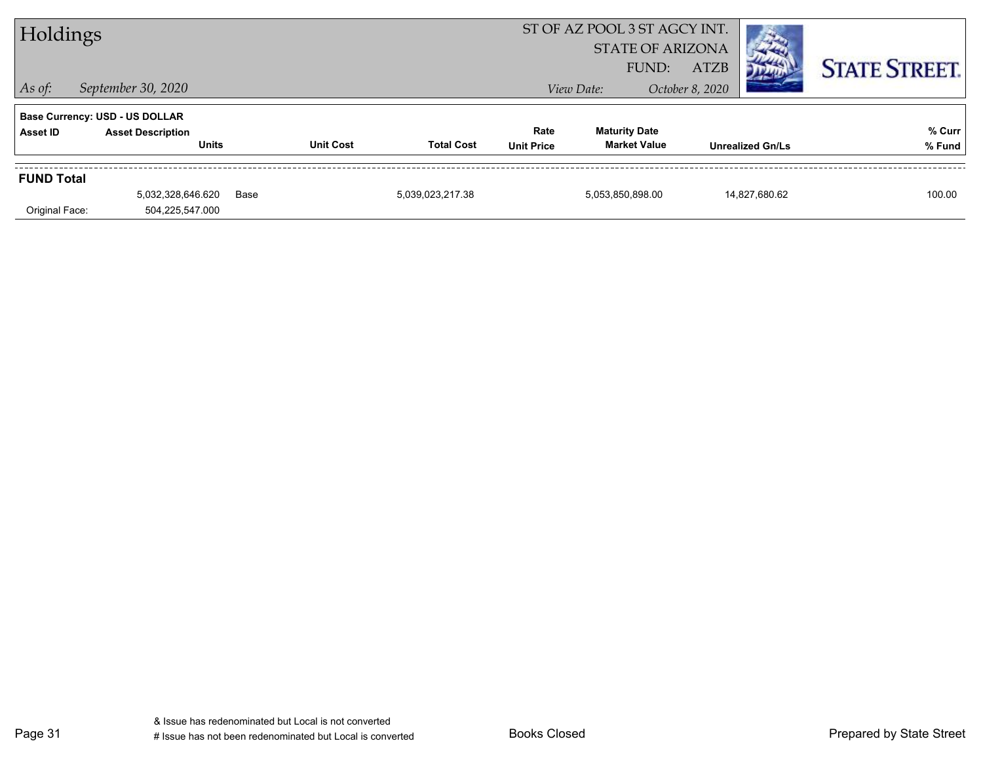| ST OF AZ POOL 3 ST AGCY INT.<br>Holdings<br><b>STATE OF ARIZONA</b> |                                                                                   |      |                  |                   |                           |                                             |                                |                         |                      |
|---------------------------------------------------------------------|-----------------------------------------------------------------------------------|------|------------------|-------------------|---------------------------|---------------------------------------------|--------------------------------|-------------------------|----------------------|
| $\vert$ As of:                                                      | September 30, 2020                                                                |      |                  |                   |                           | FUND:<br>View Date:                         | <b>ATZB</b><br>October 8, 2020 |                         | <b>STATE STREET.</b> |
| Asset ID                                                            | <b>Base Currency: USD - US DOLLAR</b><br><b>Asset Description</b><br><b>Units</b> |      | <b>Unit Cost</b> | <b>Total Cost</b> | Rate<br><b>Unit Price</b> | <b>Maturity Date</b><br><b>Market Value</b> |                                | <b>Unrealized Gn/Ls</b> | % Curr<br>% Fund     |
| <b>FUND Total</b><br>Original Face:                                 | 5,032,328,646.620<br>504,225,547.000                                              | Base |                  | 5,039,023,217.38  |                           | 5,053,850,898.00                            |                                | 14,827,680.62           | 100.00               |

Page 31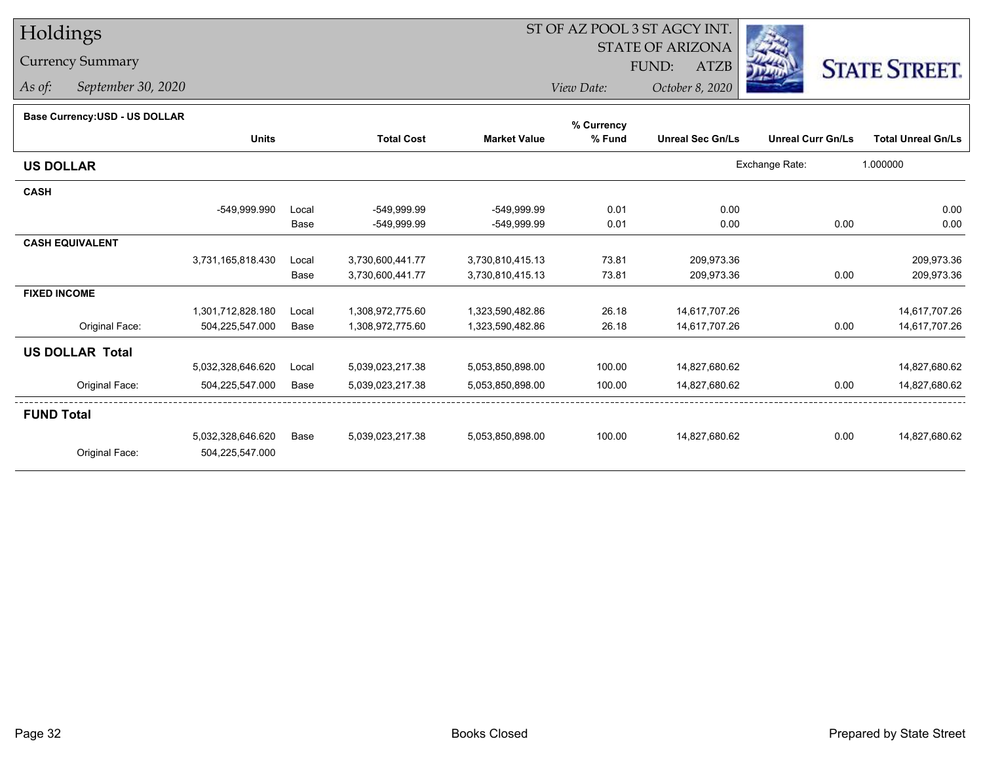# Holdings

## Currency Summary

*As of: September 30, 2020*

# ST OF AZ POOL 3 ST AGCY INT.

 STATE OF ARIZONAFUND:

ATZB



*View Date:October 8, 2020*

#### **Base Currency:USD - US DOLLAR**

|                        |                   |       |                   |                     | % Currency |                         |                          |                           |
|------------------------|-------------------|-------|-------------------|---------------------|------------|-------------------------|--------------------------|---------------------------|
|                        | <b>Units</b>      |       | <b>Total Cost</b> | <b>Market Value</b> | % Fund     | <b>Unreal Sec Gn/Ls</b> | <b>Unreal Curr Gn/Ls</b> | <b>Total Unreal Gn/Ls</b> |
| <b>US DOLLAR</b>       |                   |       |                   |                     |            |                         | Exchange Rate:           | 1.000000                  |
| <b>CASH</b>            |                   |       |                   |                     |            |                         |                          |                           |
|                        | -549,999.990      | Local | -549,999.99       | -549,999.99         | 0.01       | 0.00                    |                          | 0.00                      |
|                        |                   | Base  | -549,999.99       | -549,999.99         | 0.01       | 0.00                    | 0.00                     | 0.00                      |
| <b>CASH EQUIVALENT</b> |                   |       |                   |                     |            |                         |                          |                           |
|                        | 3,731,165,818.430 | Local | 3,730,600,441.77  | 3,730,810,415.13    | 73.81      | 209,973.36              |                          | 209,973.36                |
|                        |                   | Base  | 3,730,600,441.77  | 3,730,810,415.13    | 73.81      | 209,973.36              | 0.00                     | 209,973.36                |
| <b>FIXED INCOME</b>    |                   |       |                   |                     |            |                         |                          |                           |
|                        | 1,301,712,828.180 | Local | 1,308,972,775.60  | 1,323,590,482.86    | 26.18      | 14,617,707.26           |                          | 14,617,707.26             |
| Original Face:         | 504,225,547.000   | Base  | 1,308,972,775.60  | 1,323,590,482.86    | 26.18      | 14,617,707.26           | 0.00                     | 14,617,707.26             |
| <b>US DOLLAR Total</b> |                   |       |                   |                     |            |                         |                          |                           |
|                        | 5,032,328,646.620 | Local | 5,039,023,217.38  | 5,053,850,898.00    | 100.00     | 14,827,680.62           |                          | 14,827,680.62             |
| Original Face:         | 504,225,547.000   | Base  | 5,039,023,217.38  | 5,053,850,898.00    | 100.00     | 14,827,680.62           | 0.00                     | 14,827,680.62             |
| <b>FUND Total</b>      |                   |       |                   |                     |            |                         |                          |                           |
|                        | 5,032,328,646.620 | Base  | 5,039,023,217.38  | 5,053,850,898.00    | 100.00     | 14,827,680.62           | 0.00                     | 14,827,680.62             |
| Original Face:         | 504,225,547.000   |       |                   |                     |            |                         |                          |                           |
|                        |                   |       |                   |                     |            |                         |                          |                           |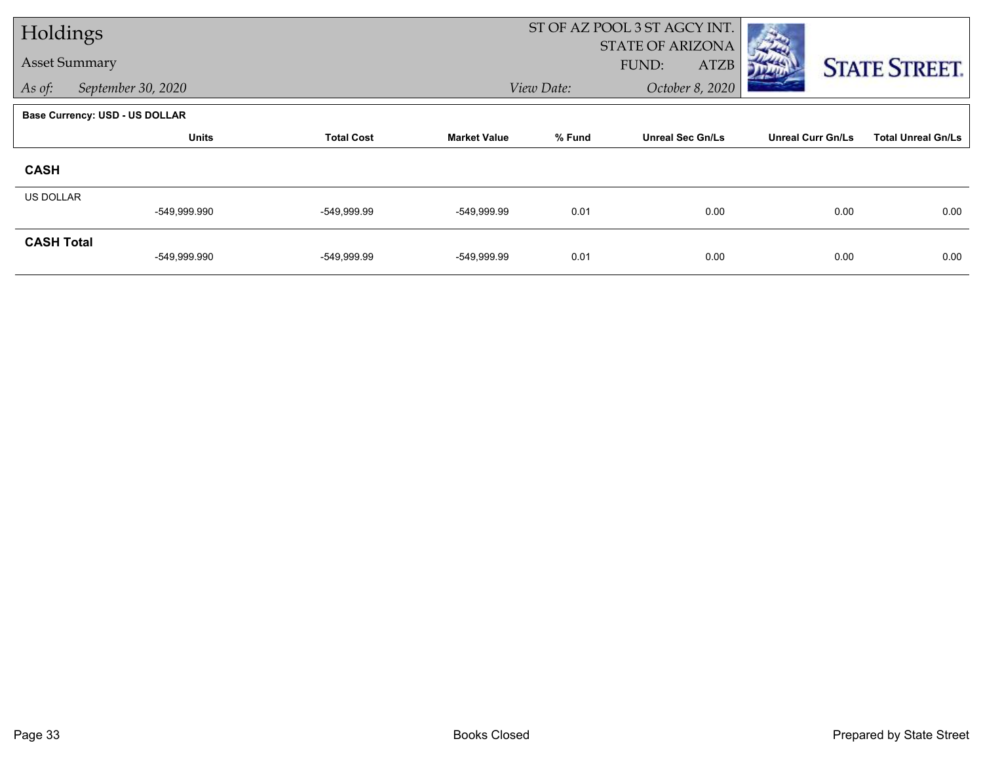| Holdings             |                                       |                   |                     | ST OF AZ POOL 3 ST AGCY INT. |                                                 |                          |                           |
|----------------------|---------------------------------------|-------------------|---------------------|------------------------------|-------------------------------------------------|--------------------------|---------------------------|
| <b>Asset Summary</b> |                                       |                   |                     |                              | <b>STATE OF ARIZONA</b><br>FUND:<br><b>ATZB</b> |                          | <b>STATE STREET.</b>      |
| As of:               | September 30, 2020                    |                   |                     | View Date:                   | October 8, 2020                                 |                          |                           |
|                      | <b>Base Currency: USD - US DOLLAR</b> |                   |                     |                              |                                                 |                          |                           |
|                      | <b>Units</b>                          | <b>Total Cost</b> | <b>Market Value</b> | % Fund                       | <b>Unreal Sec Gn/Ls</b>                         | <b>Unreal Curr Gn/Ls</b> | <b>Total Unreal Gn/Ls</b> |
| <b>CASH</b>          |                                       |                   |                     |                              |                                                 |                          |                           |
| <b>US DOLLAR</b>     |                                       |                   |                     |                              |                                                 |                          |                           |
|                      | -549,999.990                          | -549,999.99       | -549,999.99         | 0.01                         | 0.00                                            | 0.00                     | 0.00                      |
| <b>CASH Total</b>    | -549,999.990                          | -549,999.99       | -549,999.99         | 0.01                         | 0.00                                            | 0.00                     | 0.00                      |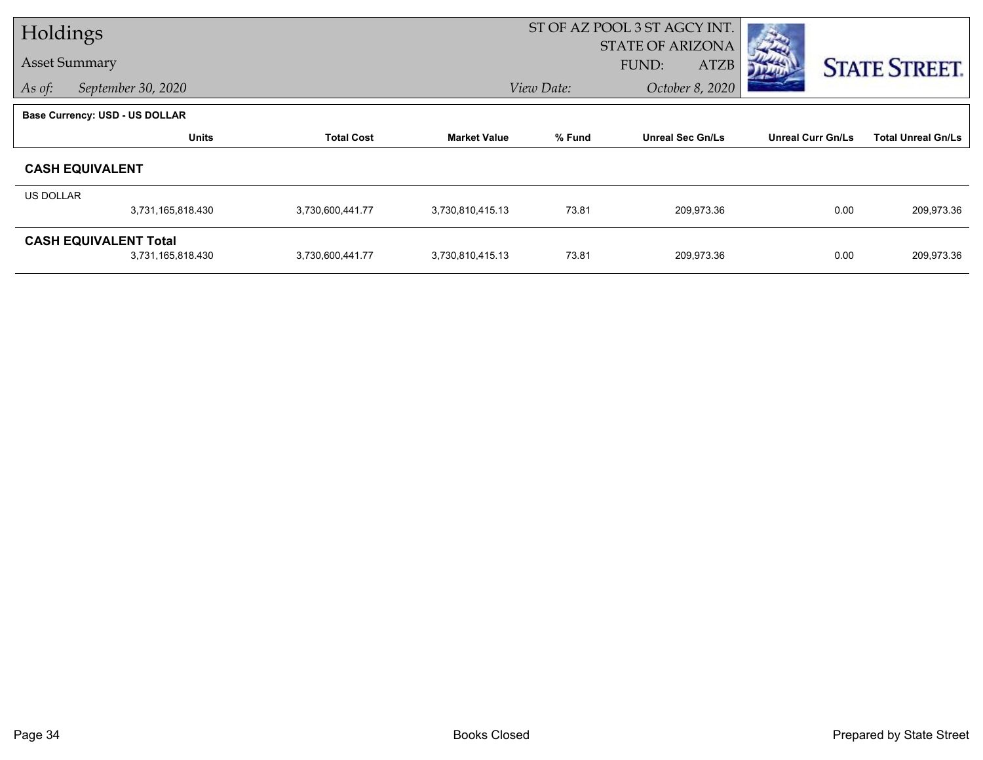| Holdings         |                                       |                   |                     | ST OF AZ POOL 3 ST AGCY INT. |                         |                          |                           |
|------------------|---------------------------------------|-------------------|---------------------|------------------------------|-------------------------|--------------------------|---------------------------|
|                  |                                       |                   |                     |                              | <b>STATE OF ARIZONA</b> |                          |                           |
|                  | <b>Asset Summary</b>                  |                   |                     |                              | FUND:<br><b>ATZB</b>    |                          | <b>STATE STREET.</b>      |
| As of:           | September 30, 2020                    |                   |                     | View Date:                   | October 8, 2020         |                          |                           |
|                  | <b>Base Currency: USD - US DOLLAR</b> |                   |                     |                              |                         |                          |                           |
|                  | <b>Units</b>                          | <b>Total Cost</b> | <b>Market Value</b> | % Fund                       | <b>Unreal Sec Gn/Ls</b> | <b>Unreal Curr Gn/Ls</b> | <b>Total Unreal Gn/Ls</b> |
|                  | <b>CASH EQUIVALENT</b>                |                   |                     |                              |                         |                          |                           |
| <b>US DOLLAR</b> |                                       |                   |                     |                              |                         |                          |                           |
|                  | 3,731,165,818.430                     | 3,730,600,441.77  | 3,730,810,415.13    | 73.81                        | 209,973.36              | 0.00                     | 209,973.36                |
|                  | <b>CASH EQUIVALENT Total</b>          |                   |                     |                              |                         |                          |                           |
|                  | 3,731,165,818.430                     | 3,730,600,441.77  | 3,730,810,415.13    | 73.81                        | 209,973.36              | 0.00                     | 209,973.36                |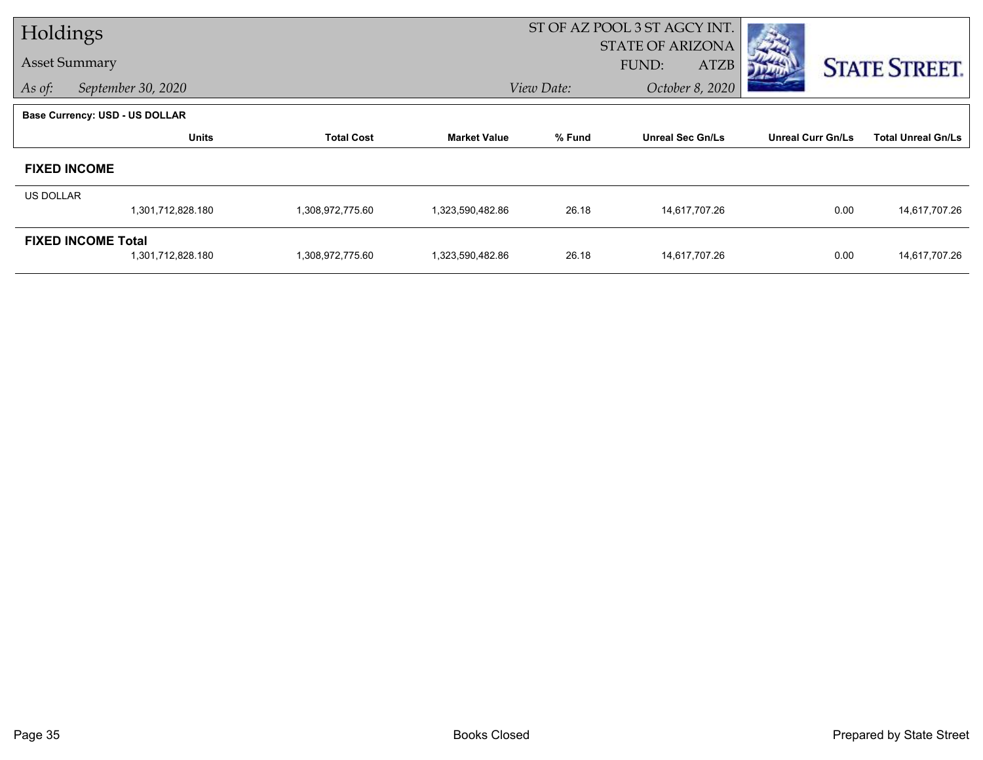| Holdings  |                                |                   |                     | ST OF AZ POOL 3 ST AGCY INT. |                         |                          |                           |
|-----------|--------------------------------|-------------------|---------------------|------------------------------|-------------------------|--------------------------|---------------------------|
|           |                                |                   |                     |                              | <b>STATE OF ARIZONA</b> |                          |                           |
|           | <b>Asset Summary</b>           |                   |                     |                              | FUND:<br><b>ATZB</b>    |                          | <b>STATE STREET.</b>      |
| As of:    | September 30, 2020             |                   |                     | View Date:                   | October 8, 2020         |                          |                           |
|           | Base Currency: USD - US DOLLAR |                   |                     |                              |                         |                          |                           |
|           | <b>Units</b>                   | <b>Total Cost</b> | <b>Market Value</b> | % Fund                       | <b>Unreal Sec Gn/Ls</b> | <b>Unreal Curr Gn/Ls</b> | <b>Total Unreal Gn/Ls</b> |
|           | <b>FIXED INCOME</b>            |                   |                     |                              |                         |                          |                           |
| US DOLLAR |                                |                   |                     |                              |                         |                          |                           |
|           | 1,301,712,828.180              | 1,308,972,775.60  | 1,323,590,482.86    | 26.18                        | 14,617,707.26           | 0.00                     | 14,617,707.26             |
|           | <b>FIXED INCOME Total</b>      |                   |                     |                              |                         |                          |                           |
|           | 1,301,712,828.180              | 1,308,972,775.60  | 1,323,590,482.86    | 26.18                        | 14,617,707.26           | 0.00                     | 14,617,707.26             |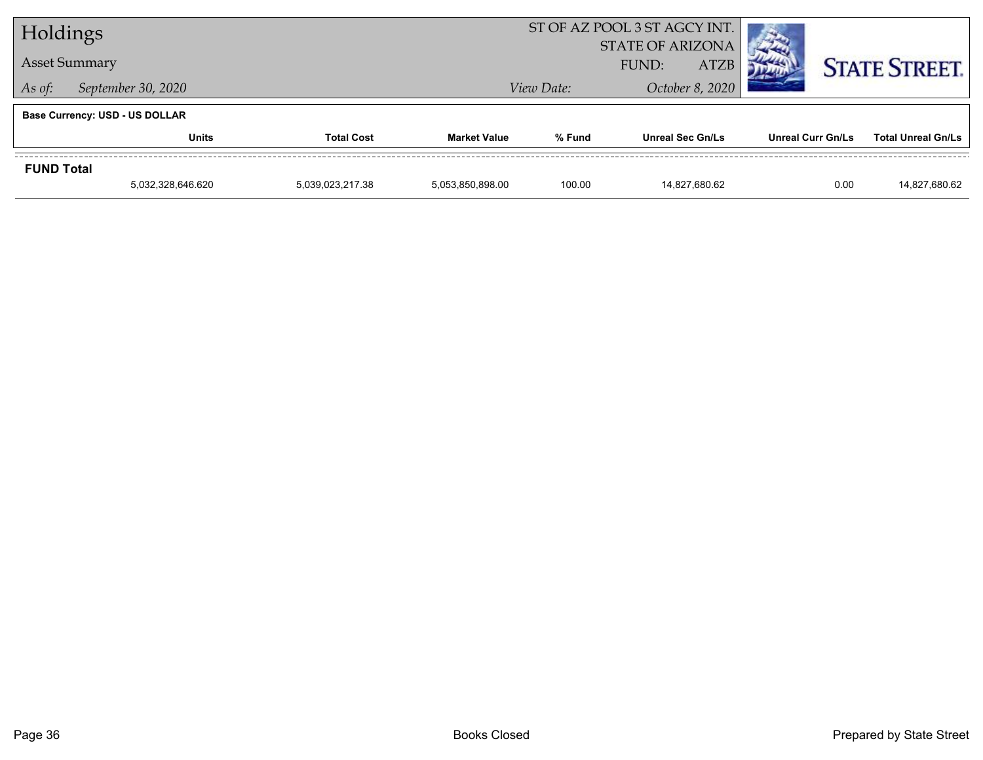| Holdings             |                                       |                   | ST OF AZ POOL 3 ST AGCY INT. |            |                                                 |                          |                           |
|----------------------|---------------------------------------|-------------------|------------------------------|------------|-------------------------------------------------|--------------------------|---------------------------|
| <b>Asset Summary</b> |                                       |                   |                              |            | <b>STATE OF ARIZONA</b><br><b>ATZB</b><br>FUND: |                          | <b>STATE STREET.</b>      |
| As of:               | September 30, 2020                    |                   |                              | View Date: | October 8, 2020                                 |                          |                           |
|                      | <b>Base Currency: USD - US DOLLAR</b> |                   |                              |            |                                                 |                          |                           |
|                      | <b>Units</b>                          | <b>Total Cost</b> | <b>Market Value</b>          | % Fund     | <b>Unreal Sec Gn/Ls</b>                         | <b>Unreal Curr Gn/Ls</b> | <b>Total Unreal Gn/Ls</b> |
| <b>FUND Total</b>    |                                       |                   |                              |            |                                                 |                          |                           |
|                      | 5,032,328,646.620                     | 5,039,023,217.38  | 5,053,850,898.00             | 100.00     | 14.827.680.62                                   | 0.00                     | 14,827,680.62             |